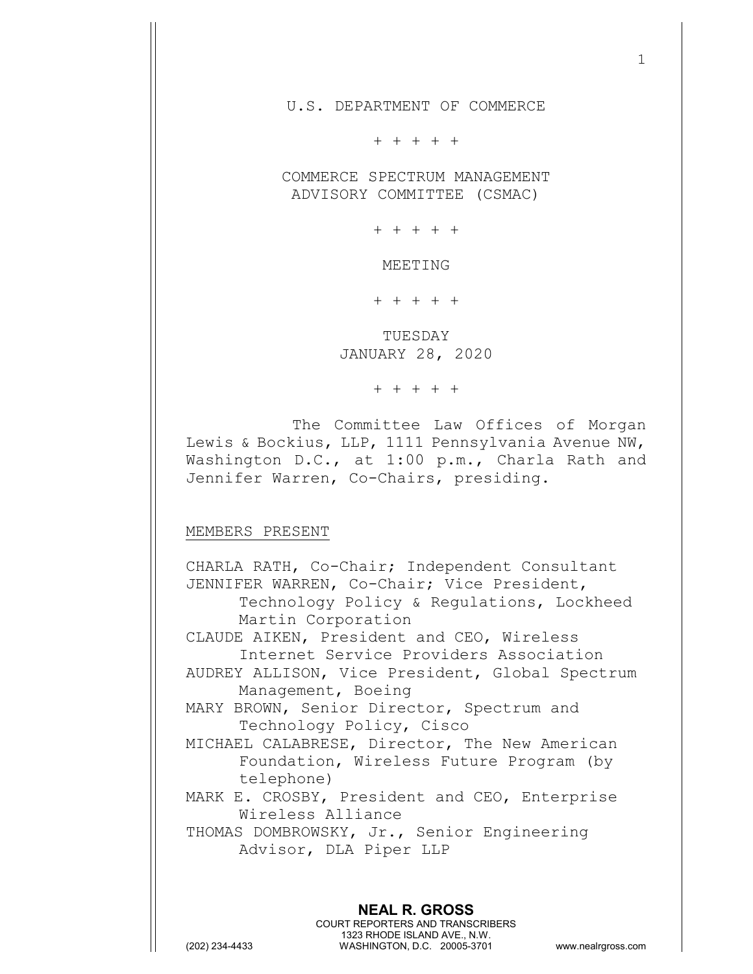U.S. DEPARTMENT OF COMMERCE

+ + + + +

COMMERCE SPECTRUM MANAGEMENT ADVISORY COMMITTEE (CSMAC)

+ + + + +

MEETING

+ + + + +

TUESDAY JANUARY 28, 2020

+ + + + +

The Committee Law Offices of Morgan Lewis & Bockius, LLP, 1111 Pennsylvania Avenue NW, Washington D.C., at 1:00 p.m., Charla Rath and Jennifer Warren, Co-Chairs, presiding.

## MEMBERS PRESENT

CHARLA RATH, Co-Chair; Independent Consultant JENNIFER WARREN, Co-Chair; Vice President, Technology Policy & Regulations, Lockheed Martin Corporation CLAUDE AIKEN, President and CEO, Wireless Internet Service Providers Association AUDREY ALLISON, Vice President, Global Spectrum Management, Boeing MARY BROWN, Senior Director, Spectrum and Technology Policy, Cisco MICHAEL CALABRESE, Director, The New American Foundation, Wireless Future Program (by telephone) MARK E. CROSBY, President and CEO, Enterprise Wireless Alliance THOMAS DOMBROWSKY, Jr., Senior Engineering Advisor, DLA Piper LLP

**NEAL R. GROSS** COURT REPORTERS AND TRANSCRIBERS 1323 RHODE ISLAND AVE., N.W. (202) 234-4433 WASHINGTON, D.C. 20005-3701 www.nealrgross.com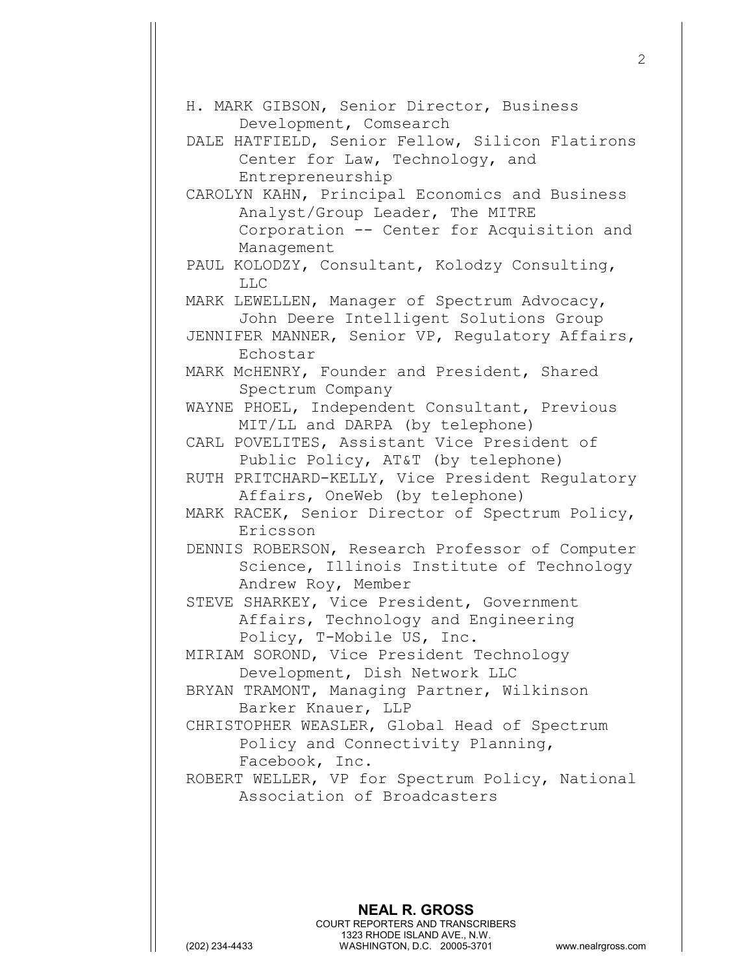| H. MARK GIBSON, Senior Director, Business<br>Development, Comsearch                                                |
|--------------------------------------------------------------------------------------------------------------------|
| DALE HATFIELD, Senior Fellow, Silicon Flatirons<br>Center for Law, Technology, and<br>Entrepreneurship             |
| CAROLYN KAHN, Principal Economics and Business<br>Analyst/Group Leader, The MITRE                                  |
| Corporation -- Center for Acquisition and<br>Management                                                            |
| PAUL KOLODZY, Consultant, Kolodzy Consulting,<br><b>LLC</b>                                                        |
| MARK LEWELLEN, Manager of Spectrum Advocacy,<br>John Deere Intelligent Solutions Group                             |
| JENNIFER MANNER, Senior VP, Regulatory Affairs,<br>Echostar                                                        |
| MARK McHENRY, Founder and President, Shared<br>Spectrum Company                                                    |
| WAYNE PHOEL, Independent Consultant, Previous<br>MIT/LL and DARPA (by telephone)                                   |
| CARL POVELITES, Assistant Vice President of<br>Public Policy, AT&T (by telephone)                                  |
| RUTH PRITCHARD-KELLY, Vice President Regulatory<br>Affairs, OneWeb (by telephone)                                  |
| MARK RACEK, Senior Director of Spectrum Policy,<br>Ericsson                                                        |
| DENNIS ROBERSON, Research Professor of Computer<br>Science, Illinois Institute of Technology<br>Andrew Roy, Member |
| STEVE SHARKEY, Vice President, Government<br>Affairs, Technology and Engineering                                   |
| Policy, T-Mobile US, Inc.<br>MIRIAM SOROND, Vice President Technology<br>Development, Dish Network LLC             |
| BRYAN TRAMONT, Managing Partner, Wilkinson<br>Barker Knauer, LLP                                                   |
| CHRISTOPHER WEASLER, Global Head of Spectrum<br>Policy and Connectivity Planning,<br>Facebook, Inc.                |
| ROBERT WELLER, VP for Spectrum Policy, National<br>Association of Broadcasters                                     |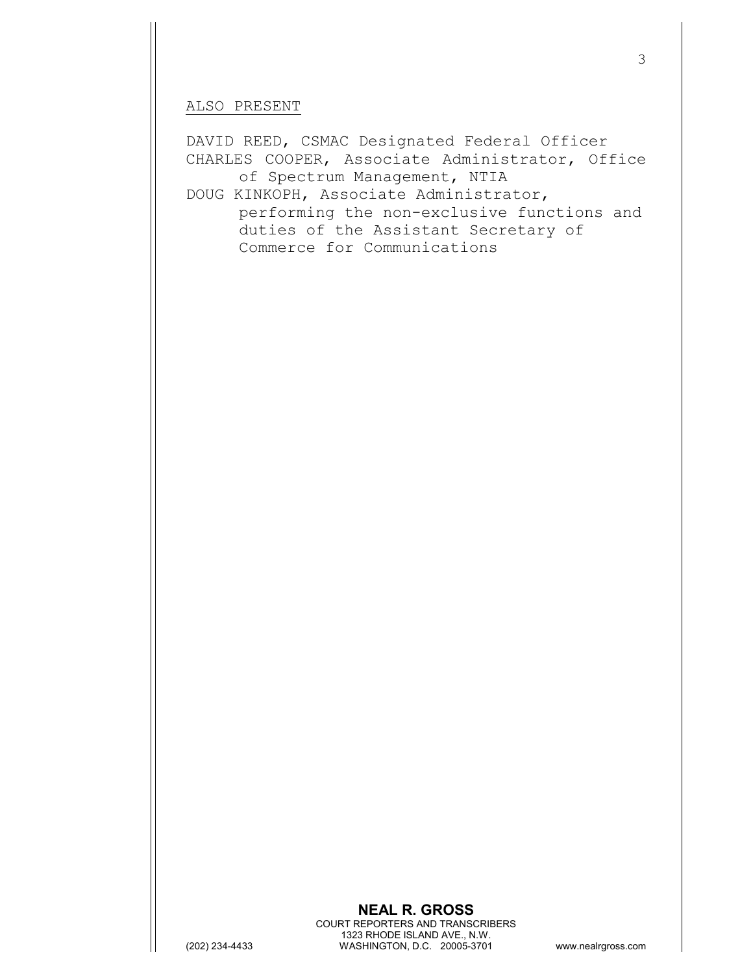## ALSO PRESENT

DAVID REED, CSMAC Designated Federal Officer CHARLES COOPER, Associate Administrator, Office of Spectrum Management, NTIA DOUG KINKOPH, Associate Administrator,

performing the non-exclusive functions and duties of the Assistant Secretary of Commerce for Communications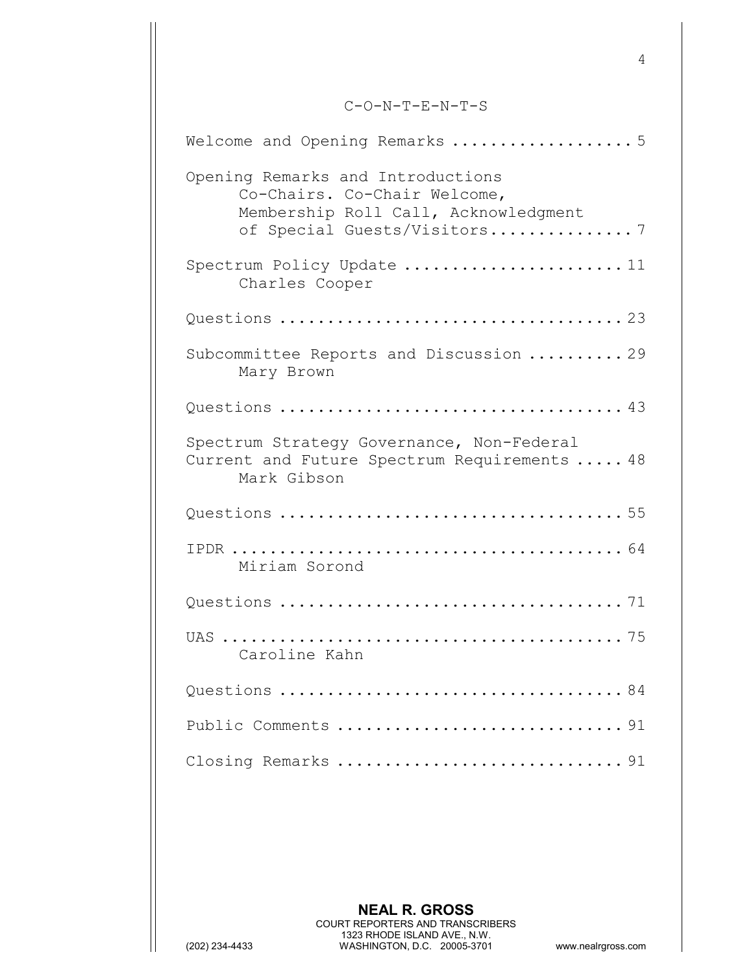## C-O-N-T-E-N-T-S

| Welcome and Opening Remarks  5                                                                                                           |  |
|------------------------------------------------------------------------------------------------------------------------------------------|--|
| Opening Remarks and Introductions<br>Co-Chairs. Co-Chair Welcome,<br>Membership Roll Call, Acknowledgment<br>of Special Guests/Visitors7 |  |
| Charles Cooper                                                                                                                           |  |
|                                                                                                                                          |  |
| Subcommittee Reports and Discussion  29<br>Mary Brown                                                                                    |  |
|                                                                                                                                          |  |
| Spectrum Strategy Governance, Non-Federal<br>Current and Future Spectrum Requirements  48<br>Mark Gibson                                 |  |
|                                                                                                                                          |  |
| Miriam Sorond                                                                                                                            |  |
|                                                                                                                                          |  |
| Caroline Kahn                                                                                                                            |  |
|                                                                                                                                          |  |
|                                                                                                                                          |  |
| Closing Remarks 91                                                                                                                       |  |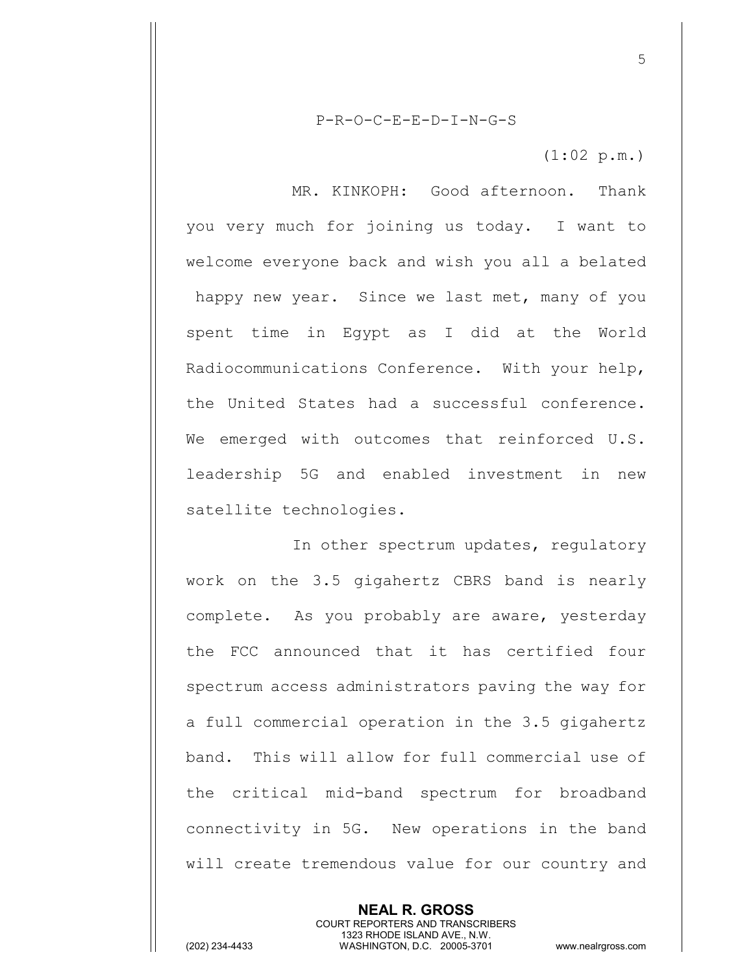P-R-O-C-E-E-D-I-N-G-S

(1:02 p.m.)

MR. KINKOPH: Good afternoon. Thank you very much for joining us today. I want to welcome everyone back and wish you all a belated happy new year. Since we last met, many of you spent time in Egypt as I did at the World Radiocommunications Conference. With your help, the United States had a successful conference. We emerged with outcomes that reinforced U.S. leadership 5G and enabled investment in new satellite technologies.

In other spectrum updates, regulatory work on the 3.5 gigahertz CBRS band is nearly complete. As you probably are aware, yesterday the FCC announced that it has certified four spectrum access administrators paving the way for a full commercial operation in the 3.5 gigahertz band. This will allow for full commercial use of the critical mid-band spectrum for broadband connectivity in 5G. New operations in the band will create tremendous value for our country and

> **NEAL R. GROSS** COURT REPORTERS AND TRANSCRIBERS 1323 RHODE ISLAND AVE., N.W.

(202) 234-4433 WASHINGTON, D.C. 20005-3701 www.nealrgross.com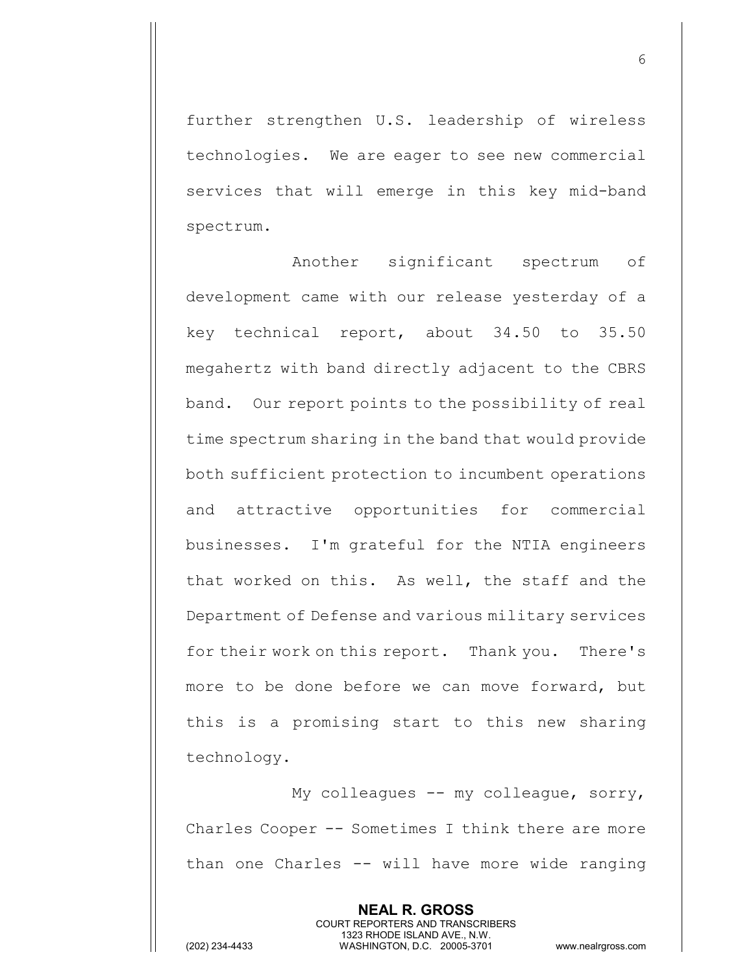further strengthen U.S. leadership of wireless technologies. We are eager to see new commercial services that will emerge in this key mid-band spectrum.

Another significant spectrum of development came with our release yesterday of a key technical report, about 34.50 to 35.50 megahertz with band directly adjacent to the CBRS band. Our report points to the possibility of real time spectrum sharing in the band that would provide both sufficient protection to incumbent operations and attractive opportunities for commercial businesses. I'm grateful for the NTIA engineers that worked on this. As well, the staff and the Department of Defense and various military services for their work on this report. Thank you. There's more to be done before we can move forward, but this is a promising start to this new sharing technology.

My colleagues -- my colleague, sorry, Charles Cooper -- Sometimes I think there are more than one Charles -- will have more wide ranging

> **NEAL R. GROSS** COURT REPORTERS AND TRANSCRIBERS 1323 RHODE ISLAND AVE., N.W.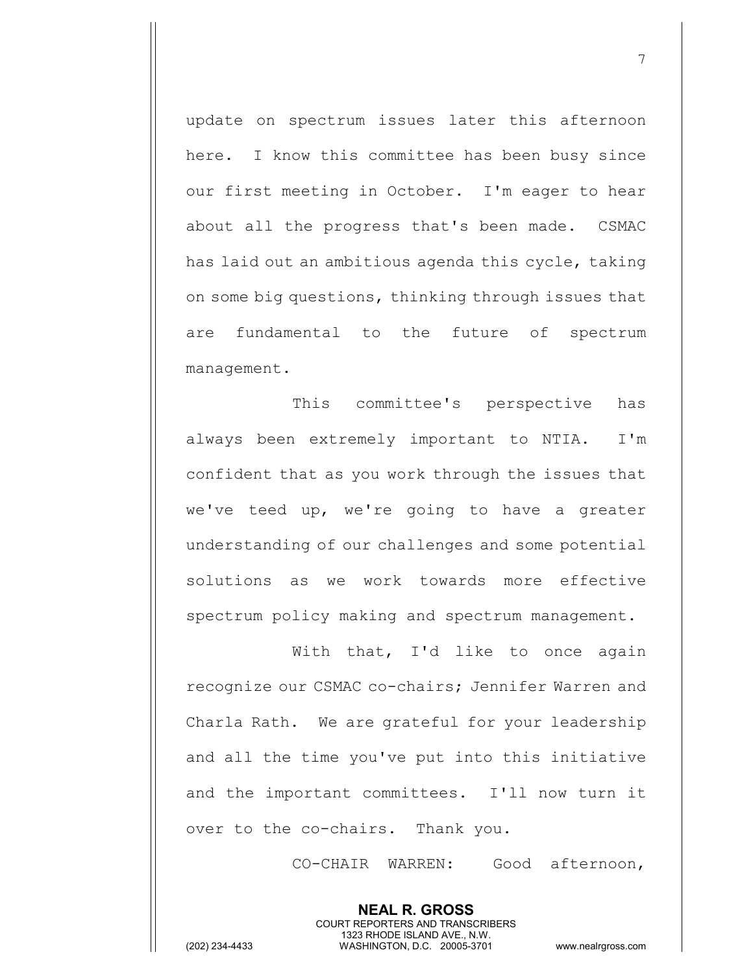update on spectrum issues later this afternoon here. I know this committee has been busy since our first meeting in October. I'm eager to hear about all the progress that's been made. CSMAC has laid out an ambitious agenda this cycle, taking on some big questions, thinking through issues that are fundamental to the future of spectrum management.

This committee's perspective has always been extremely important to NTIA. I'm confident that as you work through the issues that we've teed up, we're going to have a greater understanding of our challenges and some potential solutions as we work towards more effective spectrum policy making and spectrum management.

With that, I'd like to once again recognize our CSMAC co-chairs; Jennifer Warren and Charla Rath. We are grateful for your leadership and all the time you've put into this initiative and the important committees. I'll now turn it over to the co-chairs. Thank you.

> **NEAL R. GROSS** COURT REPORTERS AND TRANSCRIBERS 1323 RHODE ISLAND AVE., N.W.

CO-CHAIR WARREN: Good afternoon,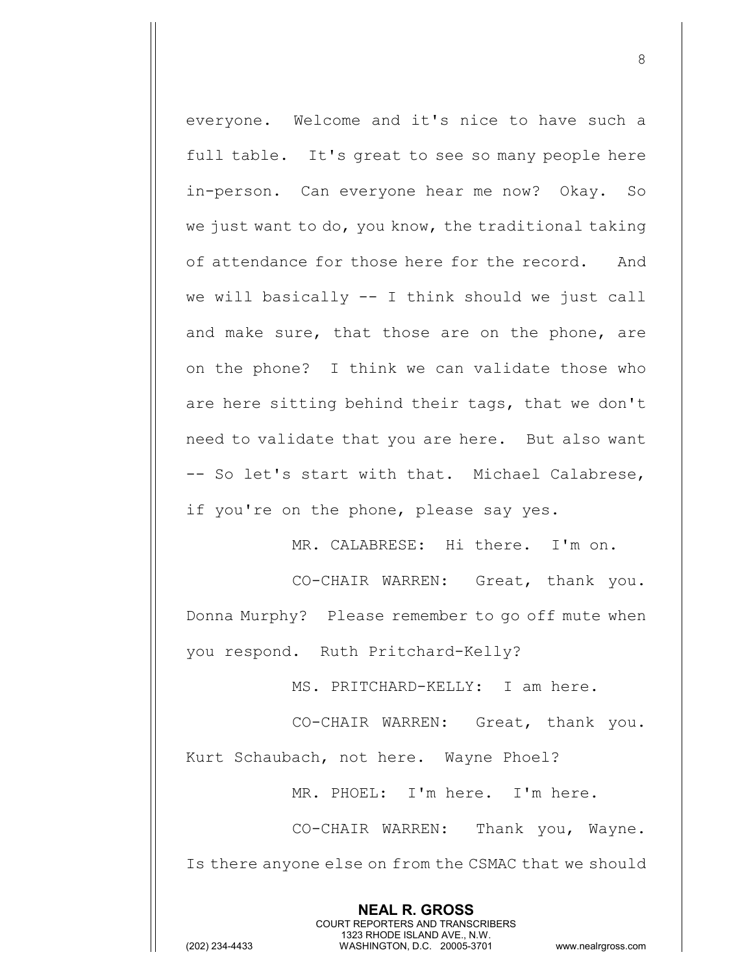everyone. Welcome and it's nice to have such a full table. It's great to see so many people here in-person. Can everyone hear me now? Okay. So we just want to do, you know, the traditional taking of attendance for those here for the record. And we will basically -- I think should we just call and make sure, that those are on the phone, are on the phone? I think we can validate those who are here sitting behind their tags, that we don't need to validate that you are here. But also want -- So let's start with that. Michael Calabrese, if you're on the phone, please say yes.

MR. CALABRESE: Hi there. I'm on.

CO-CHAIR WARREN: Great, thank you. Donna Murphy? Please remember to go off mute when you respond. Ruth Pritchard-Kelly?

MS. PRITCHARD-KELLY: I am here.

CO-CHAIR WARREN: Great, thank you.

Kurt Schaubach, not here. Wayne Phoel?

MR. PHOEL: I'm here. I'm here.

CO-CHAIR WARREN: Thank you, Wayne. Is there anyone else on from the CSMAC that we should

> **NEAL R. GROSS** COURT REPORTERS AND TRANSCRIBERS 1323 RHODE ISLAND AVE., N.W.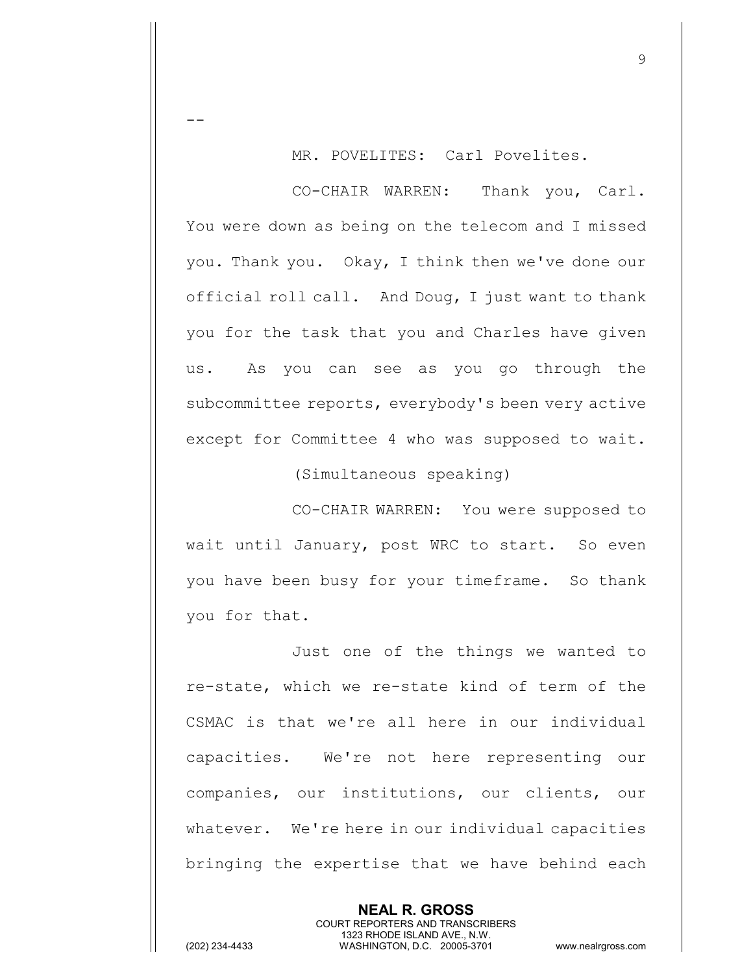MR. POVELITES: Carl Povelites.

CO-CHAIR WARREN: Thank you, Carl. You were down as being on the telecom and I missed you. Thank you. Okay, I think then we've done our official roll call. And Doug, I just want to thank you for the task that you and Charles have given us. As you can see as you go through the subcommittee reports, everybody's been very active except for Committee 4 who was supposed to wait.

(Simultaneous speaking)

CO-CHAIR WARREN: You were supposed to wait until January, post WRC to start. So even you have been busy for your timeframe. So thank you for that.

Just one of the things we wanted to re-state, which we re-state kind of term of the CSMAC is that we're all here in our individual capacities. We're not here representing our companies, our institutions, our clients, our whatever. We're here in our individual capacities bringing the expertise that we have behind each

> **NEAL R. GROSS** COURT REPORTERS AND TRANSCRIBERS 1323 RHODE ISLAND AVE., N.W.

 $-$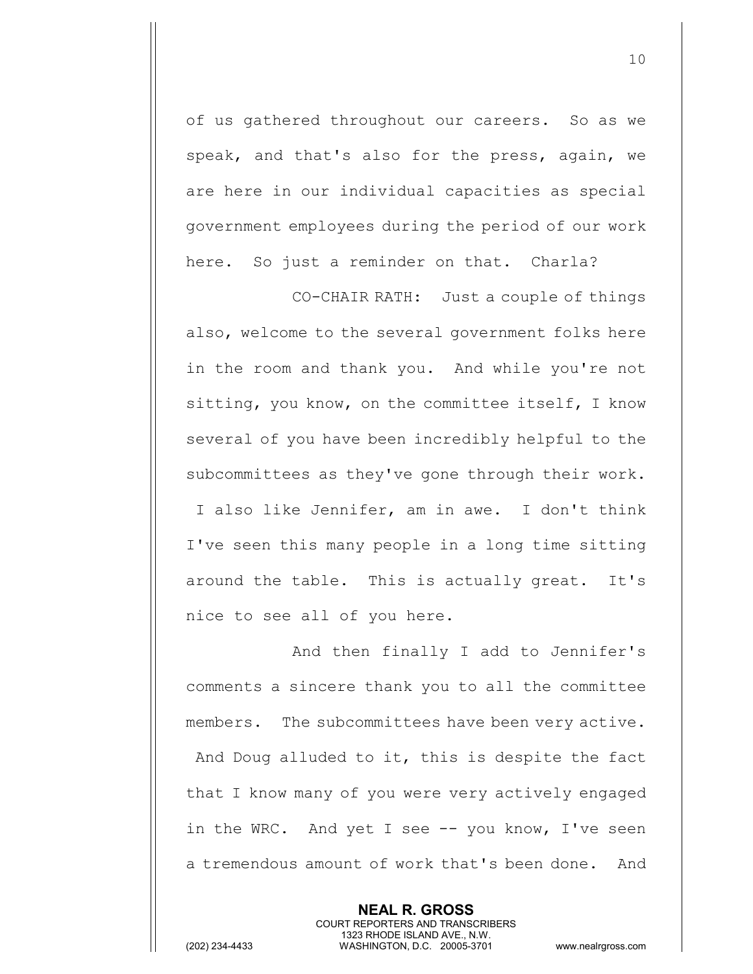of us gathered throughout our careers. So as we speak, and that's also for the press, again, we are here in our individual capacities as special government employees during the period of our work here. So just a reminder on that. Charla?

CO-CHAIR RATH: Just a couple of things also, welcome to the several government folks here in the room and thank you. And while you're not sitting, you know, on the committee itself, I know several of you have been incredibly helpful to the subcommittees as they've gone through their work. I also like Jennifer, am in awe. I don't think I've seen this many people in a long time sitting around the table. This is actually great. It's nice to see all of you here.

And then finally I add to Jennifer's comments a sincere thank you to all the committee members. The subcommittees have been very active. And Doug alluded to it, this is despite the fact that I know many of you were very actively engaged in the WRC. And yet I see -- you know, I've seen a tremendous amount of work that's been done. And

> **NEAL R. GROSS** COURT REPORTERS AND TRANSCRIBERS 1323 RHODE ISLAND AVE., N.W.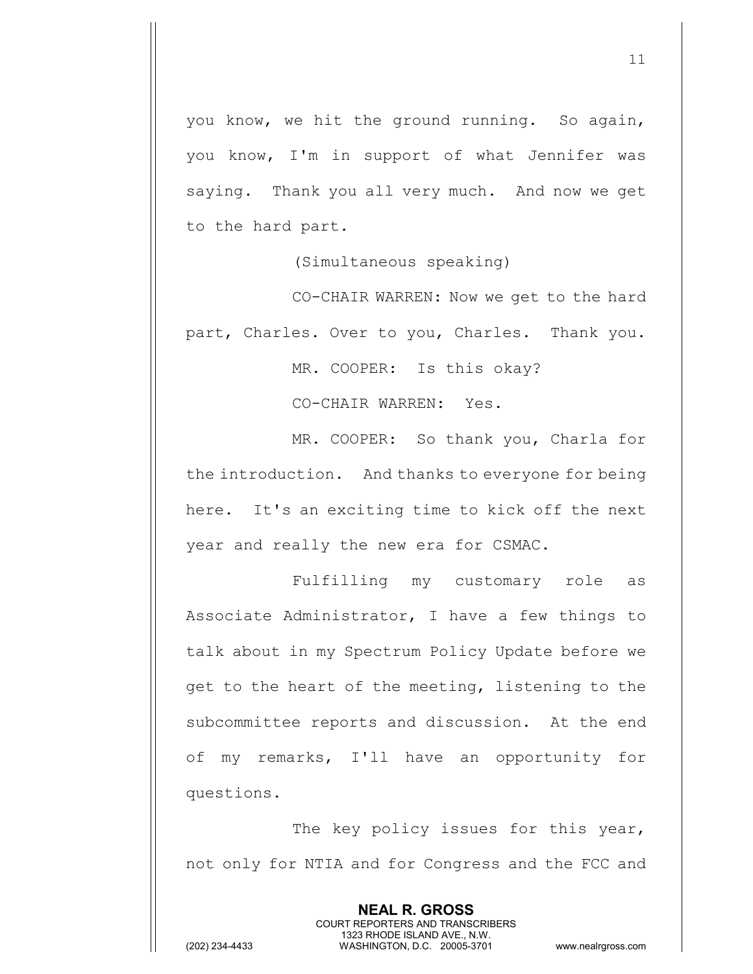you know, we hit the ground running. So again, you know, I'm in support of what Jennifer was saying. Thank you all very much. And now we get to the hard part.

(Simultaneous speaking)

CO-CHAIR WARREN: Now we get to the hard part, Charles. Over to you, Charles. Thank you.

MR. COOPER: Is this okay?

CO-CHAIR WARREN: Yes.

MR. COOPER: So thank you, Charla for the introduction. And thanks to everyone for being here. It's an exciting time to kick off the next year and really the new era for CSMAC.

Fulfilling my customary role as Associate Administrator, I have a few things to talk about in my Spectrum Policy Update before we get to the heart of the meeting, listening to the subcommittee reports and discussion. At the end of my remarks, I'll have an opportunity for questions.

The key policy issues for this year, not only for NTIA and for Congress and the FCC and

> **NEAL R. GROSS** COURT REPORTERS AND TRANSCRIBERS 1323 RHODE ISLAND AVE., N.W.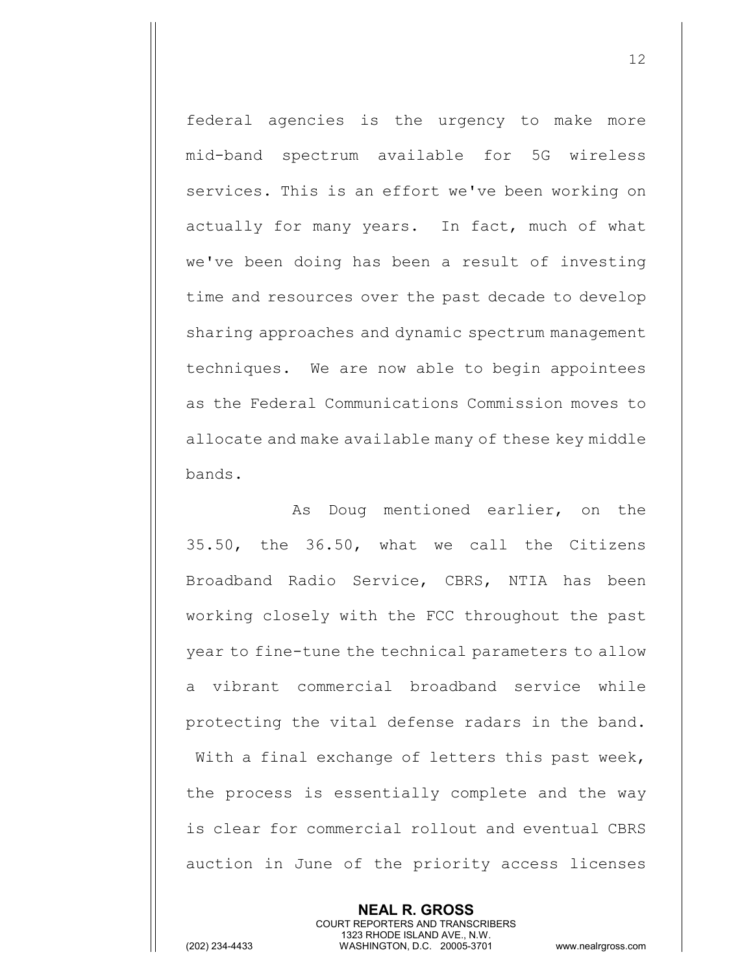federal agencies is the urgency to make more mid-band spectrum available for 5G wireless services. This is an effort we've been working on actually for many years. In fact, much of what we've been doing has been a result of investing time and resources over the past decade to develop sharing approaches and dynamic spectrum management techniques. We are now able to begin appointees as the Federal Communications Commission moves to allocate and make available many of these key middle bands.

As Doug mentioned earlier, on the 35.50, the 36.50, what we call the Citizens Broadband Radio Service, CBRS, NTIA has been working closely with the FCC throughout the past year to fine-tune the technical parameters to allow a vibrant commercial broadband service while protecting the vital defense radars in the band. With a final exchange of letters this past week, the process is essentially complete and the way is clear for commercial rollout and eventual CBRS auction in June of the priority access licenses

> **NEAL R. GROSS** COURT REPORTERS AND TRANSCRIBERS 1323 RHODE ISLAND AVE., N.W.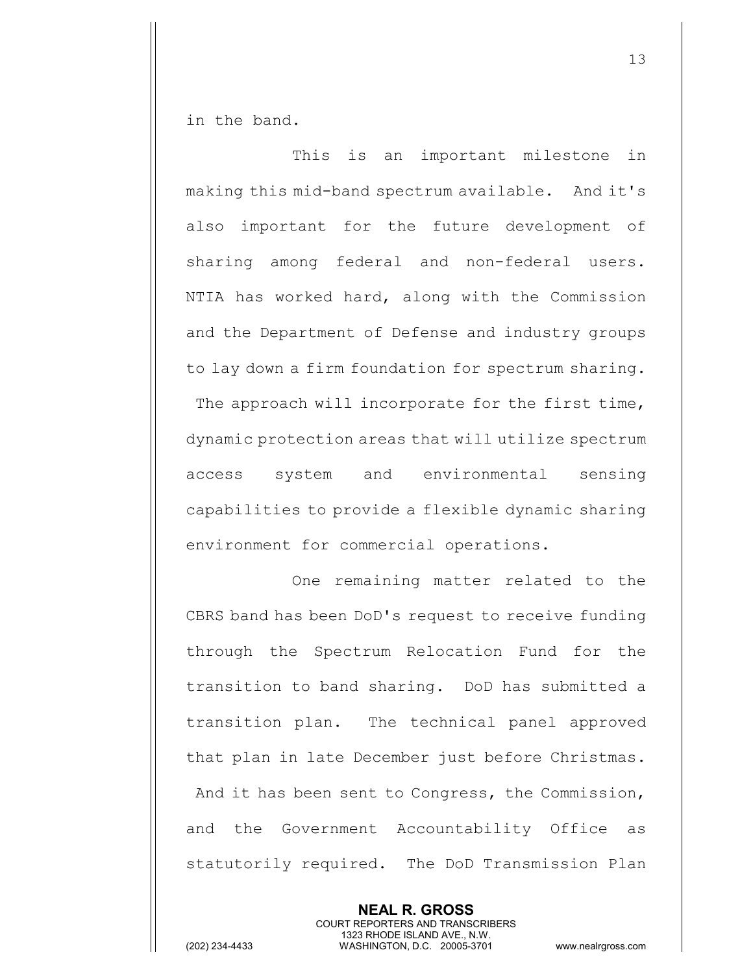in the band.

This is an important milestone in making this mid-band spectrum available. And it's also important for the future development of sharing among federal and non-federal users. NTIA has worked hard, along with the Commission and the Department of Defense and industry groups to lay down a firm foundation for spectrum sharing. The approach will incorporate for the first time, dynamic protection areas that will utilize spectrum access system and environmental sensing capabilities to provide a flexible dynamic sharing environment for commercial operations.

 One remaining matter related to the CBRS band has been DoD's request to receive funding through the Spectrum Relocation Fund for the transition to band sharing. DoD has submitted a transition plan. The technical panel approved that plan in late December just before Christmas. And it has been sent to Congress, the Commission, and the Government Accountability Office as statutorily required. The DoD Transmission Plan

> **NEAL R. GROSS** COURT REPORTERS AND TRANSCRIBERS 1323 RHODE ISLAND AVE., N.W.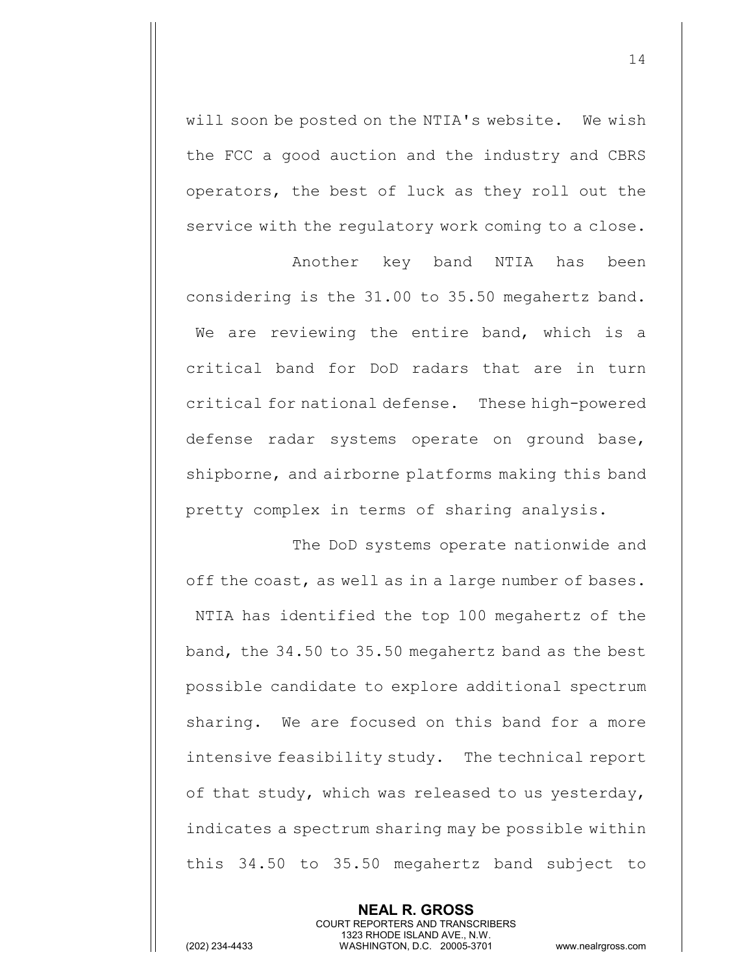will soon be posted on the NTIA's website. We wish the FCC a good auction and the industry and CBRS operators, the best of luck as they roll out the service with the regulatory work coming to a close.

Another key band NTIA has been considering is the 31.00 to 35.50 megahertz band. We are reviewing the entire band, which is a critical band for DoD radars that are in turn critical for national defense. These high-powered defense radar systems operate on ground base, shipborne, and airborne platforms making this band pretty complex in terms of sharing analysis.

The DoD systems operate nationwide and off the coast, as well as in a large number of bases. NTIA has identified the top 100 megahertz of the band, the 34.50 to 35.50 megahertz band as the best possible candidate to explore additional spectrum sharing. We are focused on this band for a more intensive feasibility study. The technical report of that study, which was released to us yesterday, indicates a spectrum sharing may be possible within this 34.50 to 35.50 megahertz band subject to

> **NEAL R. GROSS** COURT REPORTERS AND TRANSCRIBERS 1323 RHODE ISLAND AVE., N.W.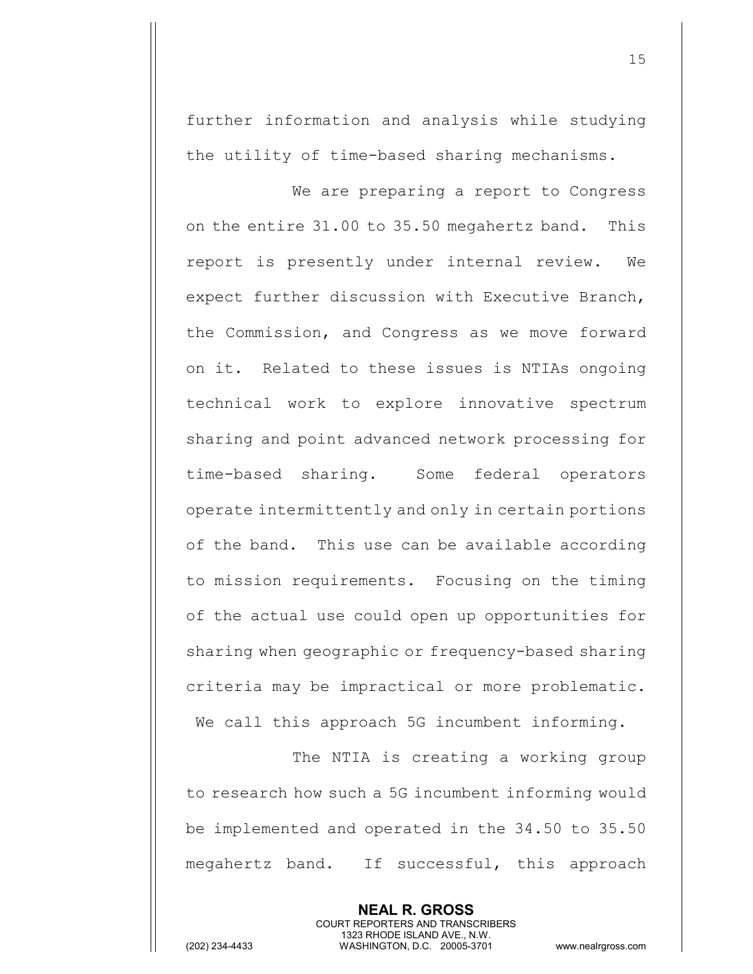further information and analysis while studying the utility of time-based sharing mechanisms.

We are preparing a report to Congress on the entire 31.00 to 35.50 megahertz band. This report is presently under internal review. We expect further discussion with Executive Branch, the Commission, and Congress as we move forward on it. Related to these issues is NTIAs ongoing technical work to explore innovative spectrum sharing and point advanced network processing for time-based sharing. Some federal operators operate intermittently and only in certain portions of the band. This use can be available according to mission requirements. Focusing on the timing of the actual use could open up opportunities for sharing when geographic or frequency-based sharing criteria may be impractical or more problematic. We call this approach 5G incumbent informing.

The NTIA is creating a working group to research how such a 5G incumbent informing would be implemented and operated in the 34.50 to 35.50 megahertz band. If successful, this approach

> **NEAL R. GROSS** COURT REPORTERS AND TRANSCRIBERS 1323 RHODE ISLAND AVE., N.W.

(202) 234-4433 WASHINGTON, D.C. 20005-3701 www.nealrgross.com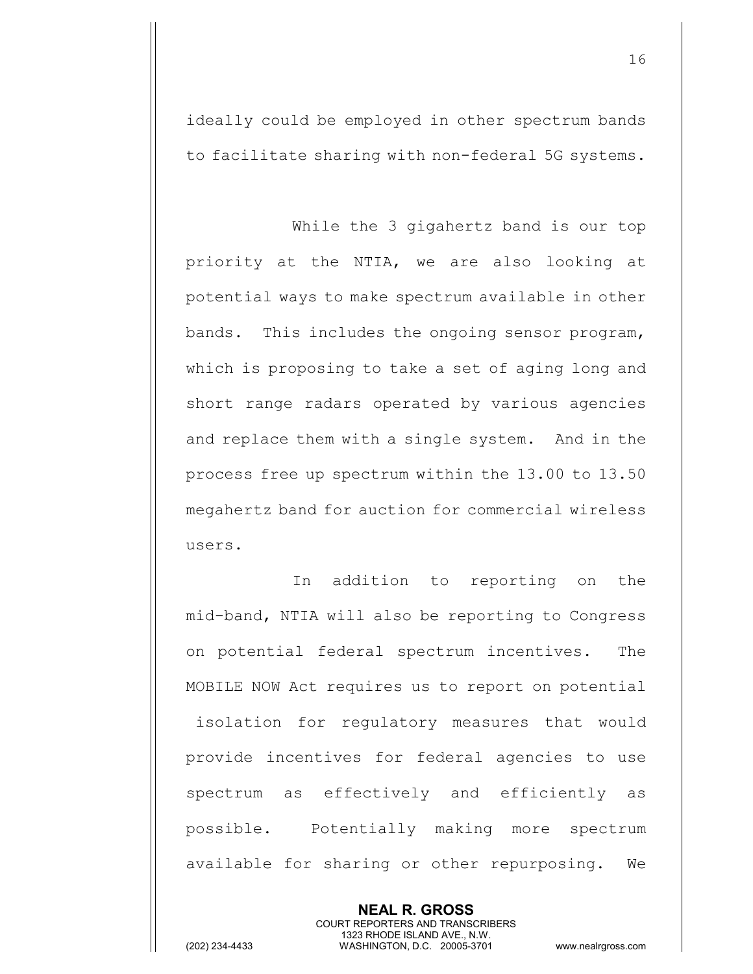ideally could be employed in other spectrum bands to facilitate sharing with non-federal 5G systems.

While the 3 gigahertz band is our top priority at the NTIA, we are also looking at potential ways to make spectrum available in other bands. This includes the ongoing sensor program, which is proposing to take a set of aging long and short range radars operated by various agencies and replace them with a single system. And in the process free up spectrum within the 13.00 to 13.50 megahertz band for auction for commercial wireless users.

In addition to reporting on the mid-band, NTIA will also be reporting to Congress on potential federal spectrum incentives. The MOBILE NOW Act requires us to report on potential isolation for regulatory measures that would provide incentives for federal agencies to use spectrum as effectively and efficiently as possible. Potentially making more spectrum available for sharing or other repurposing. We

> **NEAL R. GROSS** COURT REPORTERS AND TRANSCRIBERS 1323 RHODE ISLAND AVE., N.W.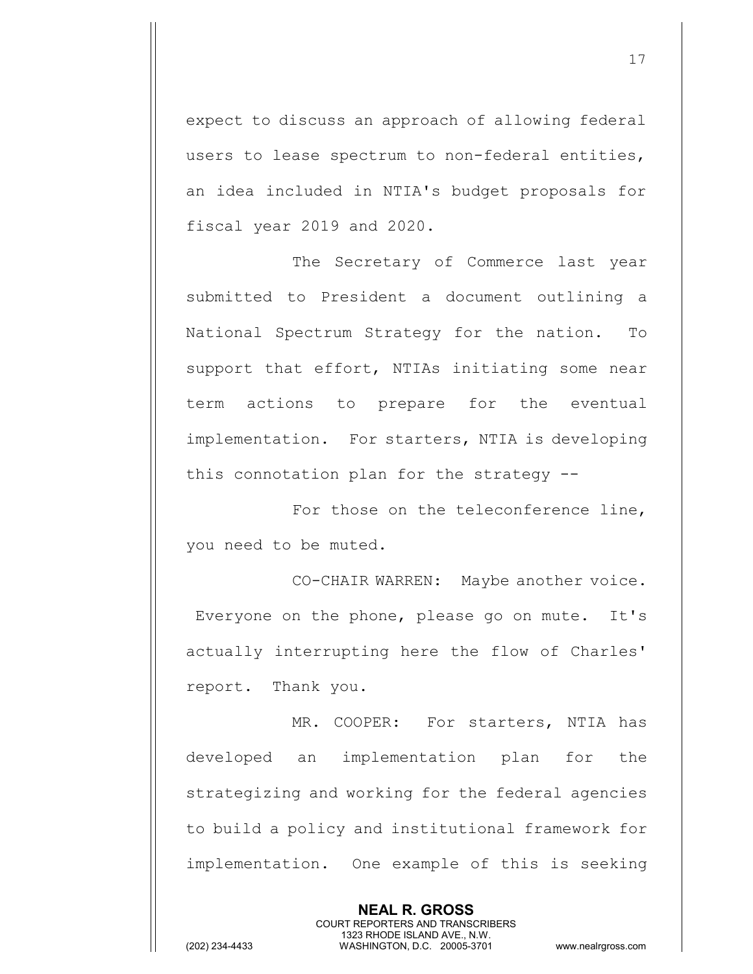expect to discuss an approach of allowing federal users to lease spectrum to non-federal entities, an idea included in NTIA's budget proposals for fiscal year 2019 and 2020.

The Secretary of Commerce last year submitted to President a document outlining a National Spectrum Strategy for the nation. To support that effort, NTIAs initiating some near term actions to prepare for the eventual implementation. For starters, NTIA is developing this connotation plan for the strategy --

For those on the teleconference line, you need to be muted.

CO-CHAIR WARREN: Maybe another voice. Everyone on the phone, please go on mute. It's actually interrupting here the flow of Charles' report. Thank you.

MR. COOPER: For starters, NTIA has developed an implementation plan for the strategizing and working for the federal agencies to build a policy and institutional framework for implementation. One example of this is seeking

> **NEAL R. GROSS** COURT REPORTERS AND TRANSCRIBERS 1323 RHODE ISLAND AVE., N.W.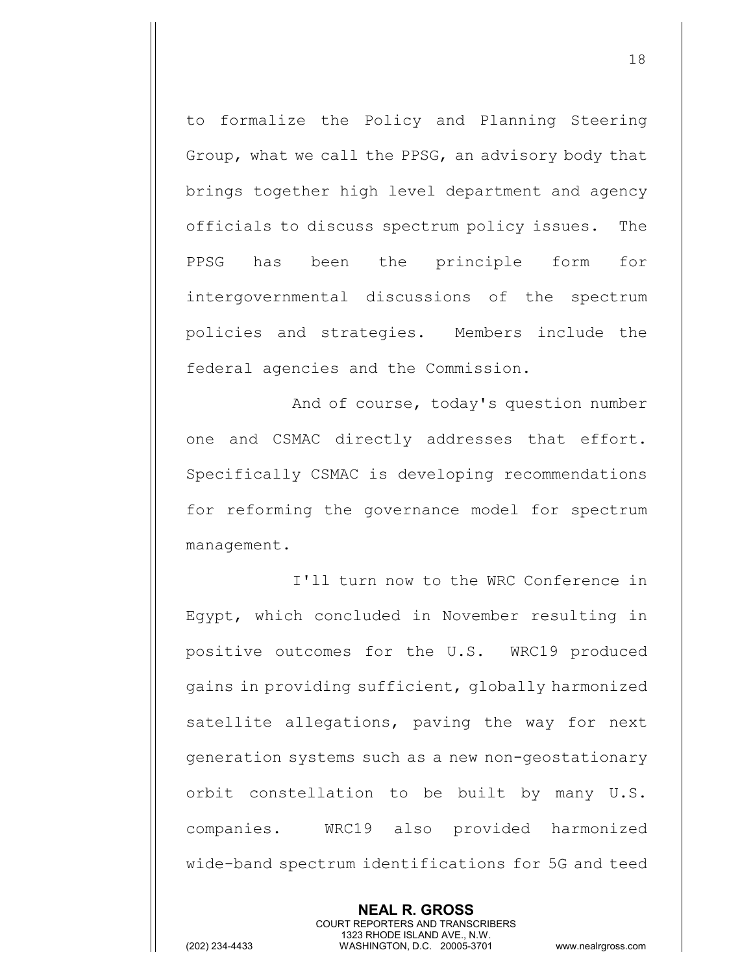to formalize the Policy and Planning Steering Group, what we call the PPSG, an advisory body that brings together high level department and agency officials to discuss spectrum policy issues. The PPSG has been the principle form for intergovernmental discussions of the spectrum policies and strategies. Members include the federal agencies and the Commission.

And of course, today's question number one and CSMAC directly addresses that effort. Specifically CSMAC is developing recommendations for reforming the governance model for spectrum management.

I'll turn now to the WRC Conference in Egypt, which concluded in November resulting in positive outcomes for the U.S. WRC19 produced gains in providing sufficient, globally harmonized satellite allegations, paving the way for next generation systems such as a new non-geostationary orbit constellation to be built by many U.S. companies. WRC19 also provided harmonized wide-band spectrum identifications for 5G and teed

> **NEAL R. GROSS** COURT REPORTERS AND TRANSCRIBERS 1323 RHODE ISLAND AVE., N.W.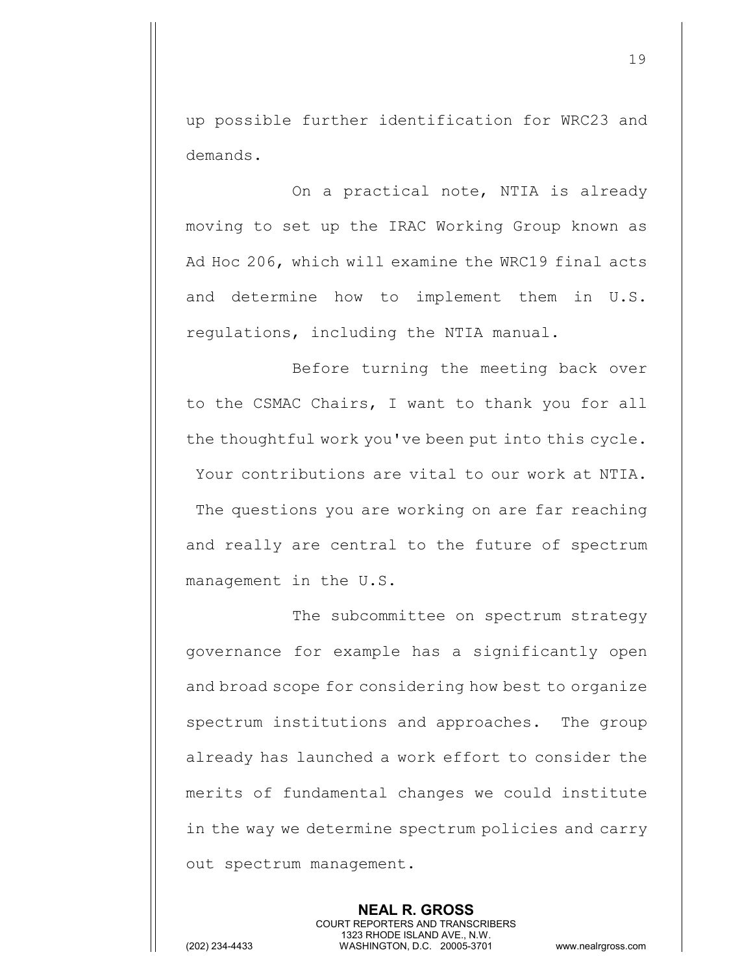up possible further identification for WRC23 and demands.

On a practical note, NTIA is already moving to set up the IRAC Working Group known as Ad Hoc 206, which will examine the WRC19 final acts and determine how to implement them in U.S. regulations, including the NTIA manual.

Before turning the meeting back over to the CSMAC Chairs, I want to thank you for all the thoughtful work you've been put into this cycle. Your contributions are vital to our work at NTIA. The questions you are working on are far reaching and really are central to the future of spectrum management in the U.S.

The subcommittee on spectrum strategy governance for example has a significantly open and broad scope for considering how best to organize spectrum institutions and approaches. The group already has launched a work effort to consider the merits of fundamental changes we could institute in the way we determine spectrum policies and carry out spectrum management.

> **NEAL R. GROSS** COURT REPORTERS AND TRANSCRIBERS 1323 RHODE ISLAND AVE., N.W.

(202) 234-4433 WASHINGTON, D.C. 20005-3701 www.nealrgross.com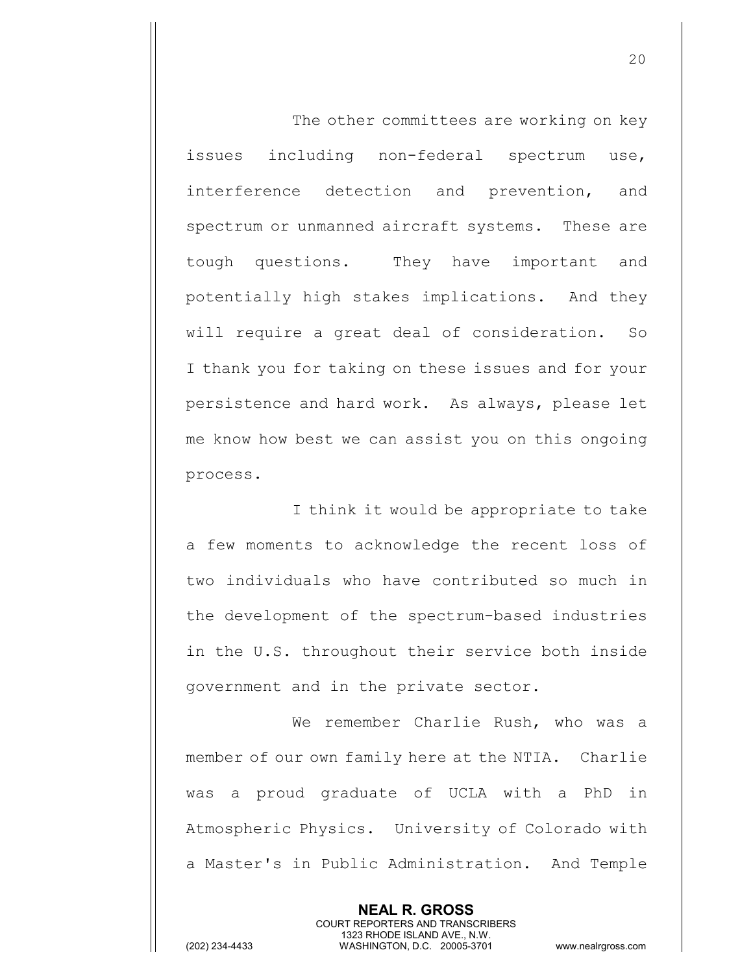The other committees are working on key issues including non-federal spectrum use, interference detection and prevention, and spectrum or unmanned aircraft systems. These are tough questions. They have important and potentially high stakes implications. And they will require a great deal of consideration. So I thank you for taking on these issues and for your persistence and hard work. As always, please let me know how best we can assist you on this ongoing process.

I think it would be appropriate to take a few moments to acknowledge the recent loss of two individuals who have contributed so much in the development of the spectrum-based industries in the U.S. throughout their service both inside government and in the private sector.

We remember Charlie Rush, who was a member of our own family here at the NTIA. Charlie was a proud graduate of UCLA with a PhD in Atmospheric Physics. University of Colorado with a Master's in Public Administration. And Temple

> **NEAL R. GROSS** COURT REPORTERS AND TRANSCRIBERS 1323 RHODE ISLAND AVE., N.W.

(202) 234-4433 WASHINGTON, D.C. 20005-3701 www.nealrgross.com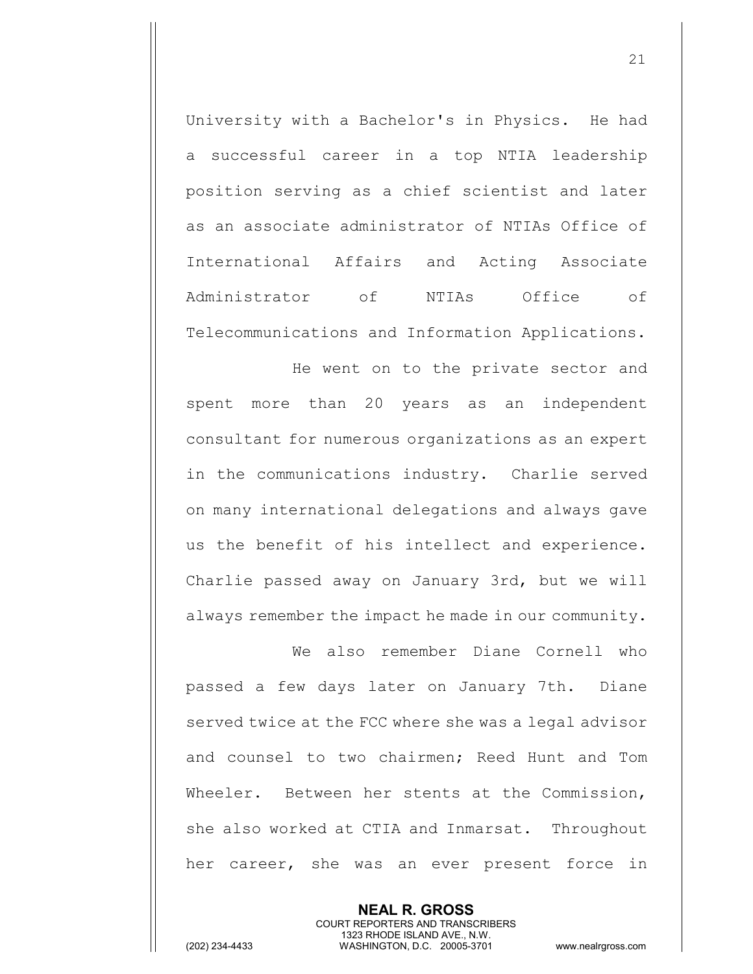University with a Bachelor's in Physics. He had a successful career in a top NTIA leadership position serving as a chief scientist and later as an associate administrator of NTIAs Office of International Affairs and Acting Associate Administrator of NTIAs Office of Telecommunications and Information Applications.

He went on to the private sector and spent more than 20 years as an independent consultant for numerous organizations as an expert in the communications industry. Charlie served on many international delegations and always gave us the benefit of his intellect and experience. Charlie passed away on January 3rd, but we will always remember the impact he made in our community.

We also remember Diane Cornell who passed a few days later on January 7th. Diane served twice at the FCC where she was a legal advisor and counsel to two chairmen; Reed Hunt and Tom Wheeler. Between her stents at the Commission, she also worked at CTIA and Inmarsat. Throughout her career, she was an ever present force in

> **NEAL R. GROSS** COURT REPORTERS AND TRANSCRIBERS 1323 RHODE ISLAND AVE., N.W.

(202) 234-4433 WASHINGTON, D.C. 20005-3701 www.nealrgross.com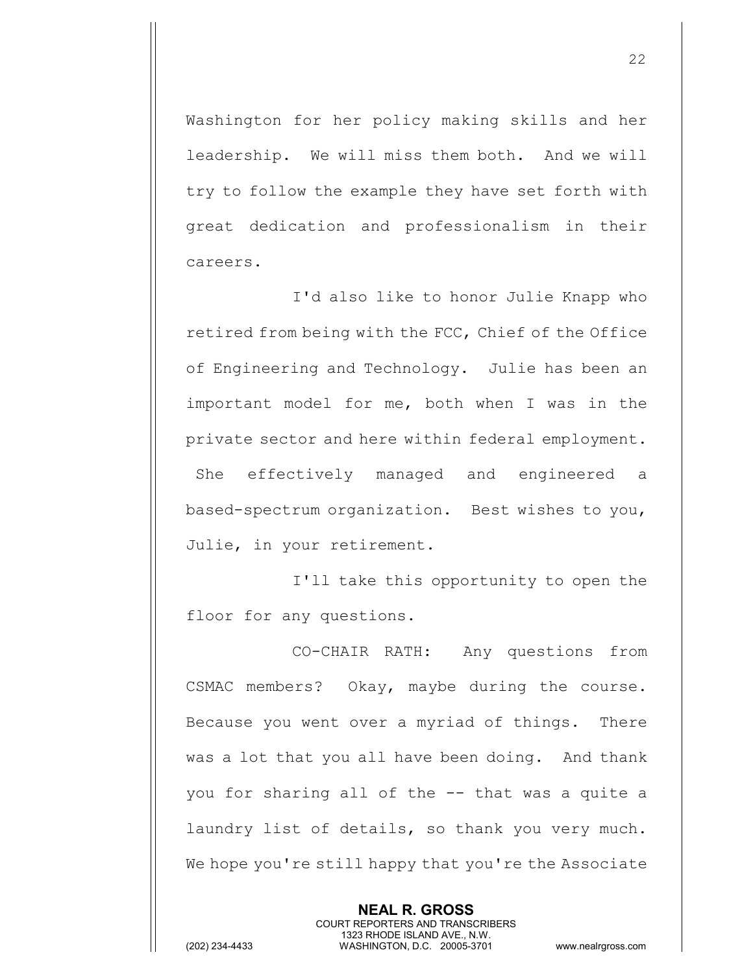Washington for her policy making skills and her leadership. We will miss them both. And we will try to follow the example they have set forth with great dedication and professionalism in their careers.

I'd also like to honor Julie Knapp who retired from being with the FCC, Chief of the Office of Engineering and Technology. Julie has been an important model for me, both when I was in the private sector and here within federal employment. She effectively managed and engineered a based-spectrum organization. Best wishes to you, Julie, in your retirement.

I'll take this opportunity to open the floor for any questions.

CO-CHAIR RATH: Any questions from CSMAC members? Okay, maybe during the course. Because you went over a myriad of things. There was a lot that you all have been doing. And thank you for sharing all of the -- that was a quite a laundry list of details, so thank you very much. We hope you're still happy that you're the Associate

> **NEAL R. GROSS** COURT REPORTERS AND TRANSCRIBERS 1323 RHODE ISLAND AVE., N.W.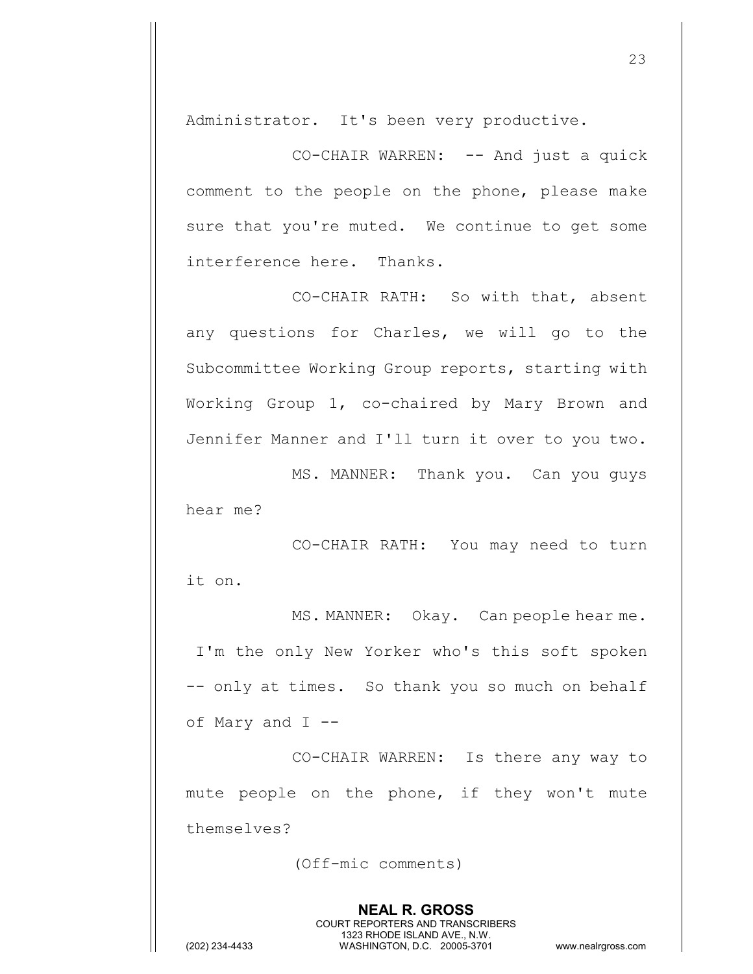Administrator. It's been very productive.

CO-CHAIR WARREN: -- And just a quick comment to the people on the phone, please make sure that you're muted. We continue to get some interference here. Thanks.

CO-CHAIR RATH: So with that, absent any questions for Charles, we will go to the Subcommittee Working Group reports, starting with Working Group 1, co-chaired by Mary Brown and Jennifer Manner and I'll turn it over to you two.

MS. MANNER: Thank you. Can you guys hear me?

CO-CHAIR RATH: You may need to turn it on.

MS. MANNER: Okay. Can people hear me. I'm the only New Yorker who's this soft spoken -- only at times. So thank you so much on behalf of Mary and I --

CO-CHAIR WARREN: Is there any way to mute people on the phone, if they won't mute themselves?

(Off-mic comments)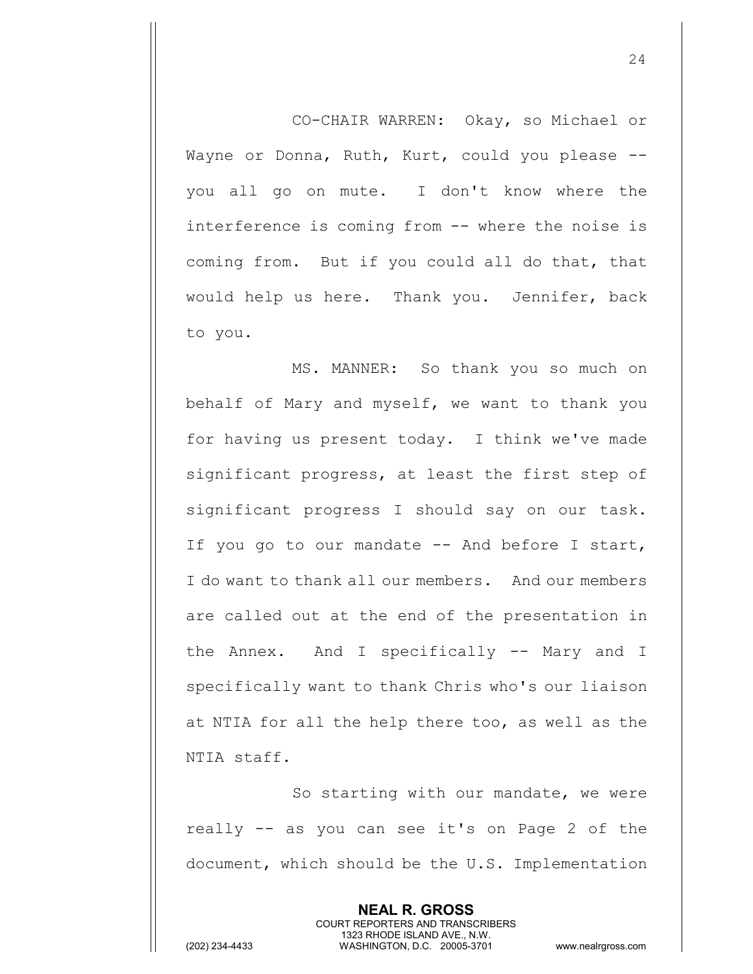CO-CHAIR WARREN: Okay, so Michael or Wayne or Donna, Ruth, Kurt, could you please - you all go on mute. I don't know where the interference is coming from -- where the noise is coming from. But if you could all do that, that would help us here. Thank you. Jennifer, back to you.

MS. MANNER: So thank you so much on behalf of Mary and myself, we want to thank you for having us present today. I think we've made significant progress, at least the first step of significant progress I should say on our task. If you go to our mandate -- And before I start, I do want to thank all our members. And our members are called out at the end of the presentation in the Annex. And I specifically -- Mary and I specifically want to thank Chris who's our liaison at NTIA for all the help there too, as well as the NTIA staff.

So starting with our mandate, we were really -- as you can see it's on Page 2 of the document, which should be the U.S. Implementation

> **NEAL R. GROSS** COURT REPORTERS AND TRANSCRIBERS 1323 RHODE ISLAND AVE., N.W.

(202) 234-4433 WASHINGTON, D.C. 20005-3701 www.nealrgross.com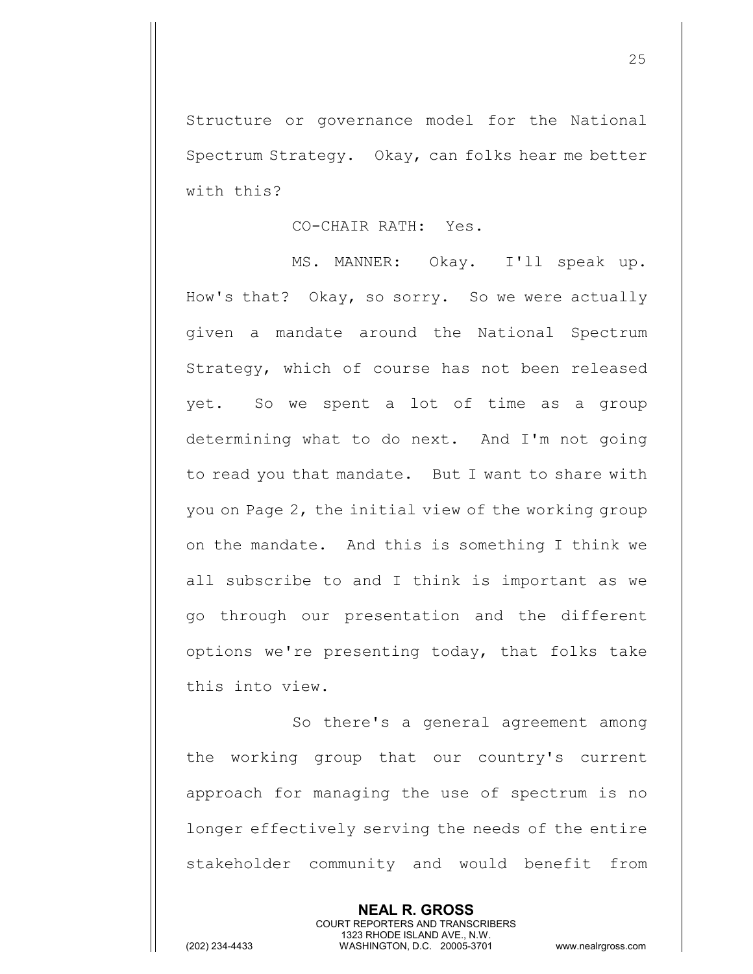Structure or governance model for the National Spectrum Strategy. Okay, can folks hear me better with this?

## CO-CHAIR RATH: Yes.

MS. MANNER: Okay. I'll speak up. How's that? Okay, so sorry. So we were actually given a mandate around the National Spectrum Strategy, which of course has not been released yet. So we spent a lot of time as a group determining what to do next. And I'm not going to read you that mandate. But I want to share with you on Page 2, the initial view of the working group on the mandate. And this is something I think we all subscribe to and I think is important as we go through our presentation and the different options we're presenting today, that folks take this into view.

So there's a general agreement among the working group that our country's current approach for managing the use of spectrum is no longer effectively serving the needs of the entire stakeholder community and would benefit from

> **NEAL R. GROSS** COURT REPORTERS AND TRANSCRIBERS 1323 RHODE ISLAND AVE., N.W.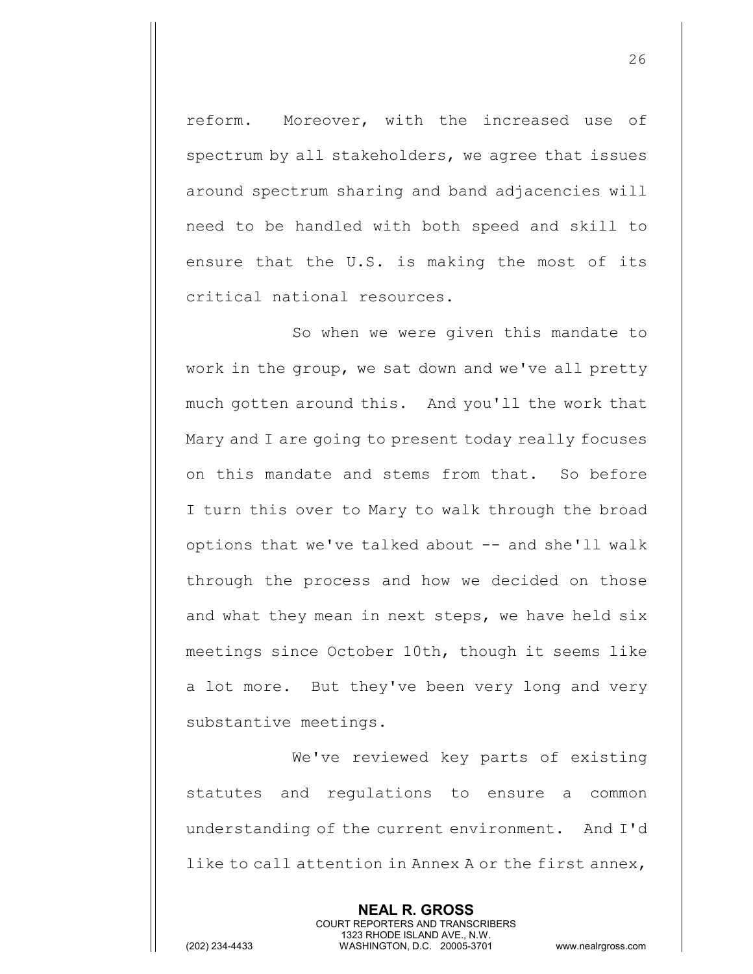reform. Moreover, with the increased use of spectrum by all stakeholders, we agree that issues around spectrum sharing and band adjacencies will need to be handled with both speed and skill to ensure that the U.S. is making the most of its critical national resources.

So when we were given this mandate to work in the group, we sat down and we've all pretty much gotten around this. And you'll the work that Mary and I are going to present today really focuses on this mandate and stems from that. So before I turn this over to Mary to walk through the broad options that we've talked about  $-$  and she'll walk through the process and how we decided on those and what they mean in next steps, we have held six meetings since October 10th, though it seems like a lot more. But they've been very long and very substantive meetings.

We've reviewed key parts of existing statutes and regulations to ensure a common understanding of the current environment. And I'd like to call attention in Annex A or the first annex,

> **NEAL R. GROSS** COURT REPORTERS AND TRANSCRIBERS 1323 RHODE ISLAND AVE., N.W.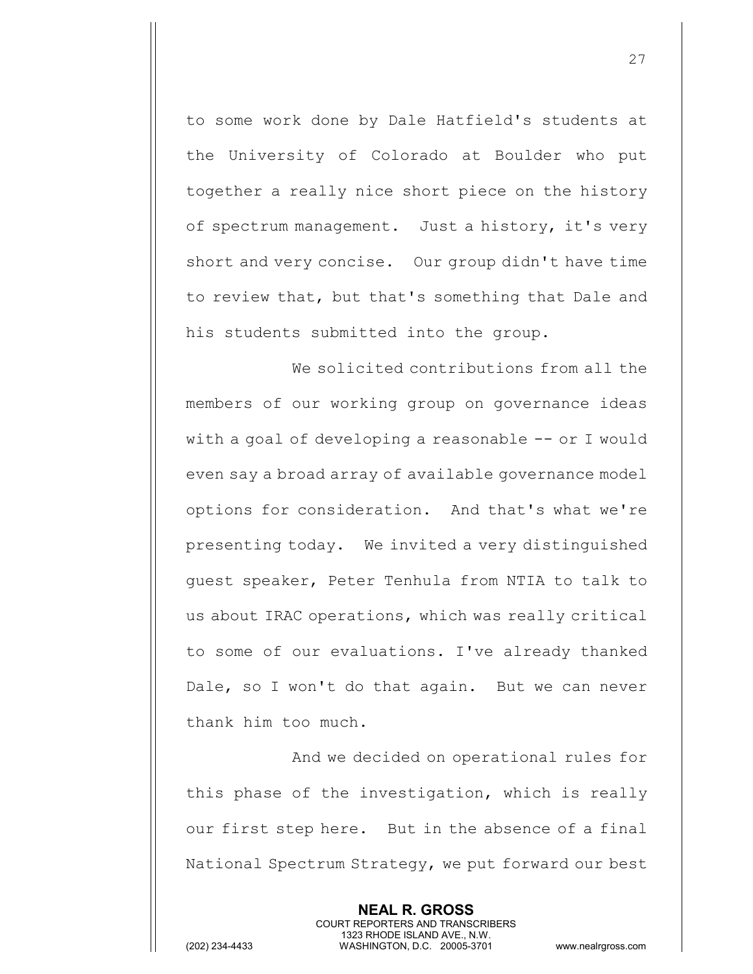to some work done by Dale Hatfield's students at the University of Colorado at Boulder who put together a really nice short piece on the history of spectrum management. Just a history, it's very short and very concise. Our group didn't have time to review that, but that's something that Dale and his students submitted into the group.

We solicited contributions from all the members of our working group on governance ideas with a goal of developing a reasonable -- or I would even say a broad array of available governance model options for consideration. And that's what we're presenting today. We invited a very distinguished guest speaker, Peter Tenhula from NTIA to talk to us about IRAC operations, which was really critical to some of our evaluations. I've already thanked Dale, so I won't do that again. But we can never thank him too much.

And we decided on operational rules for this phase of the investigation, which is really our first step here. But in the absence of a final National Spectrum Strategy, we put forward our best

> **NEAL R. GROSS** COURT REPORTERS AND TRANSCRIBERS 1323 RHODE ISLAND AVE., N.W.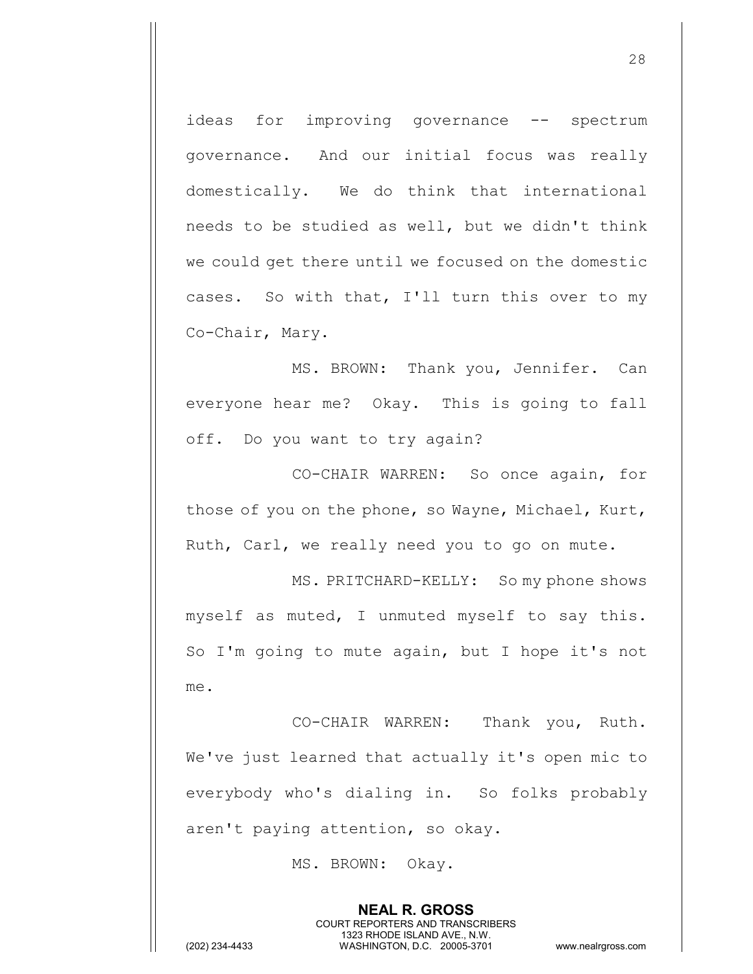ideas for improving governance -- spectrum governance. And our initial focus was really domestically. We do think that international needs to be studied as well, but we didn't think we could get there until we focused on the domestic cases. So with that, I'll turn this over to my Co-Chair, Mary.

MS. BROWN: Thank you, Jennifer. Can everyone hear me? Okay. This is going to fall off. Do you want to try again?

CO-CHAIR WARREN: So once again, for those of you on the phone, so Wayne, Michael, Kurt, Ruth, Carl, we really need you to go on mute.

MS. PRITCHARD-KELLY: So my phone shows myself as muted, I unmuted myself to say this. So I'm going to mute again, but I hope it's not me.

CO-CHAIR WARREN: Thank you, Ruth. We've just learned that actually it's open mic to everybody who's dialing in. So folks probably aren't paying attention, so okay.

> **NEAL R. GROSS** COURT REPORTERS AND TRANSCRIBERS 1323 RHODE ISLAND AVE., N.W.

MS. BROWN: Okay.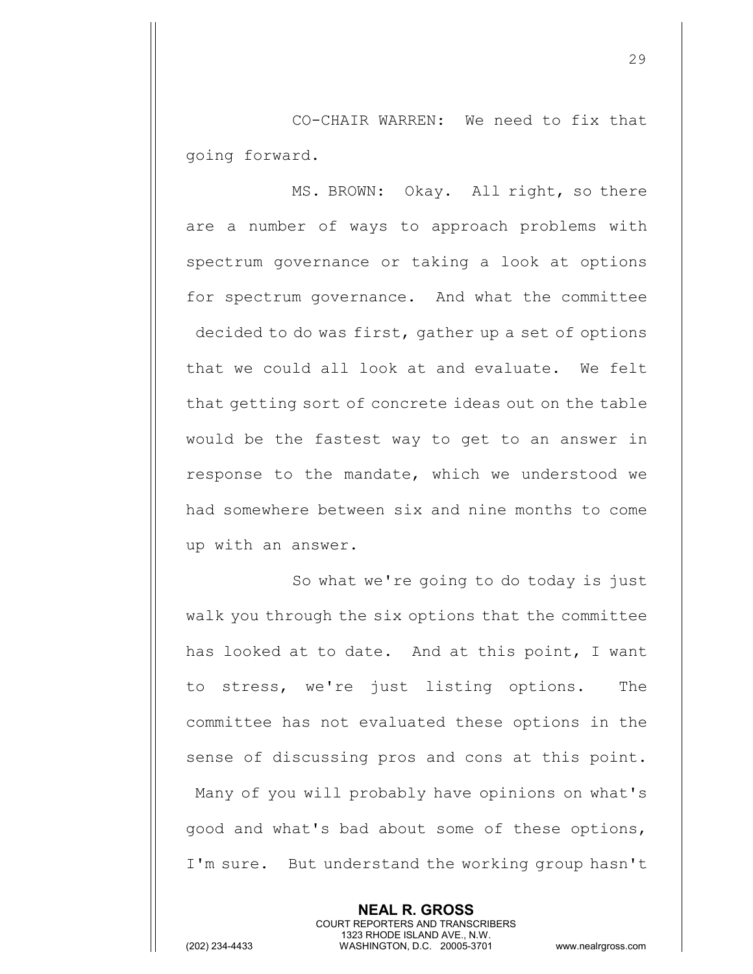CO-CHAIR WARREN: We need to fix that going forward.

MS. BROWN: Okay. All right, so there are a number of ways to approach problems with spectrum governance or taking a look at options for spectrum governance. And what the committee decided to do was first, gather up a set of options that we could all look at and evaluate. We felt that getting sort of concrete ideas out on the table would be the fastest way to get to an answer in response to the mandate, which we understood we had somewhere between six and nine months to come up with an answer.

So what we're going to do today is just walk you through the six options that the committee has looked at to date. And at this point, I want to stress, we're just listing options. The committee has not evaluated these options in the sense of discussing pros and cons at this point. Many of you will probably have opinions on what's good and what's bad about some of these options, I'm sure. But understand the working group hasn't

> **NEAL R. GROSS** COURT REPORTERS AND TRANSCRIBERS 1323 RHODE ISLAND AVE., N.W.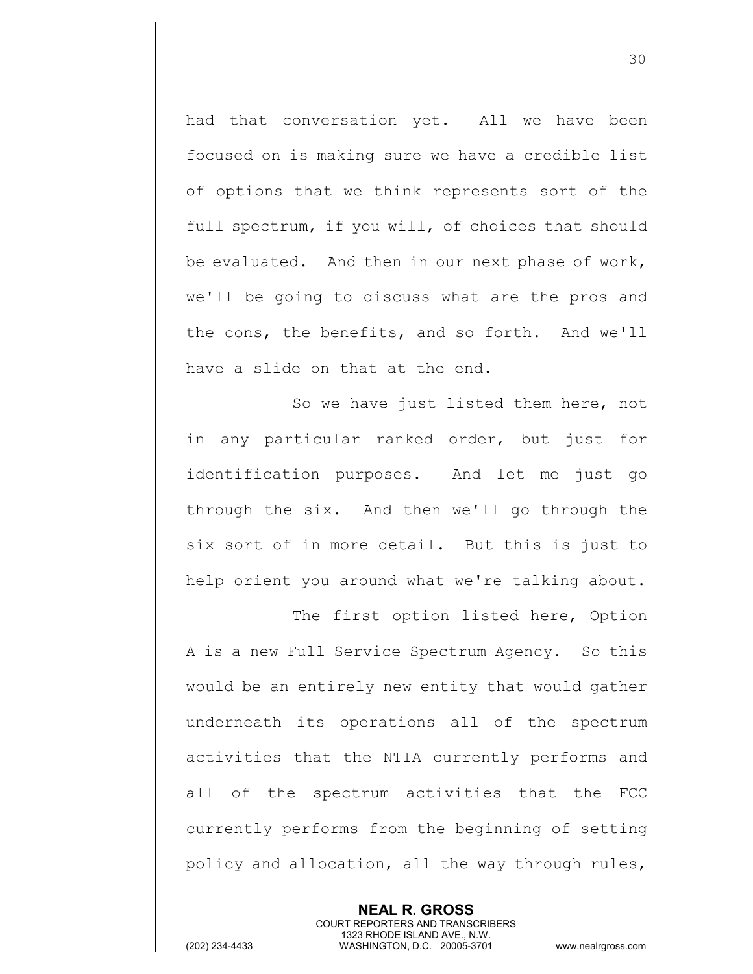had that conversation yet. All we have been focused on is making sure we have a credible list of options that we think represents sort of the full spectrum, if you will, of choices that should be evaluated. And then in our next phase of work, we'll be going to discuss what are the pros and the cons, the benefits, and so forth. And we'll have a slide on that at the end.

So we have just listed them here, not in any particular ranked order, but just for identification purposes. And let me just go through the six. And then we'll go through the six sort of in more detail. But this is just to help orient you around what we're talking about.

The first option listed here, Option A is a new Full Service Spectrum Agency. So this would be an entirely new entity that would gather underneath its operations all of the spectrum activities that the NTIA currently performs and all of the spectrum activities that the FCC currently performs from the beginning of setting policy and allocation, all the way through rules,

> **NEAL R. GROSS** COURT REPORTERS AND TRANSCRIBERS 1323 RHODE ISLAND AVE., N.W.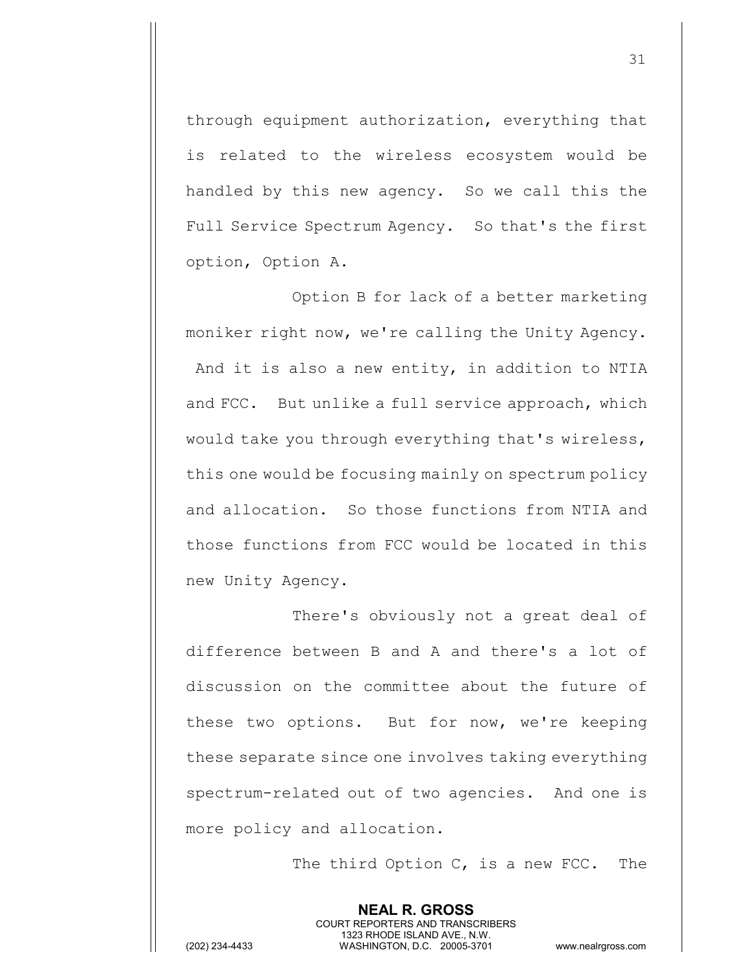through equipment authorization, everything that is related to the wireless ecosystem would be handled by this new agency. So we call this the Full Service Spectrum Agency. So that's the first option, Option A.

Option B for lack of a better marketing moniker right now, we're calling the Unity Agency. And it is also a new entity, in addition to NTIA and FCC. But unlike a full service approach, which would take you through everything that's wireless, this one would be focusing mainly on spectrum policy and allocation. So those functions from NTIA and those functions from FCC would be located in this new Unity Agency.

There's obviously not a great deal of difference between B and A and there's a lot of discussion on the committee about the future of these two options. But for now, we're keeping these separate since one involves taking everything spectrum-related out of two agencies. And one is more policy and allocation.

> **NEAL R. GROSS** COURT REPORTERS AND TRANSCRIBERS 1323 RHODE ISLAND AVE., N.W.

The third Option C, is a new FCC. The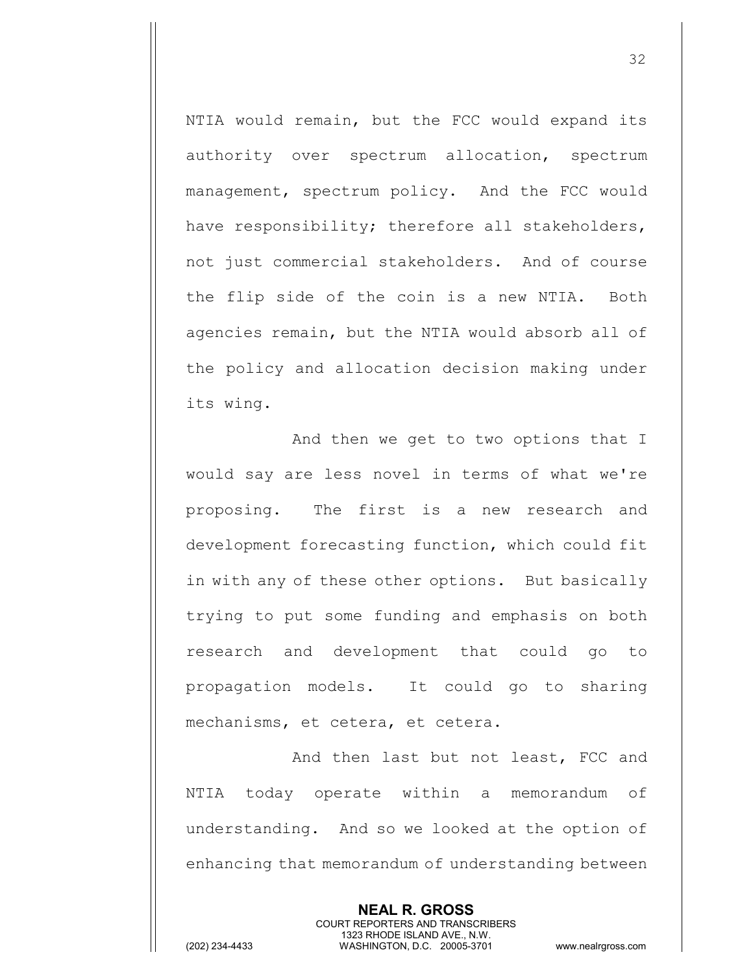NTIA would remain, but the FCC would expand its authority over spectrum allocation, spectrum management, spectrum policy. And the FCC would have responsibility; therefore all stakeholders, not just commercial stakeholders. And of course the flip side of the coin is a new NTIA. Both agencies remain, but the NTIA would absorb all of the policy and allocation decision making under its wing.

And then we get to two options that I would say are less novel in terms of what we're proposing. The first is a new research and development forecasting function, which could fit in with any of these other options. But basically trying to put some funding and emphasis on both research and development that could go to propagation models. It could go to sharing mechanisms, et cetera, et cetera.

And then last but not least, FCC and NTIA today operate within a memorandum of understanding. And so we looked at the option of enhancing that memorandum of understanding between

> **NEAL R. GROSS** COURT REPORTERS AND TRANSCRIBERS 1323 RHODE ISLAND AVE., N.W.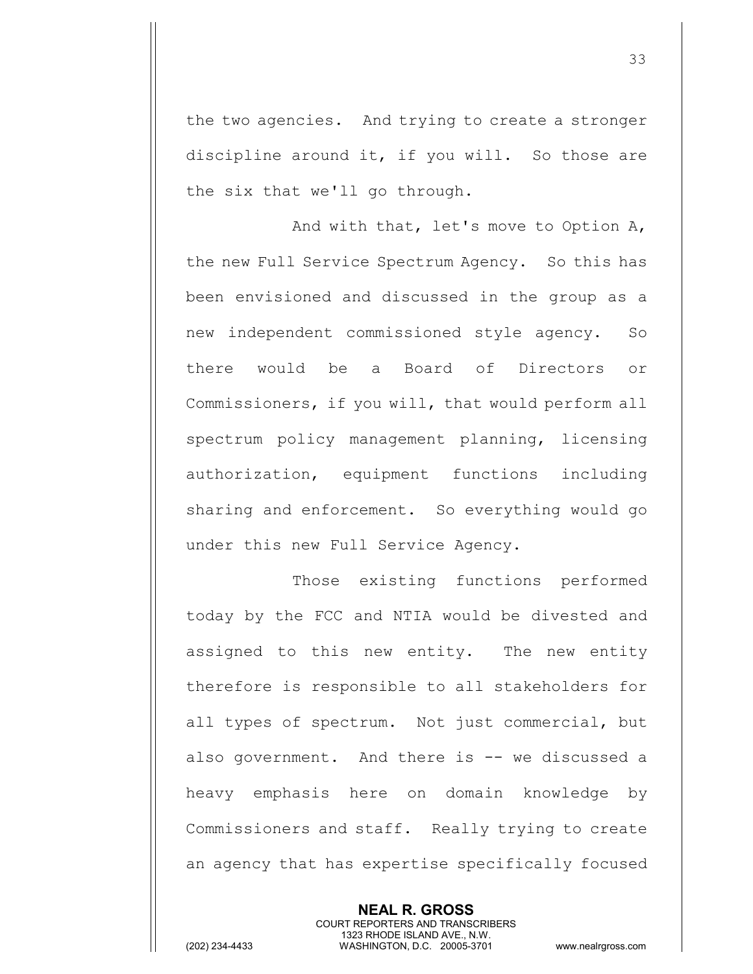the two agencies. And trying to create a stronger discipline around it, if you will. So those are the six that we'll go through.

And with that, let's move to Option A, the new Full Service Spectrum Agency. So this has been envisioned and discussed in the group as a new independent commissioned style agency. So there would be a Board of Directors or Commissioners, if you will, that would perform all spectrum policy management planning, licensing authorization, equipment functions including sharing and enforcement. So everything would go under this new Full Service Agency.

Those existing functions performed today by the FCC and NTIA would be divested and assigned to this new entity. The new entity therefore is responsible to all stakeholders for all types of spectrum. Not just commercial, but also government. And there is -- we discussed a heavy emphasis here on domain knowledge by Commissioners and staff. Really trying to create an agency that has expertise specifically focused

> **NEAL R. GROSS** COURT REPORTERS AND TRANSCRIBERS 1323 RHODE ISLAND AVE., N.W.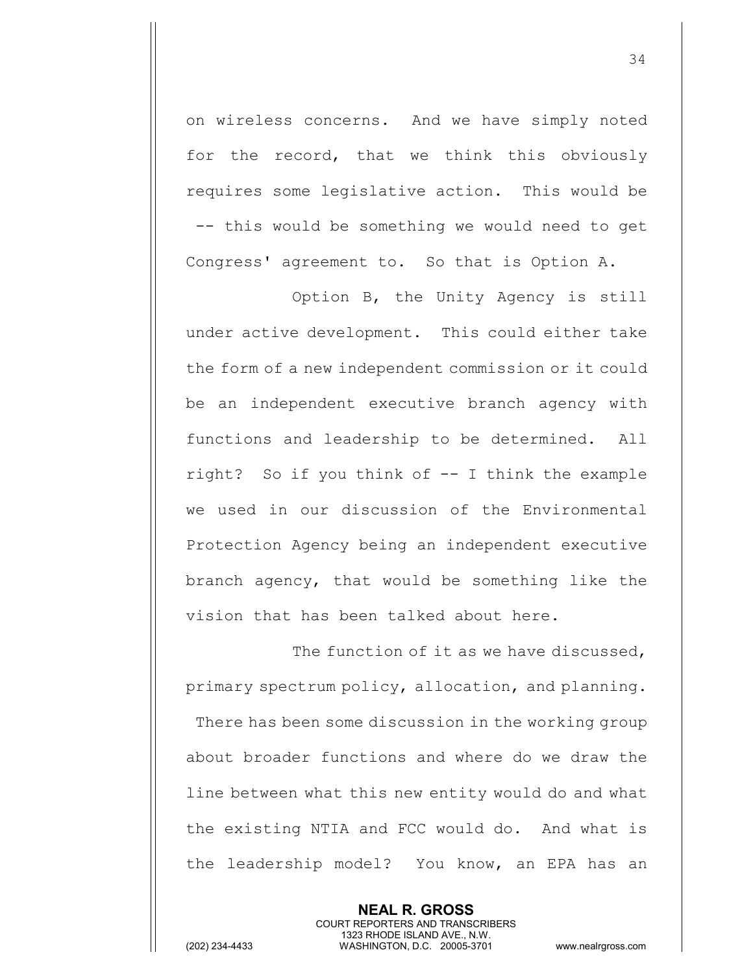on wireless concerns. And we have simply noted for the record, that we think this obviously requires some legislative action. This would be -- this would be something we would need to get Congress' agreement to. So that is Option A.

Option B, the Unity Agency is still under active development. This could either take the form of a new independent commission or it could be an independent executive branch agency with functions and leadership to be determined. All right? So if you think of -- I think the example we used in our discussion of the Environmental Protection Agency being an independent executive branch agency, that would be something like the vision that has been talked about here.

The function of it as we have discussed, primary spectrum policy, allocation, and planning. There has been some discussion in the working group about broader functions and where do we draw the line between what this new entity would do and what the existing NTIA and FCC would do. And what is the leadership model? You know, an EPA has an

> **NEAL R. GROSS** COURT REPORTERS AND TRANSCRIBERS 1323 RHODE ISLAND AVE., N.W.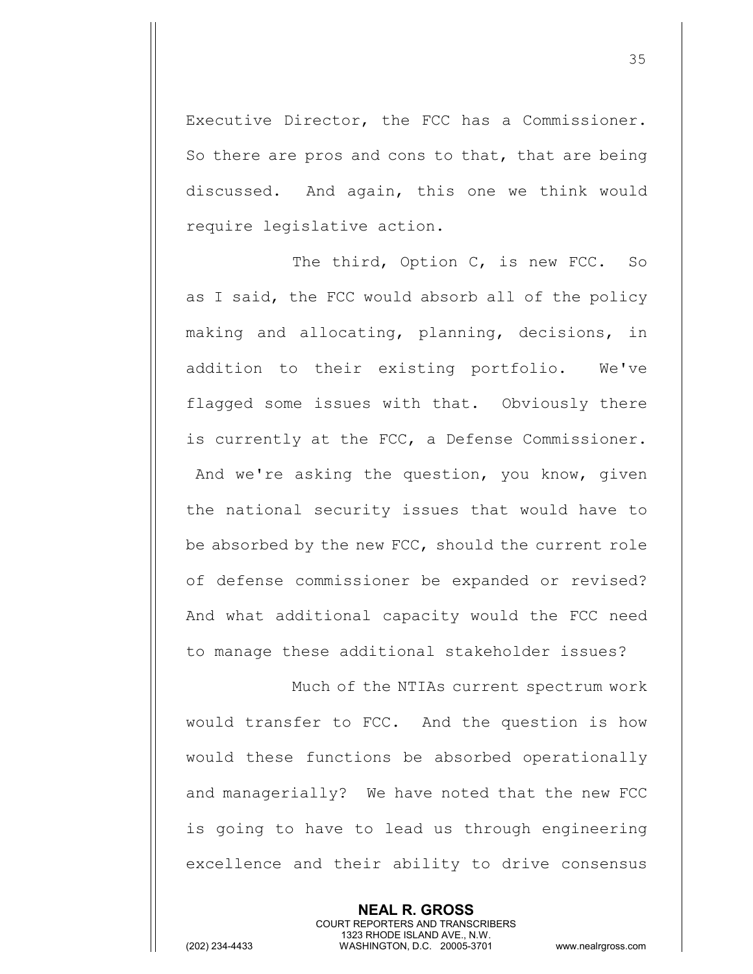Executive Director, the FCC has a Commissioner. So there are pros and cons to that, that are being discussed. And again, this one we think would require legislative action.

The third, Option C, is new FCC. So as I said, the FCC would absorb all of the policy making and allocating, planning, decisions, in addition to their existing portfolio. We've flagged some issues with that. Obviously there is currently at the FCC, a Defense Commissioner. And we're asking the question, you know, given the national security issues that would have to be absorbed by the new FCC, should the current role of defense commissioner be expanded or revised? And what additional capacity would the FCC need to manage these additional stakeholder issues?

Much of the NTIAs current spectrum work would transfer to FCC. And the question is how would these functions be absorbed operationally and managerially? We have noted that the new FCC is going to have to lead us through engineering excellence and their ability to drive consensus

> **NEAL R. GROSS** COURT REPORTERS AND TRANSCRIBERS 1323 RHODE ISLAND AVE., N.W.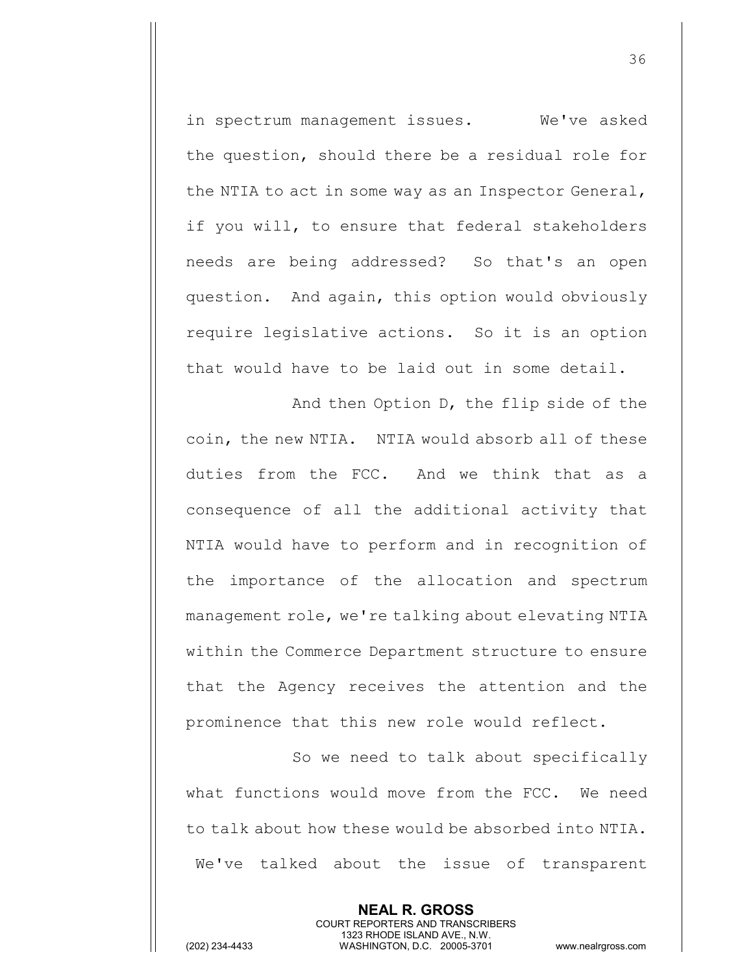in spectrum management issues. We've asked the question, should there be a residual role for the NTIA to act in some way as an Inspector General, if you will, to ensure that federal stakeholders needs are being addressed? So that's an open question. And again, this option would obviously require legislative actions. So it is an option that would have to be laid out in some detail.

And then Option D, the flip side of the coin, the new NTIA. NTIA would absorb all of these duties from the FCC. And we think that as a consequence of all the additional activity that NTIA would have to perform and in recognition of the importance of the allocation and spectrum management role, we're talking about elevating NTIA within the Commerce Department structure to ensure that the Agency receives the attention and the prominence that this new role would reflect.

So we need to talk about specifically what functions would move from the FCC. We need to talk about how these would be absorbed into NTIA. We've talked about the issue of transparent

> **NEAL R. GROSS** COURT REPORTERS AND TRANSCRIBERS 1323 RHODE ISLAND AVE., N.W.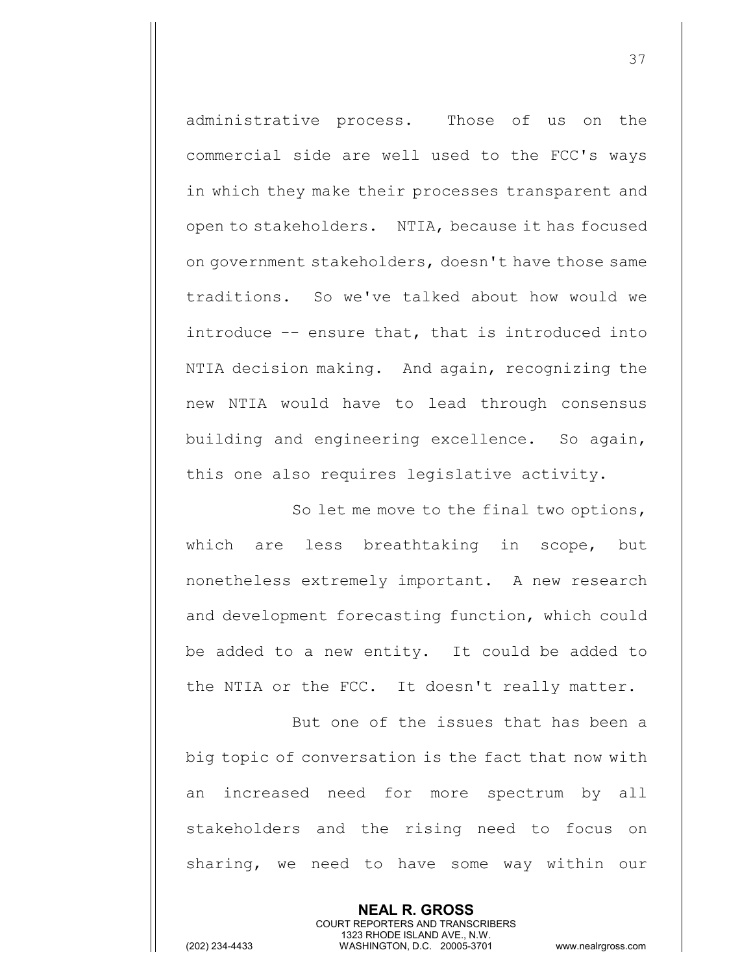administrative process. Those of us on the commercial side are well used to the FCC's ways in which they make their processes transparent and open to stakeholders. NTIA, because it has focused on government stakeholders, doesn't have those same traditions. So we've talked about how would we introduce -- ensure that, that is introduced into NTIA decision making. And again, recognizing the new NTIA would have to lead through consensus building and engineering excellence. So again, this one also requires legislative activity.

So let me move to the final two options, which are less breathtaking in scope, but nonetheless extremely important. A new research and development forecasting function, which could be added to a new entity. It could be added to the NTIA or the FCC. It doesn't really matter.

But one of the issues that has been a big topic of conversation is the fact that now with an increased need for more spectrum by all stakeholders and the rising need to focus on sharing, we need to have some way within our

> **NEAL R. GROSS** COURT REPORTERS AND TRANSCRIBERS 1323 RHODE ISLAND AVE., N.W.

(202) 234-4433 WASHINGTON, D.C. 20005-3701 www.nealrgross.com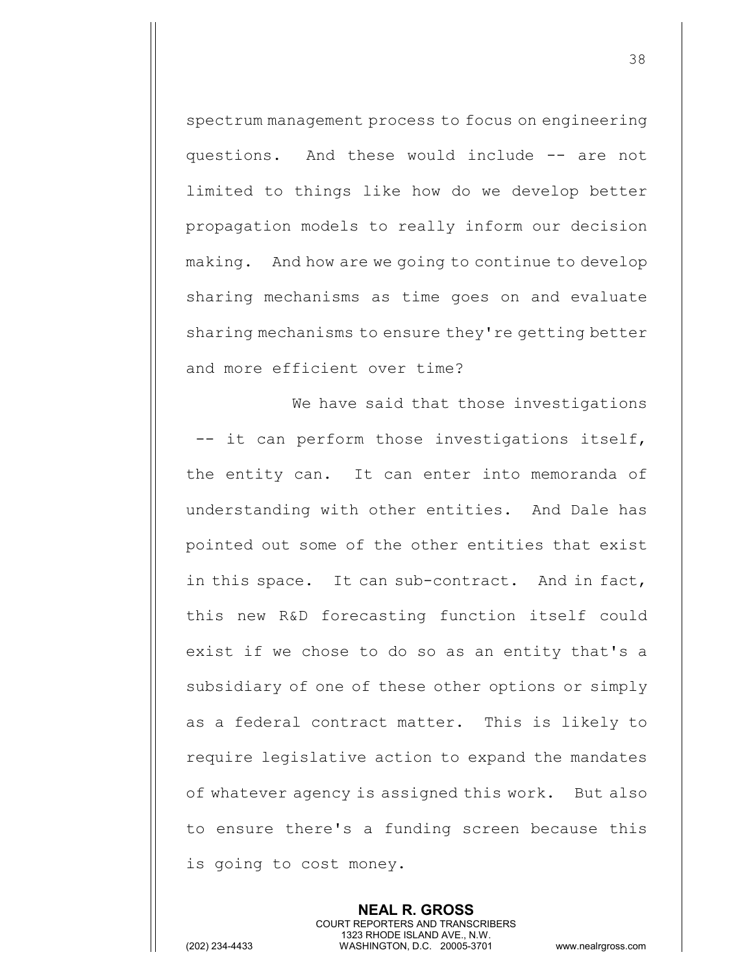spectrum management process to focus on engineering questions. And these would include -- are not limited to things like how do we develop better propagation models to really inform our decision making. And how are we going to continue to develop sharing mechanisms as time goes on and evaluate sharing mechanisms to ensure they're getting better and more efficient over time?

We have said that those investigations -- it can perform those investigations itself, the entity can. It can enter into memoranda of understanding with other entities. And Dale has pointed out some of the other entities that exist in this space. It can sub-contract. And in fact, this new R&D forecasting function itself could exist if we chose to do so as an entity that's a subsidiary of one of these other options or simply as a federal contract matter. This is likely to require legislative action to expand the mandates of whatever agency is assigned this work. But also to ensure there's a funding screen because this is going to cost money.

> **NEAL R. GROSS** COURT REPORTERS AND TRANSCRIBERS 1323 RHODE ISLAND AVE., N.W.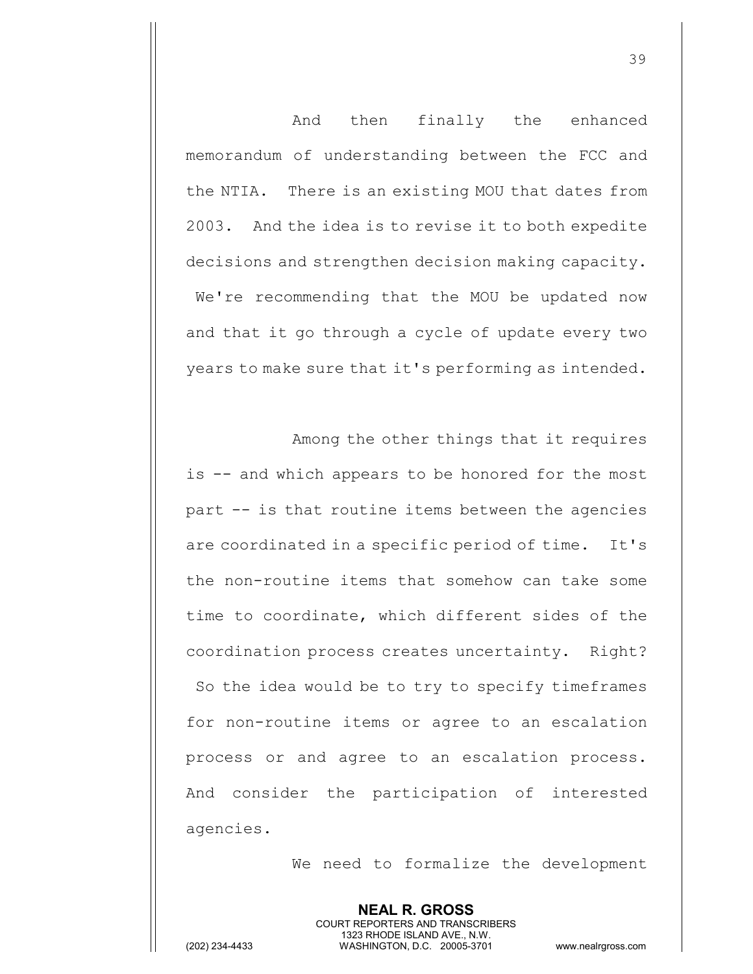And then finally the enhanced memorandum of understanding between the FCC and the NTIA. There is an existing MOU that dates from 2003. And the idea is to revise it to both expedite decisions and strengthen decision making capacity. We're recommending that the MOU be updated now and that it go through a cycle of update every two years to make sure that it's performing as intended.

Among the other things that it requires is -- and which appears to be honored for the most part -- is that routine items between the agencies are coordinated in a specific period of time. It's the non-routine items that somehow can take some time to coordinate, which different sides of the coordination process creates uncertainty. Right? So the idea would be to try to specify timeframes for non-routine items or agree to an escalation process or and agree to an escalation process. And consider the participation of interested agencies.

We need to formalize the development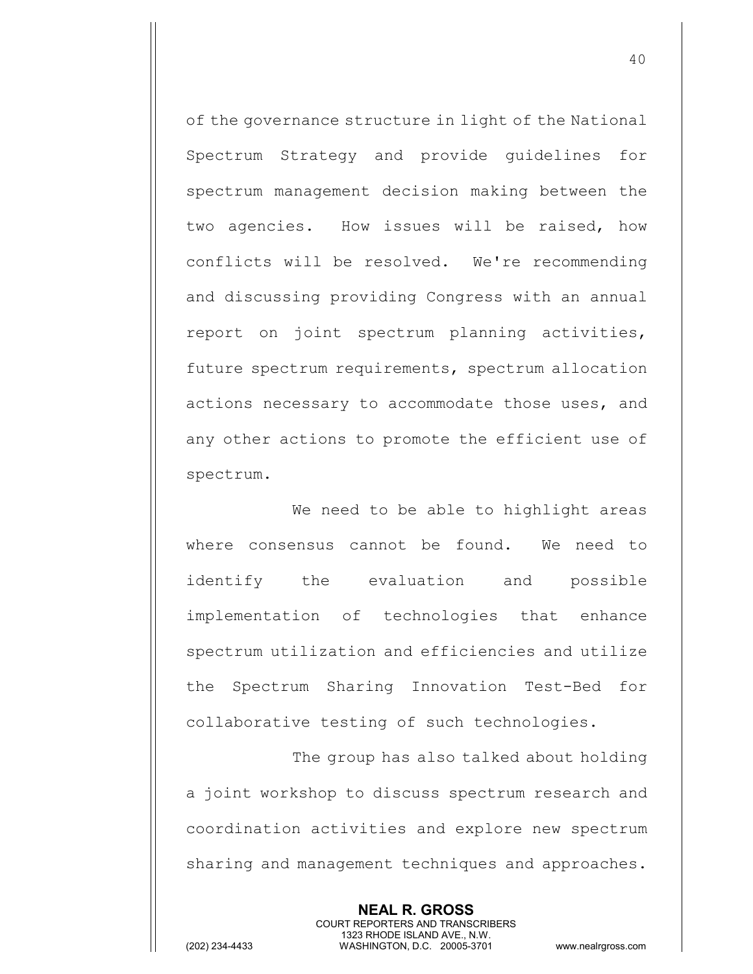of the governance structure in light of the National Spectrum Strategy and provide guidelines for spectrum management decision making between the two agencies. How issues will be raised, how conflicts will be resolved. We're recommending and discussing providing Congress with an annual report on joint spectrum planning activities, future spectrum requirements, spectrum allocation actions necessary to accommodate those uses, and any other actions to promote the efficient use of spectrum.

We need to be able to highlight areas where consensus cannot be found. We need to identify the evaluation and possible implementation of technologies that enhance spectrum utilization and efficiencies and utilize the Spectrum Sharing Innovation Test-Bed for collaborative testing of such technologies.

The group has also talked about holding a joint workshop to discuss spectrum research and coordination activities and explore new spectrum sharing and management techniques and approaches.

> **NEAL R. GROSS** COURT REPORTERS AND TRANSCRIBERS 1323 RHODE ISLAND AVE., N.W.

(202) 234-4433 WASHINGTON, D.C. 20005-3701 www.nealrgross.com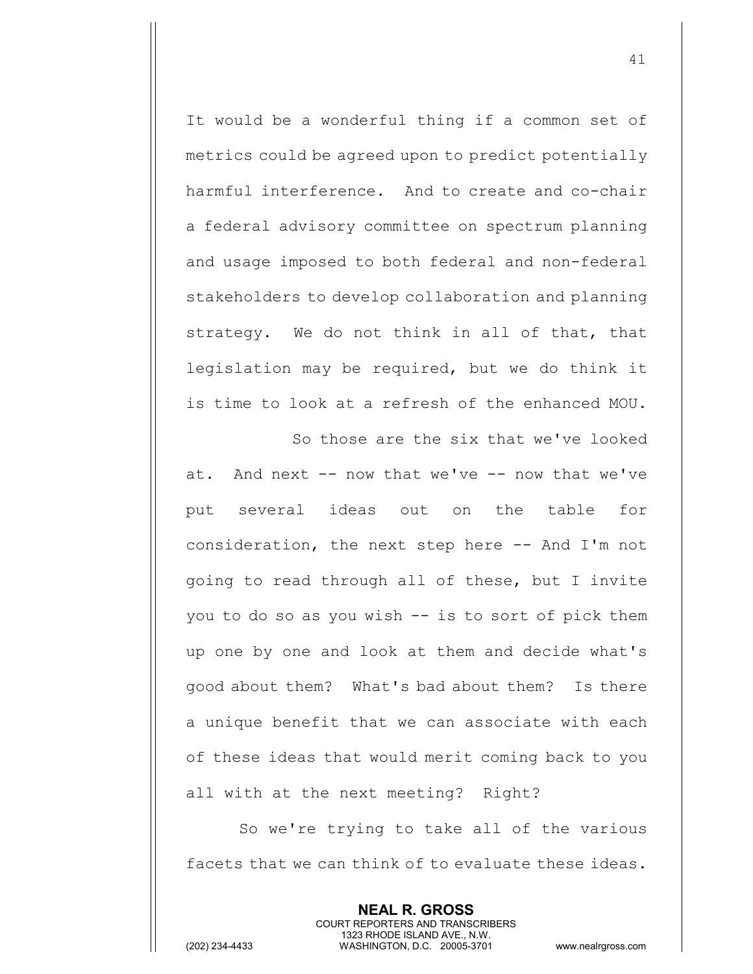It would be a wonderful thing if a common set of metrics could be agreed upon to predict potentially harmful interference. And to create and co-chair a federal advisory committee on spectrum planning and usage imposed to both federal and non-federal stakeholders to develop collaboration and planning strategy. We do not think in all of that, that legislation may be required, but we do think it is time to look at a refresh of the enhanced MOU.

So those are the six that we've looked at. And next -- now that we've -- now that we've put several ideas out on the table for consideration, the next step here -- And I'm not going to read through all of these, but I invite you to do so as you wish -- is to sort of pick them up one by one and look at them and decide what's good about them? What's bad about them? Is there a unique benefit that we can associate with each of these ideas that would merit coming back to you all with at the next meeting? Right?

So we're trying to take all of the various facets that we can think of to evaluate these ideas.

> **NEAL R. GROSS** COURT REPORTERS AND TRANSCRIBERS 1323 RHODE ISLAND AVE., N.W.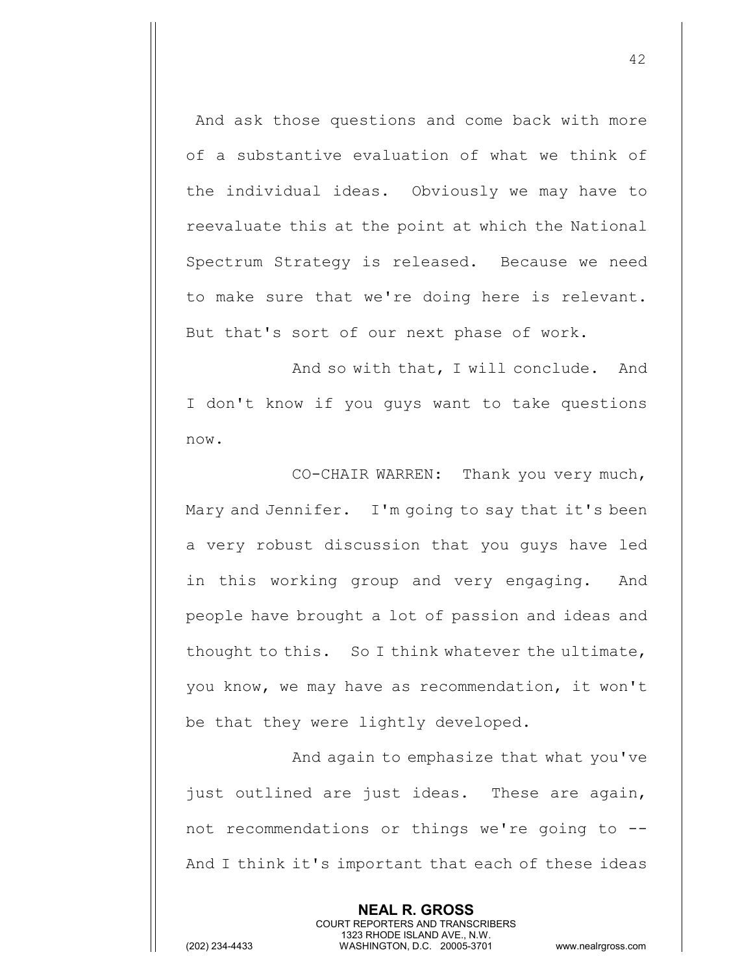And ask those questions and come back with more of a substantive evaluation of what we think of the individual ideas. Obviously we may have to reevaluate this at the point at which the National Spectrum Strategy is released. Because we need to make sure that we're doing here is relevant. But that's sort of our next phase of work.

And so with that, I will conclude. And I don't know if you guys want to take questions now.

CO-CHAIR WARREN: Thank you very much, Mary and Jennifer. I'm going to say that it's been a very robust discussion that you guys have led in this working group and very engaging. And people have brought a lot of passion and ideas and thought to this. So I think whatever the ultimate, you know, we may have as recommendation, it won't be that they were lightly developed.

And again to emphasize that what you've just outlined are just ideas. These are again, not recommendations or things we're going to -- And I think it's important that each of these ideas

> **NEAL R. GROSS** COURT REPORTERS AND TRANSCRIBERS 1323 RHODE ISLAND AVE., N.W.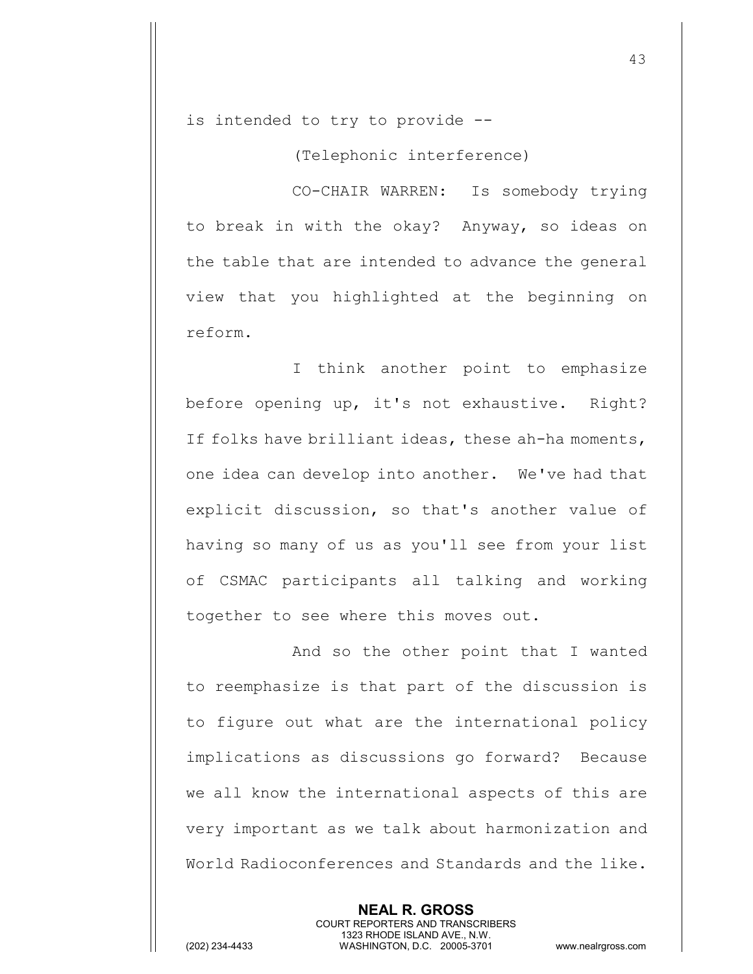is intended to try to provide --

(Telephonic interference)

CO-CHAIR WARREN: Is somebody trying to break in with the okay? Anyway, so ideas on the table that are intended to advance the general view that you highlighted at the beginning on reform.

I think another point to emphasize before opening up, it's not exhaustive. Right? If folks have brilliant ideas, these ah-ha moments, one idea can develop into another. We've had that explicit discussion, so that's another value of having so many of us as you'll see from your list of CSMAC participants all talking and working together to see where this moves out.

And so the other point that I wanted to reemphasize is that part of the discussion is to figure out what are the international policy implications as discussions go forward? Because we all know the international aspects of this are very important as we talk about harmonization and World Radioconferences and Standards and the like.

> **NEAL R. GROSS** COURT REPORTERS AND TRANSCRIBERS 1323 RHODE ISLAND AVE., N.W.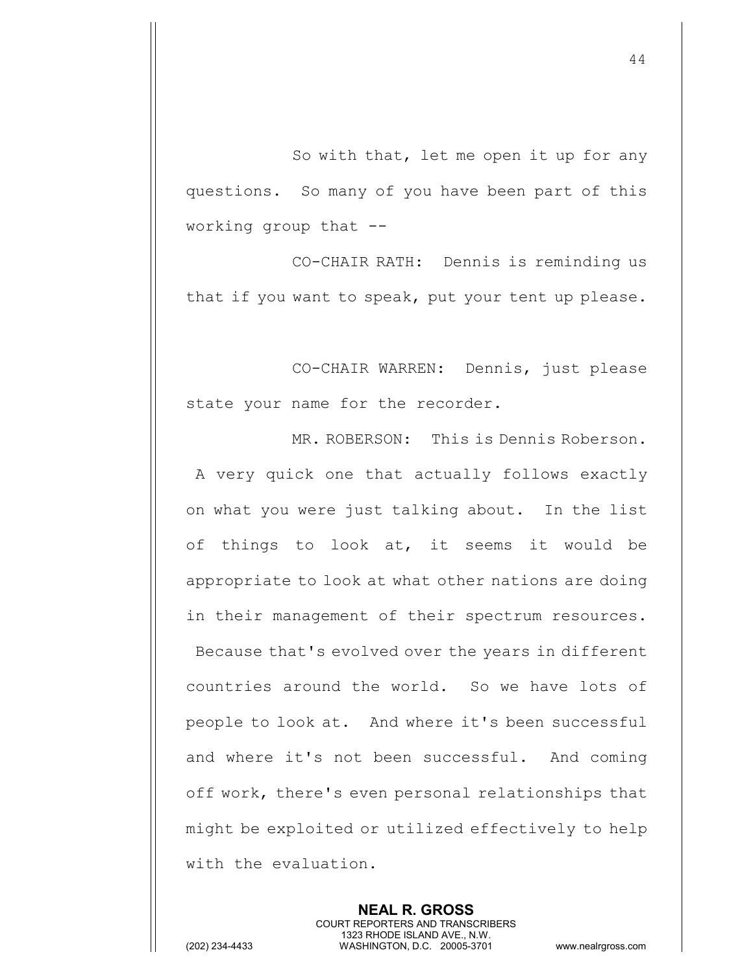So with that, let me open it up for any questions. So many of you have been part of this working group that --

CO-CHAIR RATH: Dennis is reminding us that if you want to speak, put your tent up please.

CO-CHAIR WARREN: Dennis, just please state your name for the recorder.

MR. ROBERSON: This is Dennis Roberson. A very quick one that actually follows exactly on what you were just talking about. In the list of things to look at, it seems it would be appropriate to look at what other nations are doing in their management of their spectrum resources. Because that's evolved over the years in different countries around the world. So we have lots of people to look at. And where it's been successful and where it's not been successful. And coming off work, there's even personal relationships that might be exploited or utilized effectively to help with the evaluation.

> **NEAL R. GROSS** COURT REPORTERS AND TRANSCRIBERS 1323 RHODE ISLAND AVE., N.W.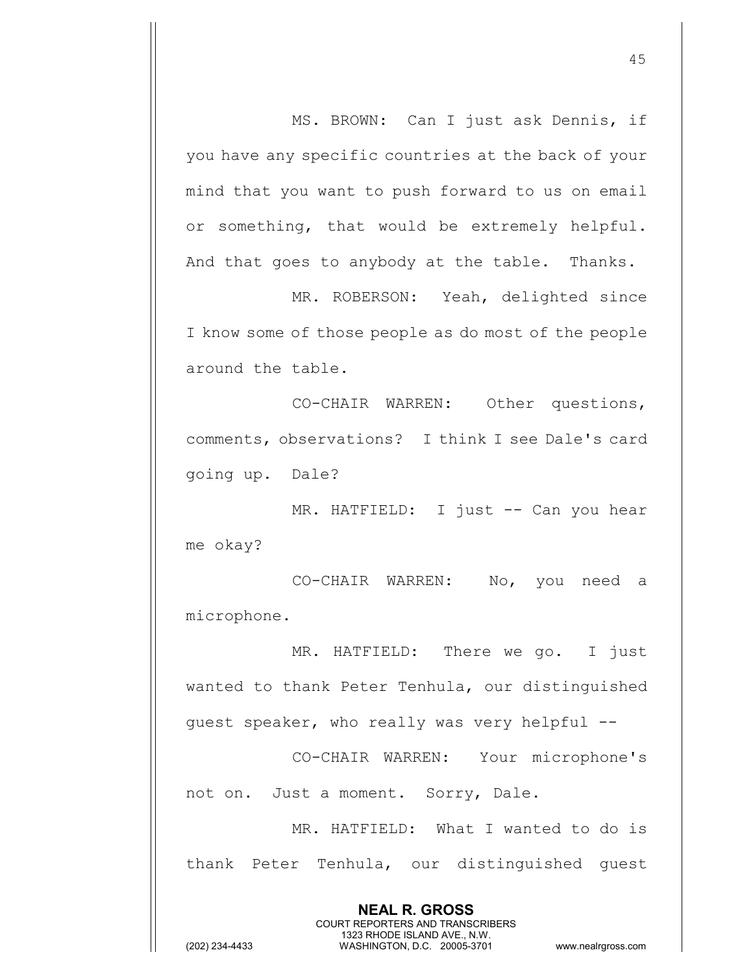MS. BROWN: Can I just ask Dennis, if you have any specific countries at the back of your mind that you want to push forward to us on email or something, that would be extremely helpful. And that goes to anybody at the table. Thanks.

MR. ROBERSON: Yeah, delighted since I know some of those people as do most of the people around the table.

CO-CHAIR WARREN: Other questions, comments, observations? I think I see Dale's card going up. Dale?

MR. HATFIELD: I just -- Can you hear me okay?

CO-CHAIR WARREN: No, you need a microphone.

MR. HATFIELD: There we go. I just wanted to thank Peter Tenhula, our distinguished guest speaker, who really was very helpful --

CO-CHAIR WARREN: Your microphone's not on. Just a moment. Sorry, Dale.

MR. HATFIELD: What I wanted to do is thank Peter Tenhula, our distinguished guest

> **NEAL R. GROSS** COURT REPORTERS AND TRANSCRIBERS 1323 RHODE ISLAND AVE., N.W.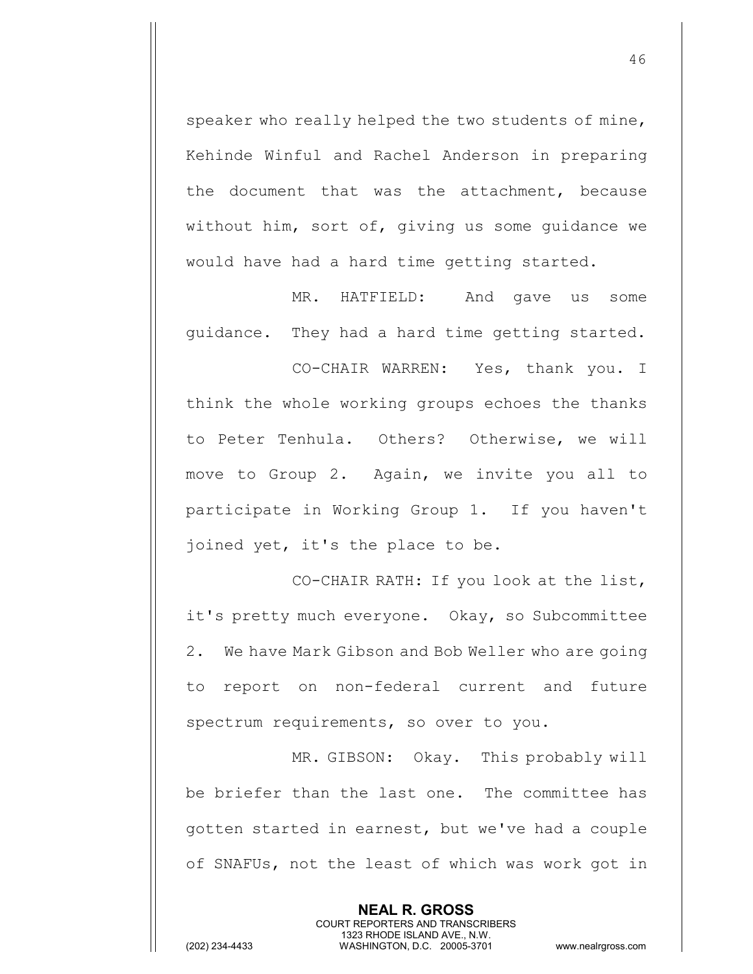speaker who really helped the two students of mine, Kehinde Winful and Rachel Anderson in preparing the document that was the attachment, because without him, sort of, giving us some guidance we would have had a hard time getting started.

MR. HATFIELD: And gave us some guidance. They had a hard time getting started.

CO-CHAIR WARREN: Yes, thank you. I think the whole working groups echoes the thanks to Peter Tenhula. Others? Otherwise, we will move to Group 2. Again, we invite you all to participate in Working Group 1. If you haven't joined yet, it's the place to be.

CO-CHAIR RATH: If you look at the list, it's pretty much everyone. Okay, so Subcommittee 2. We have Mark Gibson and Bob Weller who are going to report on non-federal current and future spectrum requirements, so over to you.

MR. GIBSON: Okay. This probably will be briefer than the last one. The committee has gotten started in earnest, but we've had a couple of SNAFUs, not the least of which was work got in

> **NEAL R. GROSS** COURT REPORTERS AND TRANSCRIBERS 1323 RHODE ISLAND AVE., N.W.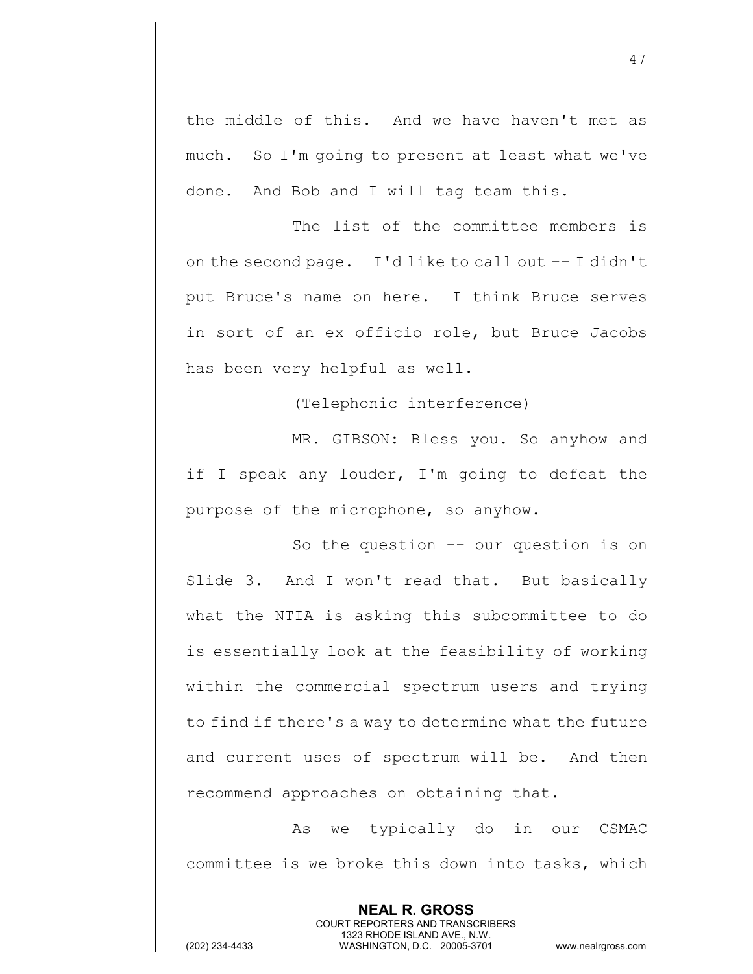the middle of this. And we have haven't met as much. So I'm going to present at least what we've done. And Bob and I will tag team this.

The list of the committee members is on the second page. I'd like to call out -- I didn't put Bruce's name on here. I think Bruce serves in sort of an ex officio role, but Bruce Jacobs has been very helpful as well.

(Telephonic interference)

MR. GIBSON: Bless you. So anyhow and if I speak any louder, I'm going to defeat the purpose of the microphone, so anyhow.

So the question -- our question is on Slide 3. And I won't read that. But basically what the NTIA is asking this subcommittee to do is essentially look at the feasibility of working within the commercial spectrum users and trying to find if there's a way to determine what the future and current uses of spectrum will be. And then recommend approaches on obtaining that.

As we typically do in our CSMAC committee is we broke this down into tasks, which

> **NEAL R. GROSS** COURT REPORTERS AND TRANSCRIBERS 1323 RHODE ISLAND AVE., N.W.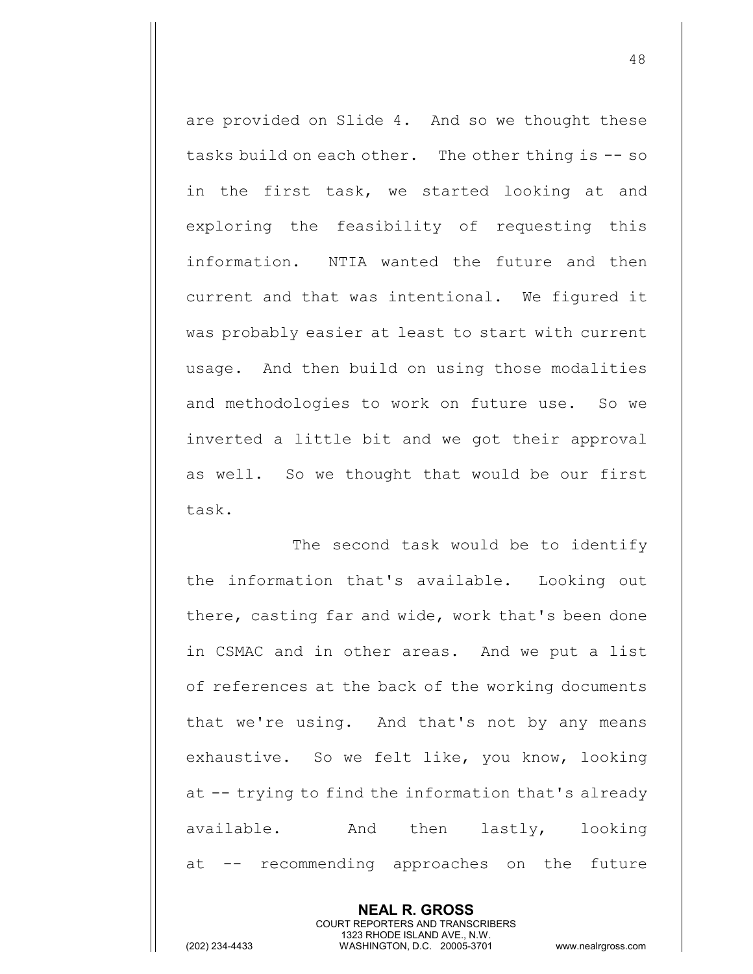are provided on Slide 4. And so we thought these tasks build on each other. The other thing is -- so in the first task, we started looking at and exploring the feasibility of requesting this information. NTIA wanted the future and then current and that was intentional. We figured it was probably easier at least to start with current usage. And then build on using those modalities and methodologies to work on future use. So we inverted a little bit and we got their approval as well. So we thought that would be our first task.

The second task would be to identify the information that's available. Looking out there, casting far and wide, work that's been done in CSMAC and in other areas. And we put a list of references at the back of the working documents that we're using. And that's not by any means exhaustive. So we felt like, you know, looking at -- trying to find the information that's already available. And then lastly, looking at -- recommending approaches on the future

> **NEAL R. GROSS** COURT REPORTERS AND TRANSCRIBERS 1323 RHODE ISLAND AVE., N.W.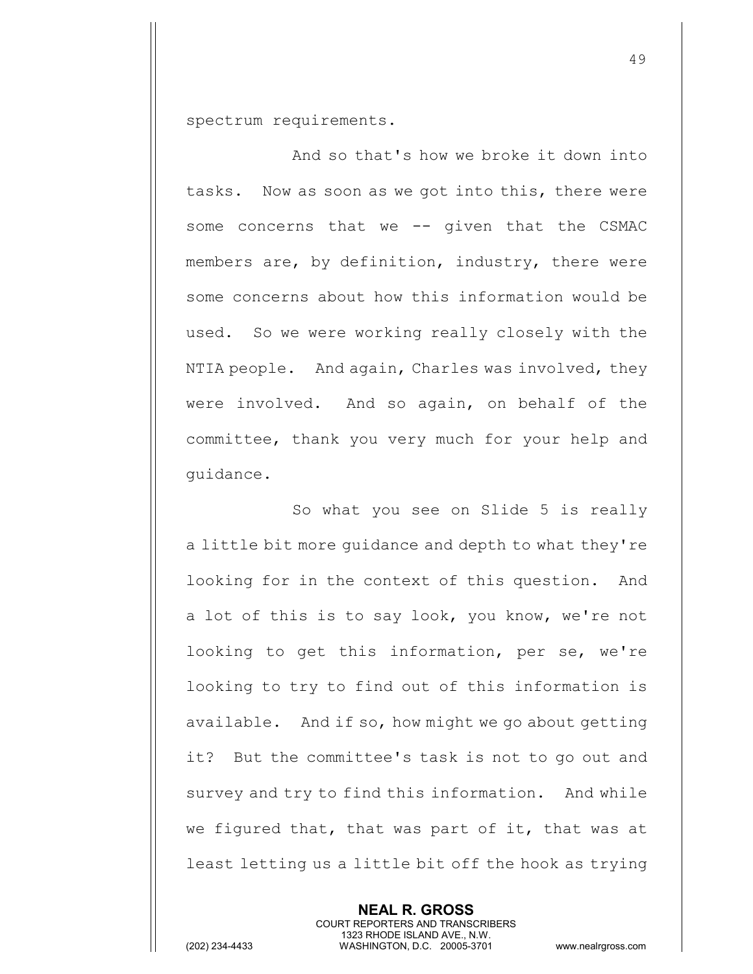spectrum requirements.

And so that's how we broke it down into tasks. Now as soon as we got into this, there were some concerns that we -- given that the CSMAC members are, by definition, industry, there were some concerns about how this information would be used. So we were working really closely with the NTIA people. And again, Charles was involved, they were involved. And so again, on behalf of the committee, thank you very much for your help and guidance.

So what you see on Slide 5 is really a little bit more guidance and depth to what they're looking for in the context of this question. And a lot of this is to say look, you know, we're not looking to get this information, per se, we're looking to try to find out of this information is available. And if so, how might we go about getting it? But the committee's task is not to go out and survey and try to find this information. And while we figured that, that was part of it, that was at least letting us a little bit off the hook as trying

> **NEAL R. GROSS** COURT REPORTERS AND TRANSCRIBERS 1323 RHODE ISLAND AVE., N.W.

(202) 234-4433 WASHINGTON, D.C. 20005-3701 www.nealrgross.com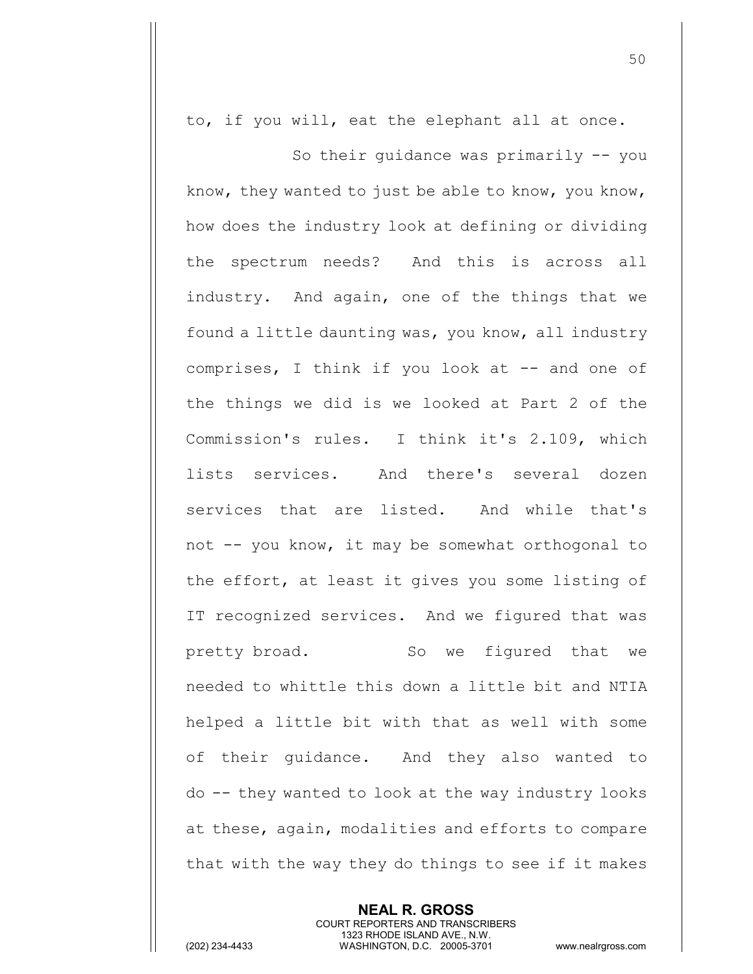to, if you will, eat the elephant all at once.

So their guidance was primarily -- you know, they wanted to just be able to know, you know, how does the industry look at defining or dividing the spectrum needs? And this is across all industry. And again, one of the things that we found a little daunting was, you know, all industry comprises, I think if you look at -- and one of the things we did is we looked at Part 2 of the Commission's rules. I think it's 2.109, which lists services. And there's several dozen services that are listed. And while that's not -- you know, it may be somewhat orthogonal to the effort, at least it gives you some listing of IT recognized services. And we figured that was pretty broad. So we figured that we needed to whittle this down a little bit and NTIA helped a little bit with that as well with some of their guidance. And they also wanted to do -- they wanted to look at the way industry looks at these, again, modalities and efforts to compare that with the way they do things to see if it makes

> **NEAL R. GROSS** COURT REPORTERS AND TRANSCRIBERS 1323 RHODE ISLAND AVE., N.W.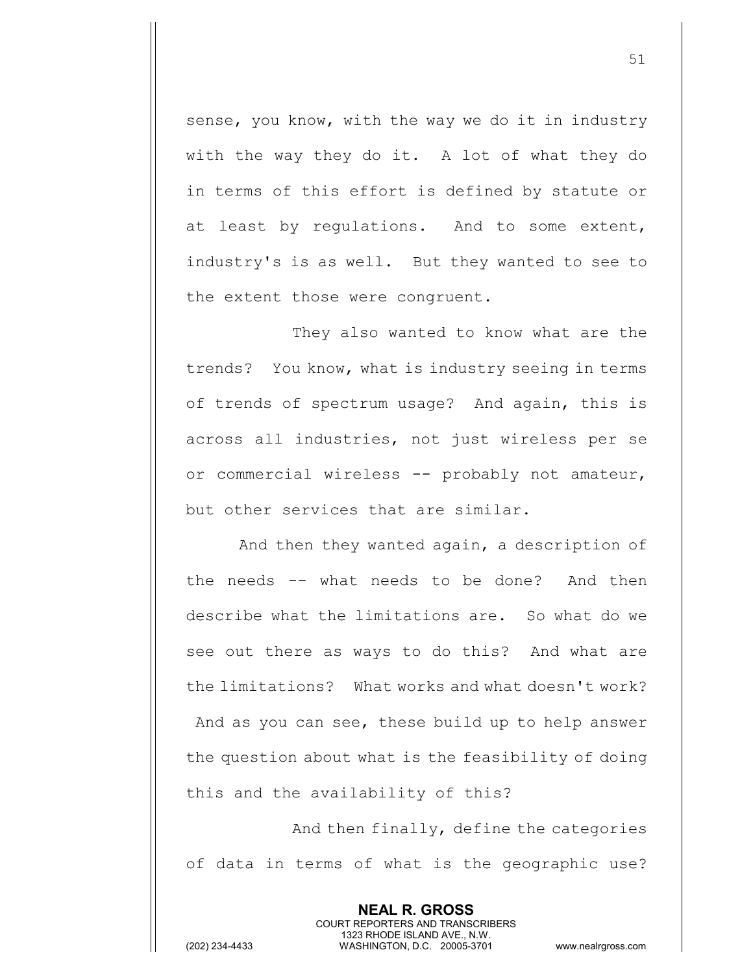sense, you know, with the way we do it in industry with the way they do it. A lot of what they do in terms of this effort is defined by statute or at least by regulations. And to some extent, industry's is as well. But they wanted to see to the extent those were congruent.

They also wanted to know what are the trends? You know, what is industry seeing in terms of trends of spectrum usage? And again, this is across all industries, not just wireless per se or commercial wireless -- probably not amateur, but other services that are similar.

And then they wanted again, a description of the needs -- what needs to be done? And then describe what the limitations are. So what do we see out there as ways to do this? And what are the limitations? What works and what doesn't work? And as you can see, these build up to help answer the question about what is the feasibility of doing this and the availability of this?

And then finally, define the categories of data in terms of what is the geographic use?

> **NEAL R. GROSS** COURT REPORTERS AND TRANSCRIBERS 1323 RHODE ISLAND AVE., N.W.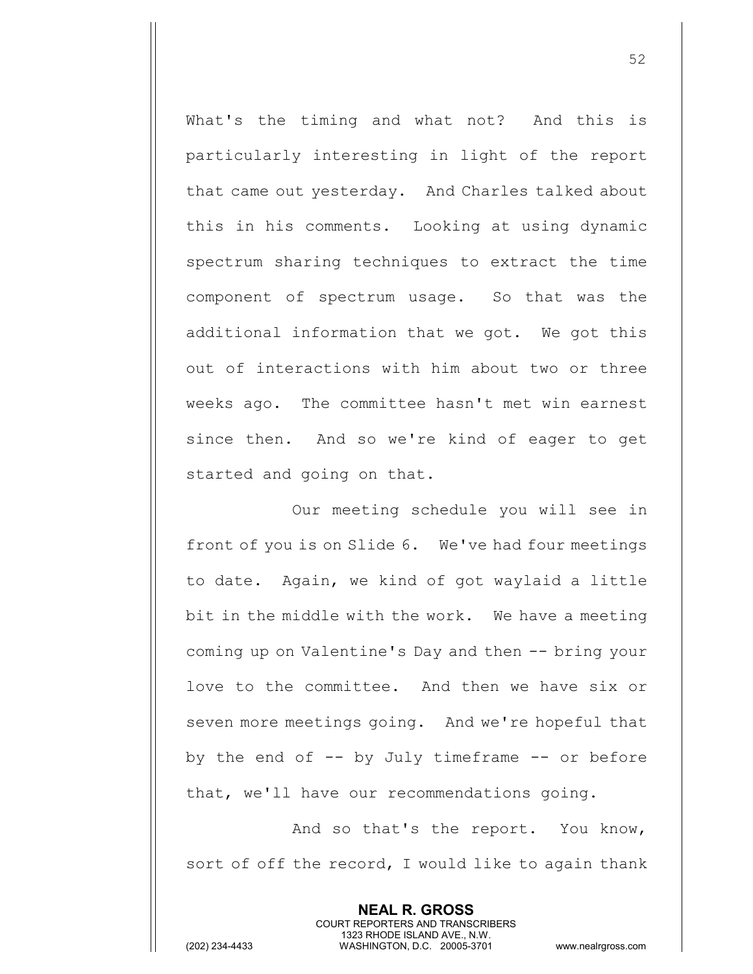What's the timing and what not? And this is particularly interesting in light of the report that came out yesterday. And Charles talked about this in his comments. Looking at using dynamic spectrum sharing techniques to extract the time component of spectrum usage. So that was the additional information that we got. We got this out of interactions with him about two or three weeks ago. The committee hasn't met win earnest since then. And so we're kind of eager to get started and going on that.

Our meeting schedule you will see in front of you is on Slide 6. We've had four meetings to date. Again, we kind of got waylaid a little bit in the middle with the work. We have a meeting coming up on Valentine's Day and then -- bring your love to the committee. And then we have six or seven more meetings going. And we're hopeful that by the end of  $-$  by July timeframe  $-$  or before that, we'll have our recommendations going.

And so that's the report. You know, sort of off the record, I would like to again thank

> **NEAL R. GROSS** COURT REPORTERS AND TRANSCRIBERS 1323 RHODE ISLAND AVE., N.W.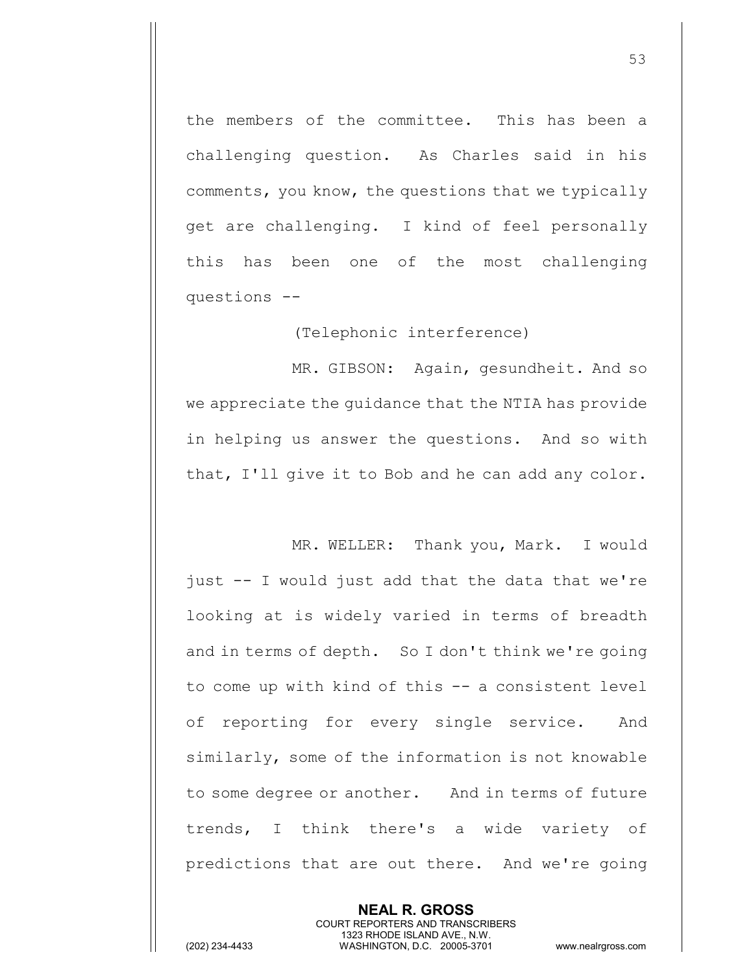the members of the committee. This has been a challenging question. As Charles said in his comments, you know, the questions that we typically get are challenging. I kind of feel personally this has been one of the most challenging questions --

(Telephonic interference)

MR. GIBSON: Again, gesundheit. And so we appreciate the guidance that the NTIA has provide in helping us answer the questions. And so with that, I'll give it to Bob and he can add any color.

MR. WELLER: Thank you, Mark. I would just -- I would just add that the data that we're looking at is widely varied in terms of breadth and in terms of depth. So I don't think we're going to come up with kind of this -- a consistent level of reporting for every single service. And similarly, some of the information is not knowable to some degree or another. And in terms of future trends, I think there's a wide variety of predictions that are out there. And we're going

> **NEAL R. GROSS** COURT REPORTERS AND TRANSCRIBERS 1323 RHODE ISLAND AVE., N.W.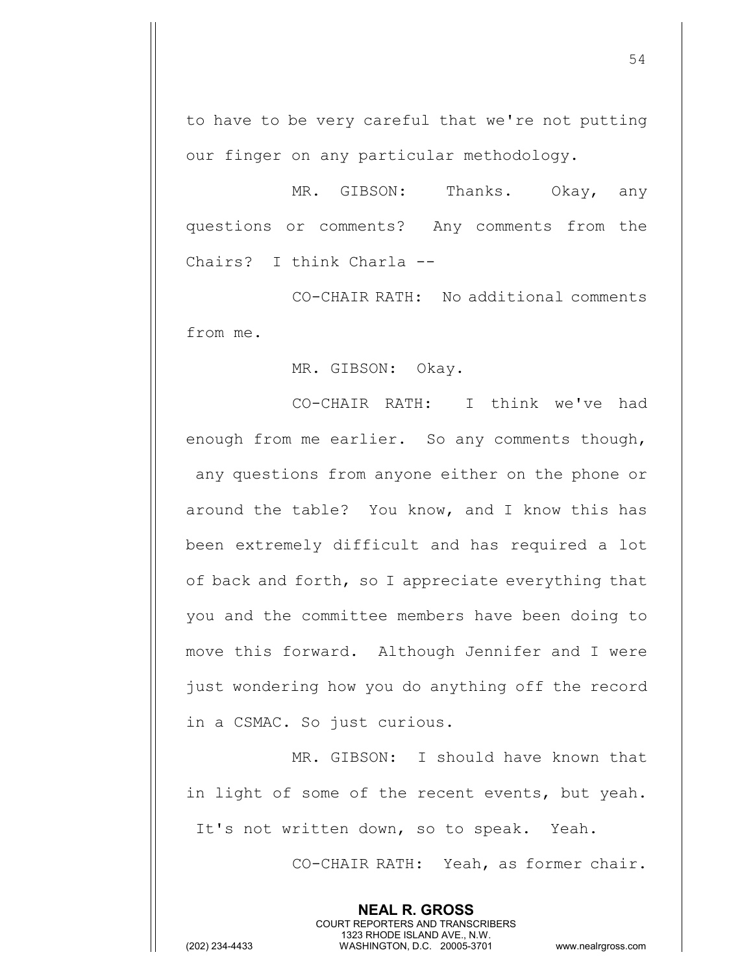to have to be very careful that we're not putting our finger on any particular methodology.

MR. GIBSON: Thanks. Okay, any questions or comments? Any comments from the Chairs? I think Charla --

CO-CHAIR RATH: No additional comments from me.

MR. GIBSON: Okay.

CO-CHAIR RATH: I think we've had enough from me earlier. So any comments though, any questions from anyone either on the phone or around the table? You know, and I know this has been extremely difficult and has required a lot of back and forth, so I appreciate everything that you and the committee members have been doing to move this forward. Although Jennifer and I were just wondering how you do anything off the record in a CSMAC. So just curious.

MR. GIBSON: I should have known that in light of some of the recent events, but yeah. It's not written down, so to speak. Yeah.

> **NEAL R. GROSS** COURT REPORTERS AND TRANSCRIBERS 1323 RHODE ISLAND AVE., N.W.

CO-CHAIR RATH: Yeah, as former chair.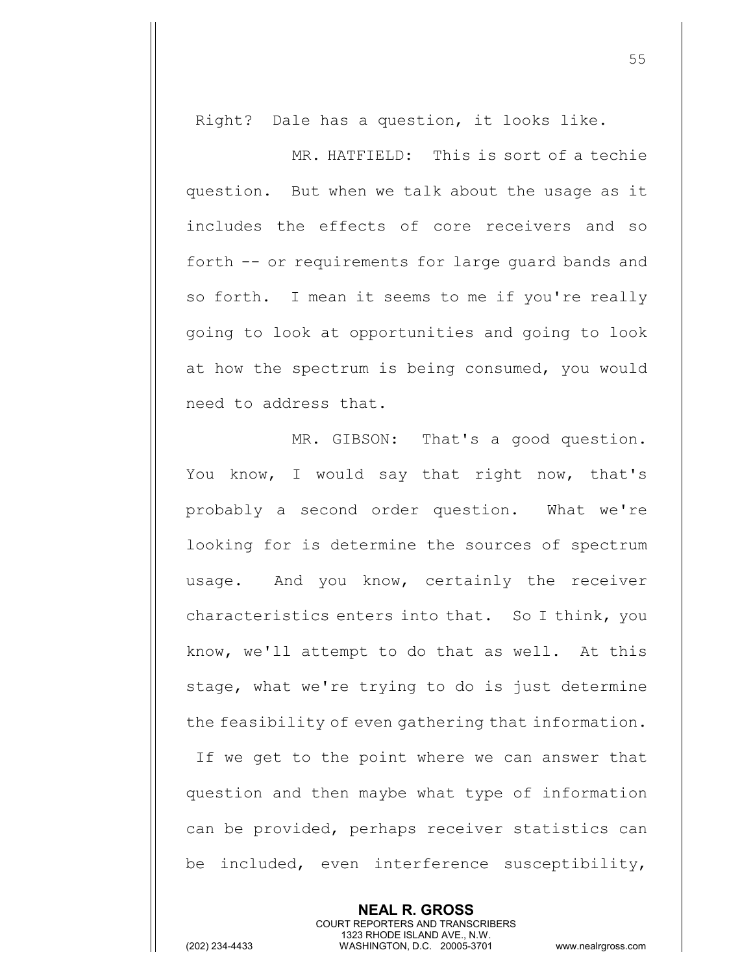Right? Dale has a question, it looks like.

MR. HATFIELD: This is sort of a techie question. But when we talk about the usage as it includes the effects of core receivers and so forth -- or requirements for large guard bands and so forth. I mean it seems to me if you're really going to look at opportunities and going to look at how the spectrum is being consumed, you would need to address that.

MR. GIBSON: That's a good question. You know, I would say that right now, that's probably a second order question. What we're looking for is determine the sources of spectrum usage. And you know, certainly the receiver characteristics enters into that. So I think, you know, we'll attempt to do that as well. At this stage, what we're trying to do is just determine the feasibility of even gathering that information. If we get to the point where we can answer that question and then maybe what type of information can be provided, perhaps receiver statistics can be included, even interference susceptibility,

> **NEAL R. GROSS** COURT REPORTERS AND TRANSCRIBERS 1323 RHODE ISLAND AVE., N.W.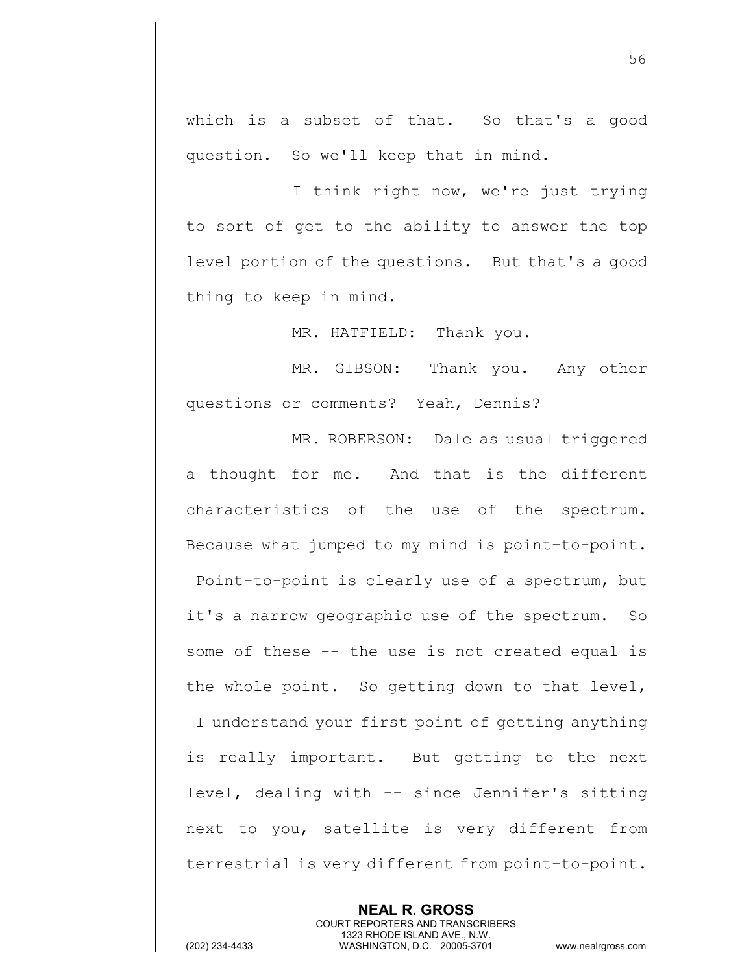which is a subset of that. So that's a good question. So we'll keep that in mind.

I think right now, we're just trying to sort of get to the ability to answer the top level portion of the questions. But that's a good thing to keep in mind.

MR. HATFIELD: Thank you.

MR. GIBSON: Thank you. Any other questions or comments? Yeah, Dennis?

MR. ROBERSON: Dale as usual triggered a thought for me. And that is the different characteristics of the use of the spectrum. Because what jumped to my mind is point-to-point. Point-to-point is clearly use of a spectrum, but it's a narrow geographic use of the spectrum. So some of these -- the use is not created equal is the whole point. So getting down to that level, I understand your first point of getting anything is really important. But getting to the next level, dealing with -- since Jennifer's sitting next to you, satellite is very different from terrestrial is very different from point-to-point.

> **NEAL R. GROSS** COURT REPORTERS AND TRANSCRIBERS 1323 RHODE ISLAND AVE., N.W.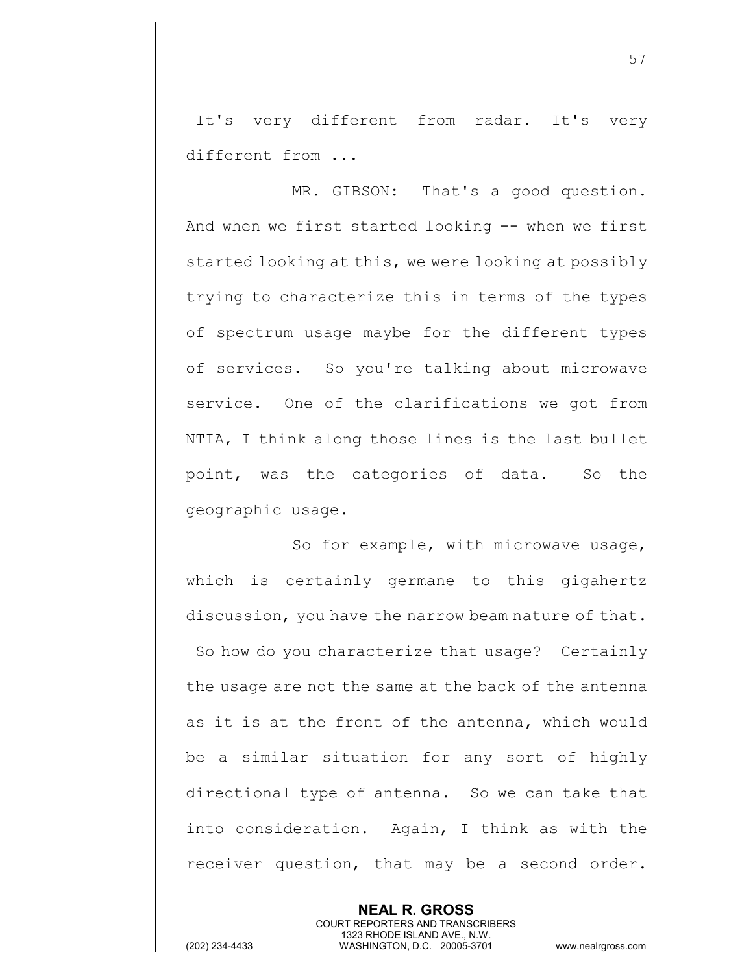It's very different from radar. It's very different from ...

MR. GIBSON: That's a good question. And when we first started looking -- when we first started looking at this, we were looking at possibly trying to characterize this in terms of the types of spectrum usage maybe for the different types of services. So you're talking about microwave service. One of the clarifications we got from NTIA, I think along those lines is the last bullet point, was the categories of data. So the geographic usage.

So for example, with microwave usage, which is certainly germane to this gigahertz discussion, you have the narrow beam nature of that. So how do you characterize that usage? Certainly the usage are not the same at the back of the antenna as it is at the front of the antenna, which would be a similar situation for any sort of highly directional type of antenna. So we can take that into consideration. Again, I think as with the receiver question, that may be a second order.

> **NEAL R. GROSS** COURT REPORTERS AND TRANSCRIBERS 1323 RHODE ISLAND AVE., N.W.

(202) 234-4433 WASHINGTON, D.C. 20005-3701 www.nealrgross.com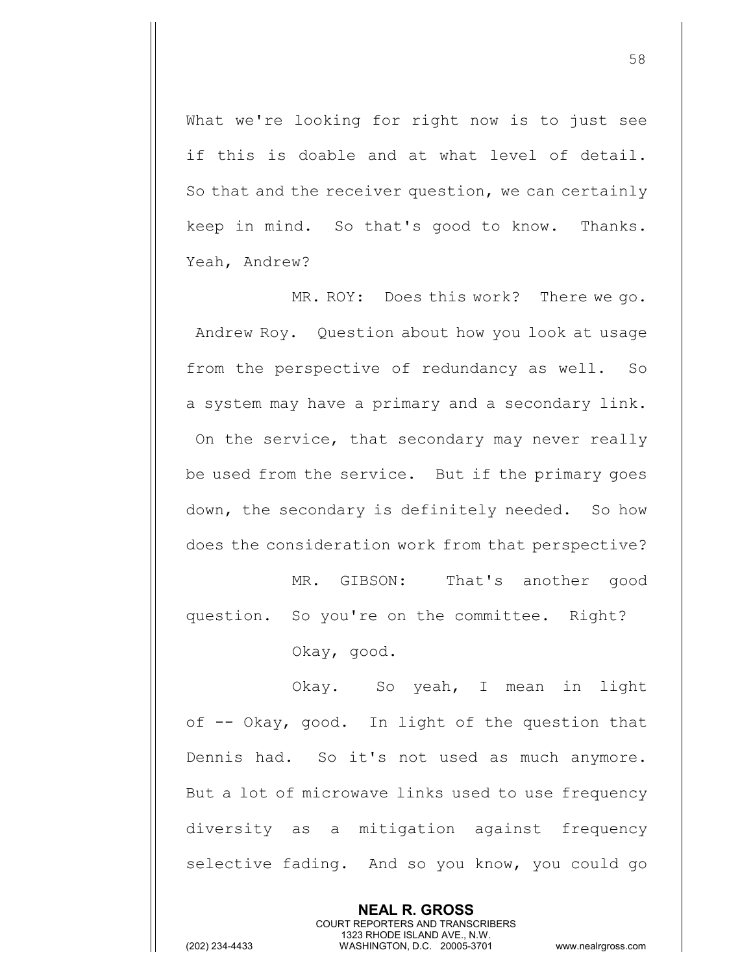What we're looking for right now is to just see if this is doable and at what level of detail. So that and the receiver question, we can certainly keep in mind. So that's good to know. Thanks. Yeah, Andrew?

MR. ROY: Does this work? There we go. Andrew Roy. Question about how you look at usage from the perspective of redundancy as well. So a system may have a primary and a secondary link. On the service, that secondary may never really be used from the service. But if the primary goes down, the secondary is definitely needed. So how does the consideration work from that perspective?

MR. GIBSON: That's another good question. So you're on the committee. Right? Okay, good.

Okay. So yeah, I mean in light of -- Okay, good. In light of the question that Dennis had. So it's not used as much anymore. But a lot of microwave links used to use frequency diversity as a mitigation against frequency selective fading. And so you know, you could go

> **NEAL R. GROSS** COURT REPORTERS AND TRANSCRIBERS 1323 RHODE ISLAND AVE., N.W.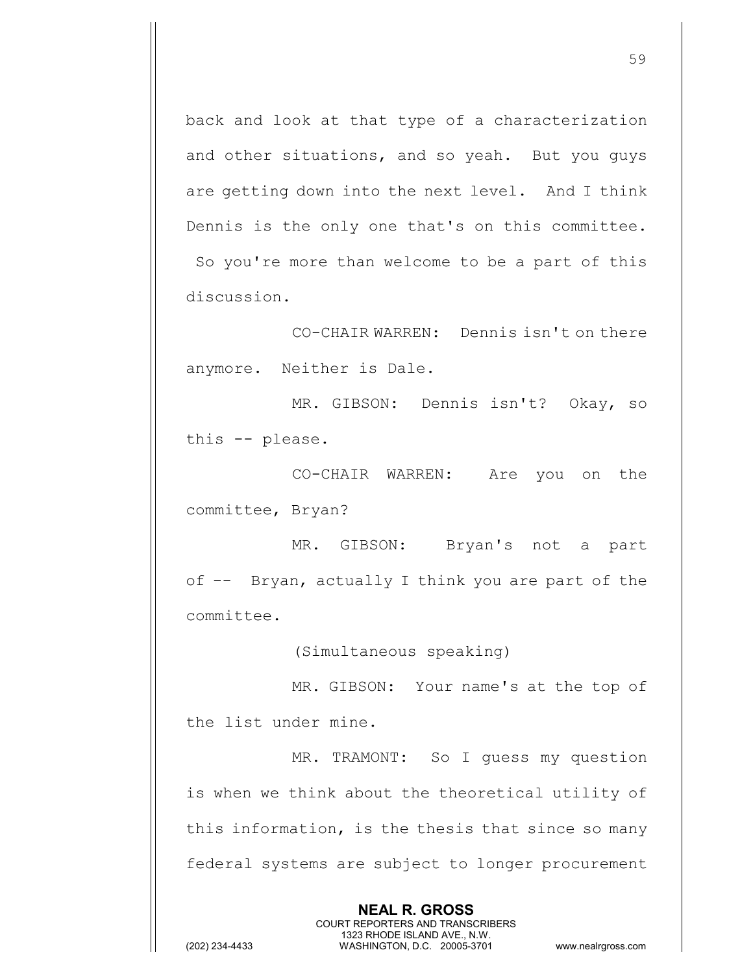back and look at that type of a characterization and other situations, and so yeah. But you guys are getting down into the next level. And I think Dennis is the only one that's on this committee. So you're more than welcome to be a part of this discussion.

CO-CHAIR WARREN: Dennis isn't on there anymore. Neither is Dale.

MR. GIBSON: Dennis isn't? Okay, so this -- please.

CO-CHAIR WARREN: Are you on the committee, Bryan?

MR. GIBSON: Bryan's not a part of -- Bryan, actually I think you are part of the committee.

(Simultaneous speaking)

MR. GIBSON: Your name's at the top of the list under mine.

MR. TRAMONT: So I guess my question is when we think about the theoretical utility of this information, is the thesis that since so many federal systems are subject to longer procurement

> **NEAL R. GROSS** COURT REPORTERS AND TRANSCRIBERS 1323 RHODE ISLAND AVE., N.W.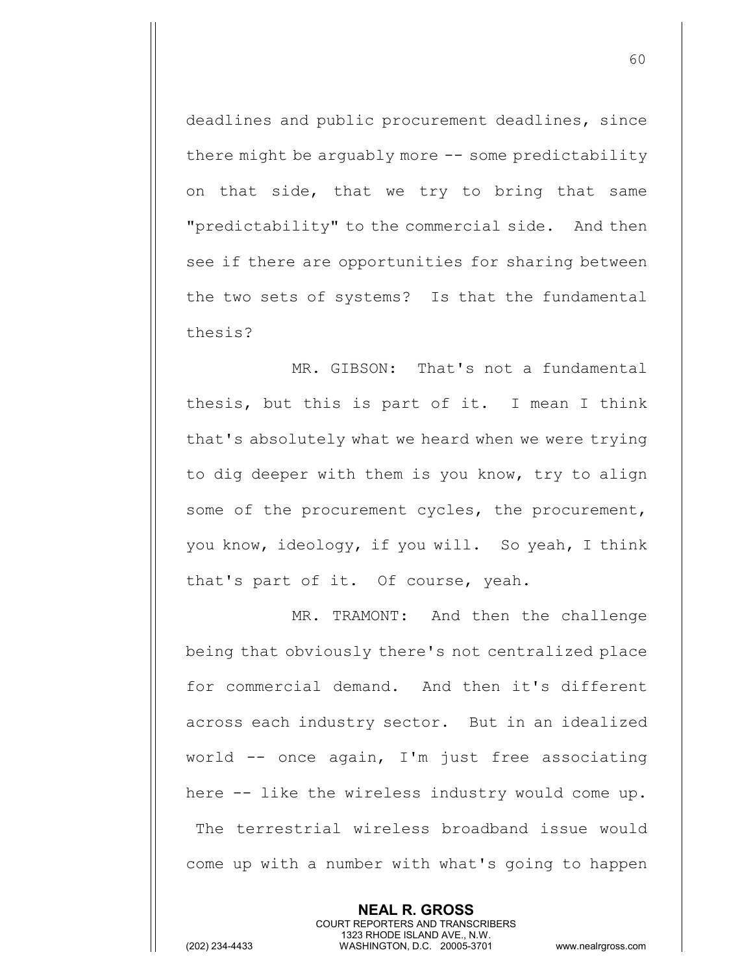deadlines and public procurement deadlines, since there might be arguably more -- some predictability on that side, that we try to bring that same "predictability" to the commercial side. And then see if there are opportunities for sharing between the two sets of systems? Is that the fundamental thesis?

MR. GIBSON: That's not a fundamental thesis, but this is part of it. I mean I think that's absolutely what we heard when we were trying to dig deeper with them is you know, try to align some of the procurement cycles, the procurement, you know, ideology, if you will. So yeah, I think that's part of it. Of course, yeah.

MR. TRAMONT: And then the challenge being that obviously there's not centralized place for commercial demand. And then it's different across each industry sector. But in an idealized world -- once again, I'm just free associating here -- like the wireless industry would come up. The terrestrial wireless broadband issue would come up with a number with what's going to happen

> **NEAL R. GROSS** COURT REPORTERS AND TRANSCRIBERS 1323 RHODE ISLAND AVE., N.W.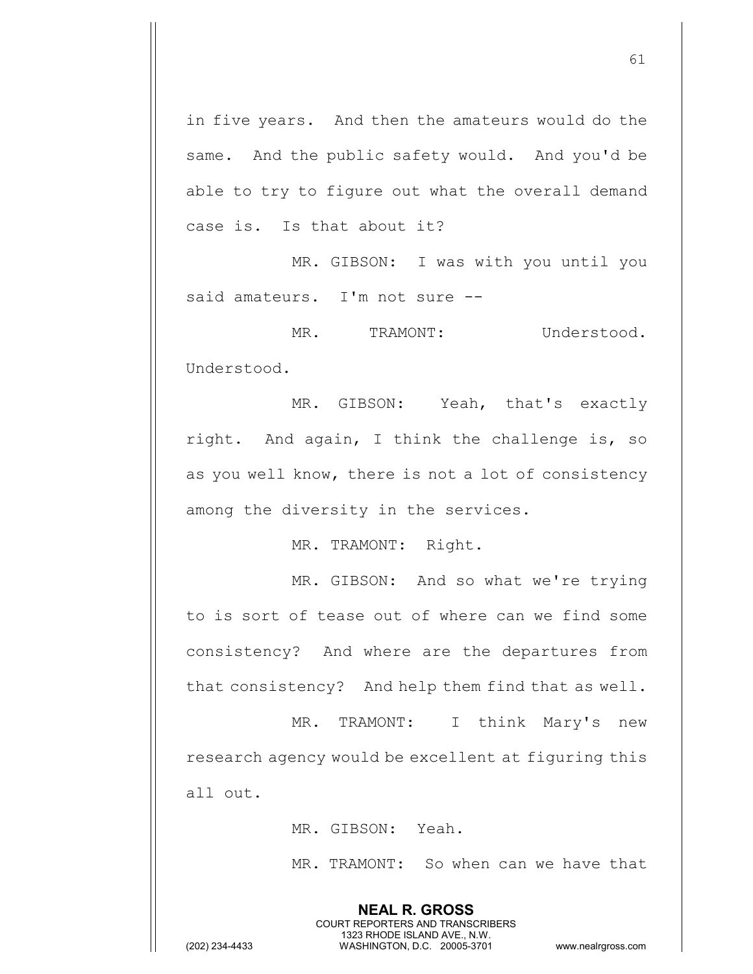in five years. And then the amateurs would do the same. And the public safety would. And you'd be able to try to figure out what the overall demand case is. Is that about it?

MR. GIBSON: I was with you until you said amateurs. I'm not sure --

MR. TRAMONT: Understood. Understood.

MR. GIBSON: Yeah, that's exactly right. And again, I think the challenge is, so as you well know, there is not a lot of consistency among the diversity in the services.

MR. TRAMONT: Right.

MR. GIBSON: And so what we're trying to is sort of tease out of where can we find some consistency? And where are the departures from that consistency? And help them find that as well.

MR. TRAMONT: I think Mary's new research agency would be excellent at figuring this all out.

> **NEAL R. GROSS** COURT REPORTERS AND TRANSCRIBERS 1323 RHODE ISLAND AVE., N.W.

MR. GIBSON: Yeah.

MR. TRAMONT: So when can we have that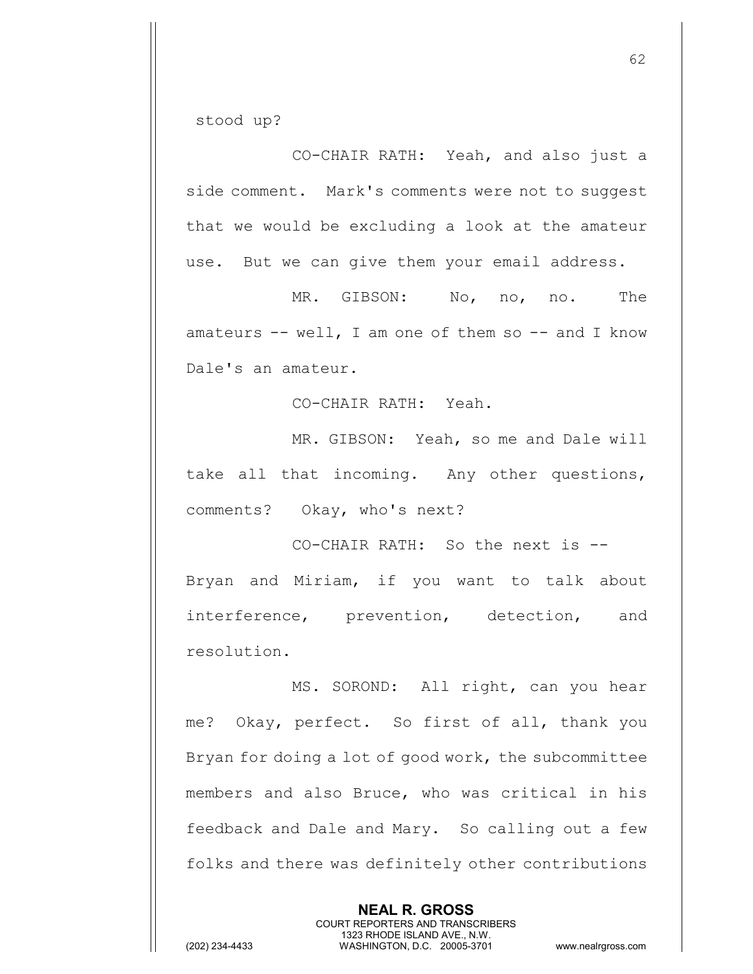stood up?

CO-CHAIR RATH: Yeah, and also just a side comment. Mark's comments were not to suggest that we would be excluding a look at the amateur use. But we can give them your email address.

MR. GIBSON: No, no, no. The amateurs  $--$  well, I am one of them so  $--$  and I know Dale's an amateur.

CO-CHAIR RATH: Yeah.

MR. GIBSON: Yeah, so me and Dale will take all that incoming. Any other questions, comments? Okay, who's next?

CO-CHAIR RATH: So the next is -- Bryan and Miriam, if you want to talk about interference, prevention, detection, and resolution.

MS. SOROND: All right, can you hear me? Okay, perfect. So first of all, thank you Bryan for doing a lot of good work, the subcommittee members and also Bruce, who was critical in his feedback and Dale and Mary. So calling out a few folks and there was definitely other contributions

> **NEAL R. GROSS** COURT REPORTERS AND TRANSCRIBERS 1323 RHODE ISLAND AVE., N.W.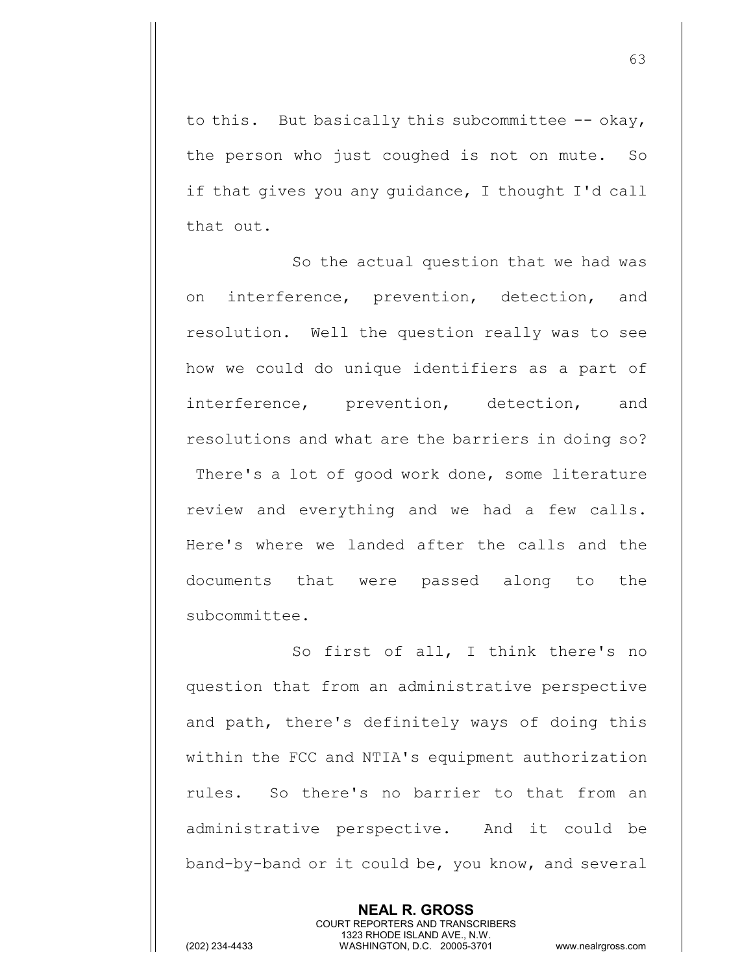to this. But basically this subcommittee -- okay, the person who just coughed is not on mute. So if that gives you any guidance, I thought I'd call that out.

So the actual question that we had was on interference, prevention, detection, and resolution. Well the question really was to see how we could do unique identifiers as a part of interference, prevention, detection, and resolutions and what are the barriers in doing so? There's a lot of good work done, some literature review and everything and we had a few calls. Here's where we landed after the calls and the documents that were passed along to the subcommittee.

So first of all, I think there's no question that from an administrative perspective and path, there's definitely ways of doing this within the FCC and NTIA's equipment authorization rules. So there's no barrier to that from an administrative perspective. And it could be band-by-band or it could be, you know, and several

> **NEAL R. GROSS** COURT REPORTERS AND TRANSCRIBERS 1323 RHODE ISLAND AVE., N.W.

(202) 234-4433 WASHINGTON, D.C. 20005-3701 www.nealrgross.com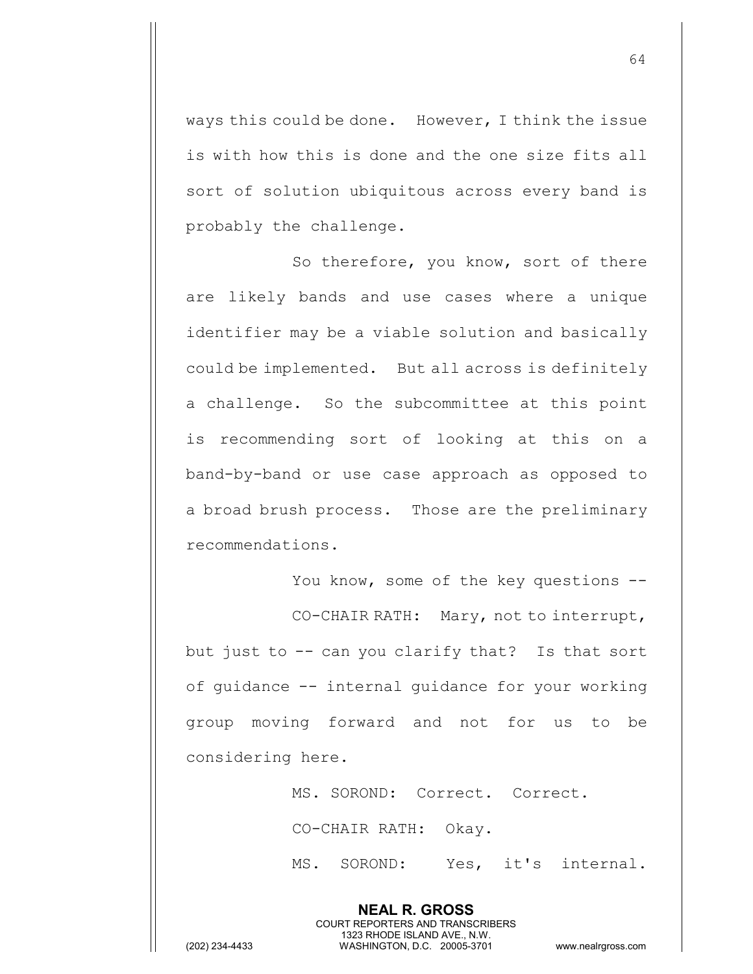ways this could be done. However, I think the issue is with how this is done and the one size fits all sort of solution ubiquitous across every band is probably the challenge.

So therefore, you know, sort of there are likely bands and use cases where a unique identifier may be a viable solution and basically could be implemented. But all across is definitely a challenge. So the subcommittee at this point is recommending sort of looking at this on a band-by-band or use case approach as opposed to a broad brush process. Those are the preliminary recommendations.

You know, some of the key questions --CO-CHAIR RATH: Mary, not to interrupt, but just to -- can you clarify that? Is that sort of guidance -- internal guidance for your working group moving forward and not for us to be considering here.

MS. SOROND: Correct. Correct.

CO-CHAIR RATH: Okay.

**NEAL R. GROSS** COURT REPORTERS AND TRANSCRIBERS 1323 RHODE ISLAND AVE., N.W.

MS. SOROND: Yes, it's internal.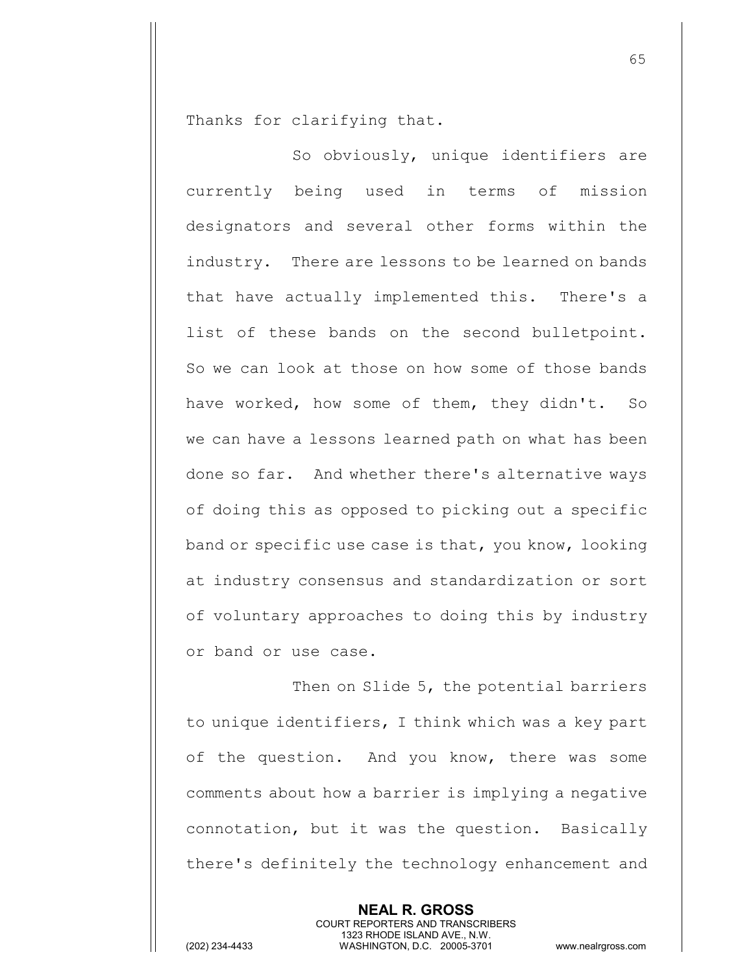Thanks for clarifying that.

So obviously, unique identifiers are currently being used in terms of mission designators and several other forms within the industry. There are lessons to be learned on bands that have actually implemented this. There's a list of these bands on the second bulletpoint. So we can look at those on how some of those bands have worked, how some of them, they didn't. So we can have a lessons learned path on what has been done so far. And whether there's alternative ways of doing this as opposed to picking out a specific band or specific use case is that, you know, looking at industry consensus and standardization or sort of voluntary approaches to doing this by industry or band or use case.

Then on Slide 5, the potential barriers to unique identifiers, I think which was a key part of the question. And you know, there was some comments about how a barrier is implying a negative connotation, but it was the question. Basically there's definitely the technology enhancement and

> **NEAL R. GROSS** COURT REPORTERS AND TRANSCRIBERS 1323 RHODE ISLAND AVE., N.W.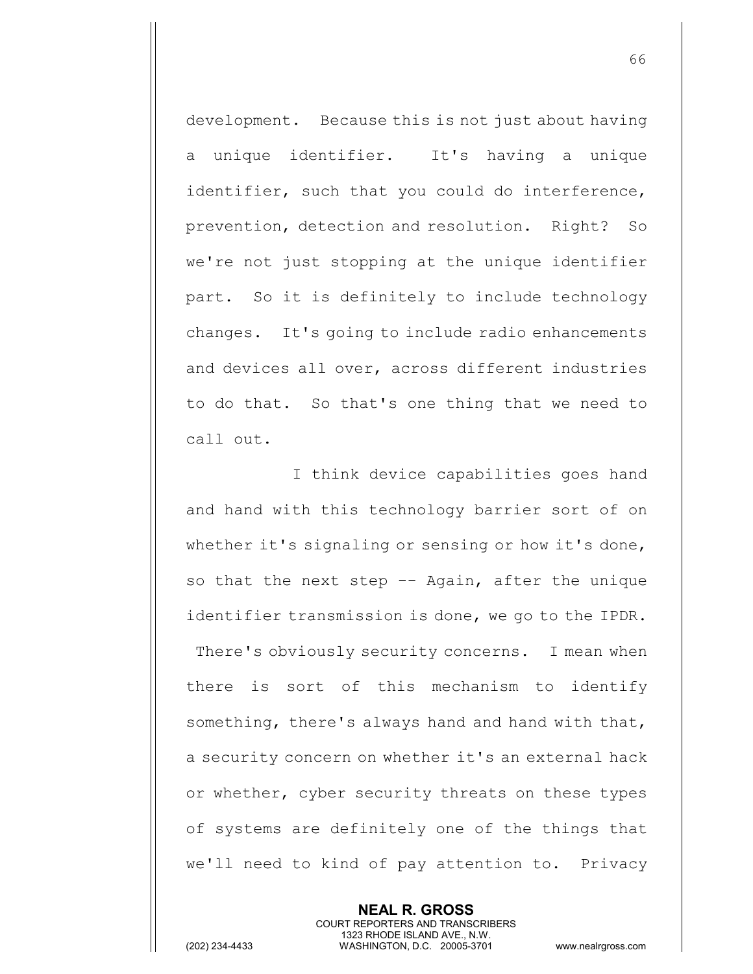development. Because this is not just about having a unique identifier. It's having a unique identifier, such that you could do interference, prevention, detection and resolution. Right? So we're not just stopping at the unique identifier part. So it is definitely to include technology changes. It's going to include radio enhancements and devices all over, across different industries to do that. So that's one thing that we need to call out.

I think device capabilities goes hand and hand with this technology barrier sort of on whether it's signaling or sensing or how it's done, so that the next step -- Again, after the unique identifier transmission is done, we go to the IPDR. There's obviously security concerns. I mean when there is sort of this mechanism to identify something, there's always hand and hand with that, a security concern on whether it's an external hack or whether, cyber security threats on these types of systems are definitely one of the things that we'll need to kind of pay attention to. Privacy

> **NEAL R. GROSS** COURT REPORTERS AND TRANSCRIBERS 1323 RHODE ISLAND AVE., N.W.

(202) 234-4433 WASHINGTON, D.C. 20005-3701 www.nealrgross.com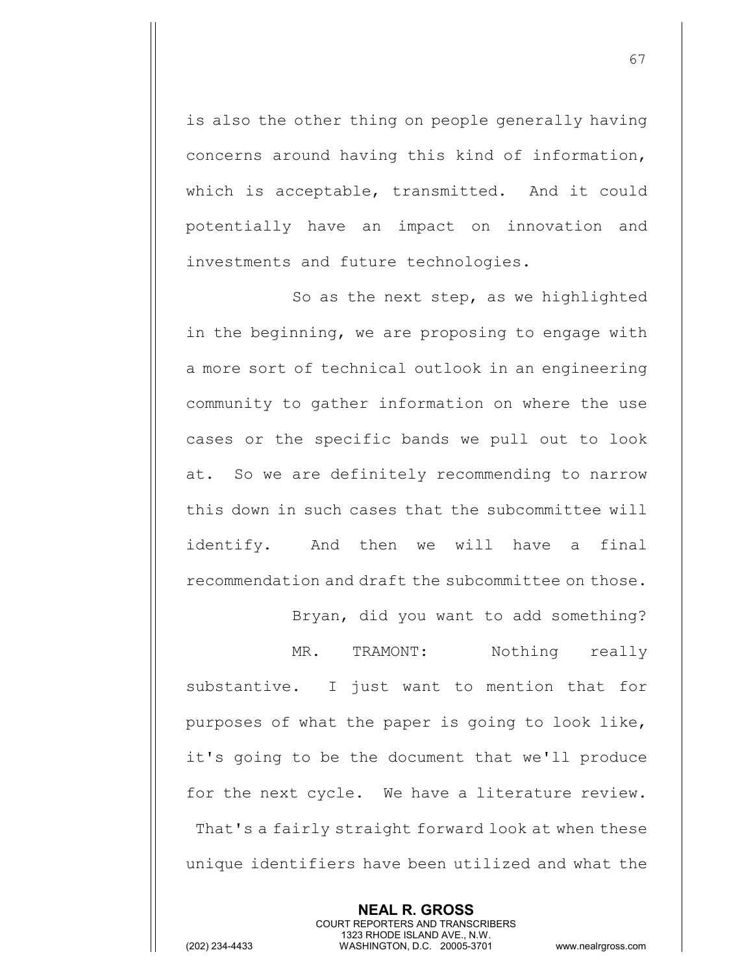is also the other thing on people generally having concerns around having this kind of information, which is acceptable, transmitted. And it could potentially have an impact on innovation and investments and future technologies.

So as the next step, as we highlighted in the beginning, we are proposing to engage with a more sort of technical outlook in an engineering community to gather information on where the use cases or the specific bands we pull out to look at. So we are definitely recommending to narrow this down in such cases that the subcommittee will identify. And then we will have a final recommendation and draft the subcommittee on those.

MR. TRAMONT: Nothing really substantive. I just want to mention that for purposes of what the paper is going to look like, it's going to be the document that we'll produce for the next cycle. We have a literature review. That's a fairly straight forward look at when these unique identifiers have been utilized and what the

Bryan, did you want to add something?

**NEAL R. GROSS** COURT REPORTERS AND TRANSCRIBERS 1323 RHODE ISLAND AVE., N.W.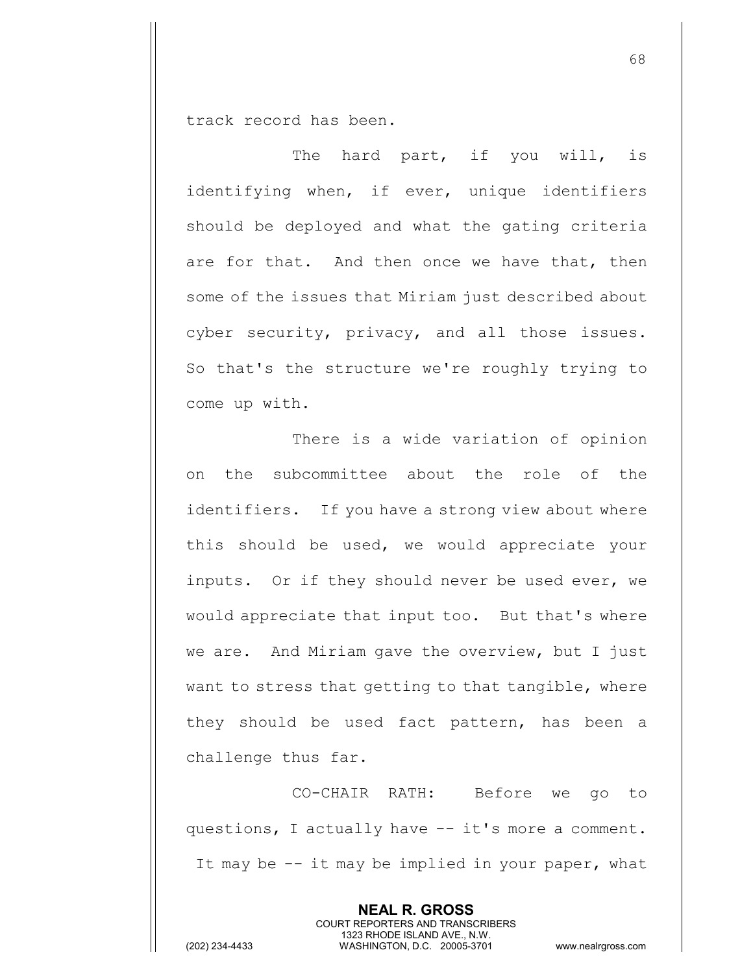track record has been.

The hard part, if you will, is identifying when, if ever, unique identifiers should be deployed and what the gating criteria are for that. And then once we have that, then some of the issues that Miriam just described about cyber security, privacy, and all those issues. So that's the structure we're roughly trying to come up with.

There is a wide variation of opinion on the subcommittee about the role of the identifiers. If you have a strong view about where this should be used, we would appreciate your inputs. Or if they should never be used ever, we would appreciate that input too. But that's where we are. And Miriam gave the overview, but I just want to stress that getting to that tangible, where they should be used fact pattern, has been a challenge thus far.

CO-CHAIR RATH: Before we go to questions, I actually have -- it's more a comment. It may be -- it may be implied in your paper, what

> **NEAL R. GROSS** COURT REPORTERS AND TRANSCRIBERS 1323 RHODE ISLAND AVE., N.W.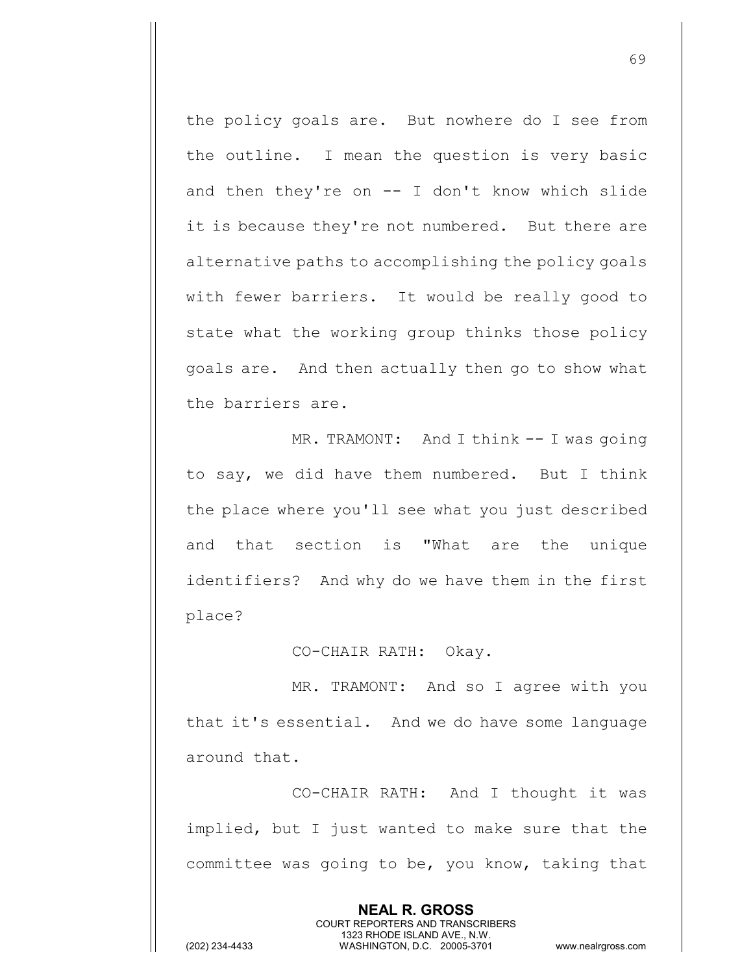the policy goals are. But nowhere do I see from the outline. I mean the question is very basic and then they're on  $-$ - I don't know which slide it is because they're not numbered. But there are alternative paths to accomplishing the policy goals with fewer barriers. It would be really good to state what the working group thinks those policy goals are. And then actually then go to show what the barriers are.

MR. TRAMONT: And I think -- I was going to say, we did have them numbered. But I think the place where you'll see what you just described and that section is "What are the unique identifiers? And why do we have them in the first place?

CO-CHAIR RATH: Okay.

MR. TRAMONT: And so I agree with you that it's essential. And we do have some language around that.

CO-CHAIR RATH: And I thought it was implied, but I just wanted to make sure that the committee was going to be, you know, taking that

> **NEAL R. GROSS** COURT REPORTERS AND TRANSCRIBERS 1323 RHODE ISLAND AVE., N.W.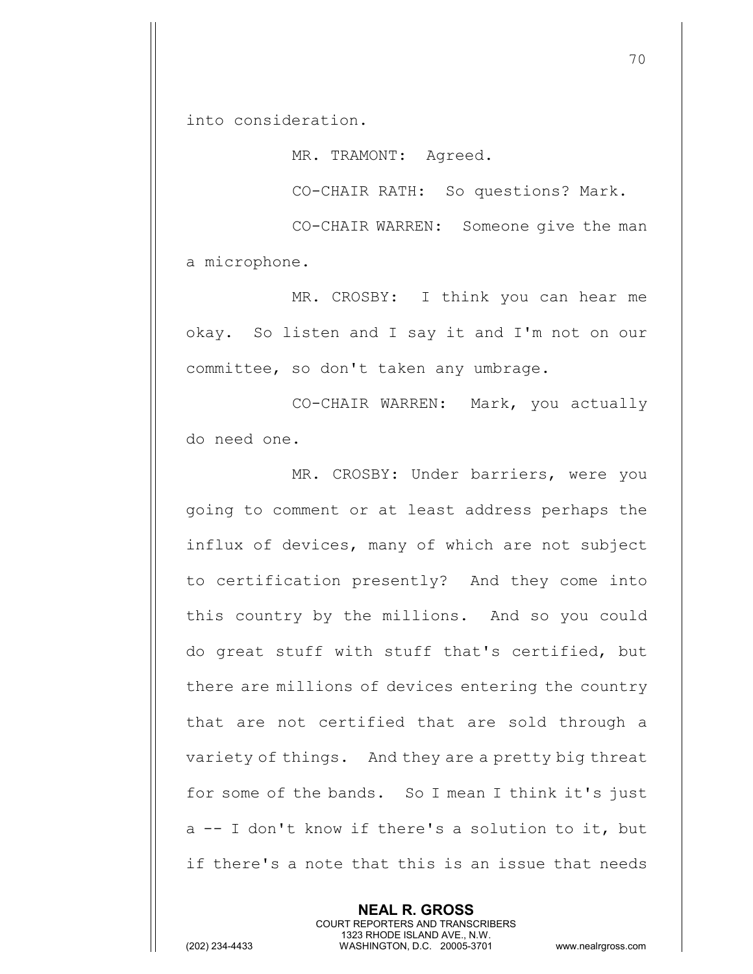into consideration.

MR. TRAMONT: Agreed.

CO-CHAIR RATH: So questions? Mark.

CO-CHAIR WARREN: Someone give the man a microphone.

MR. CROSBY: I think you can hear me okay. So listen and I say it and I'm not on our committee, so don't taken any umbrage.

CO-CHAIR WARREN: Mark, you actually do need one.

MR. CROSBY: Under barriers, were you going to comment or at least address perhaps the influx of devices, many of which are not subject to certification presently? And they come into this country by the millions. And so you could do great stuff with stuff that's certified, but there are millions of devices entering the country that are not certified that are sold through a variety of things. And they are a pretty big threat for some of the bands. So I mean I think it's just a -- I don't know if there's a solution to it, but if there's a note that this is an issue that needs

> **NEAL R. GROSS** COURT REPORTERS AND TRANSCRIBERS 1323 RHODE ISLAND AVE., N.W.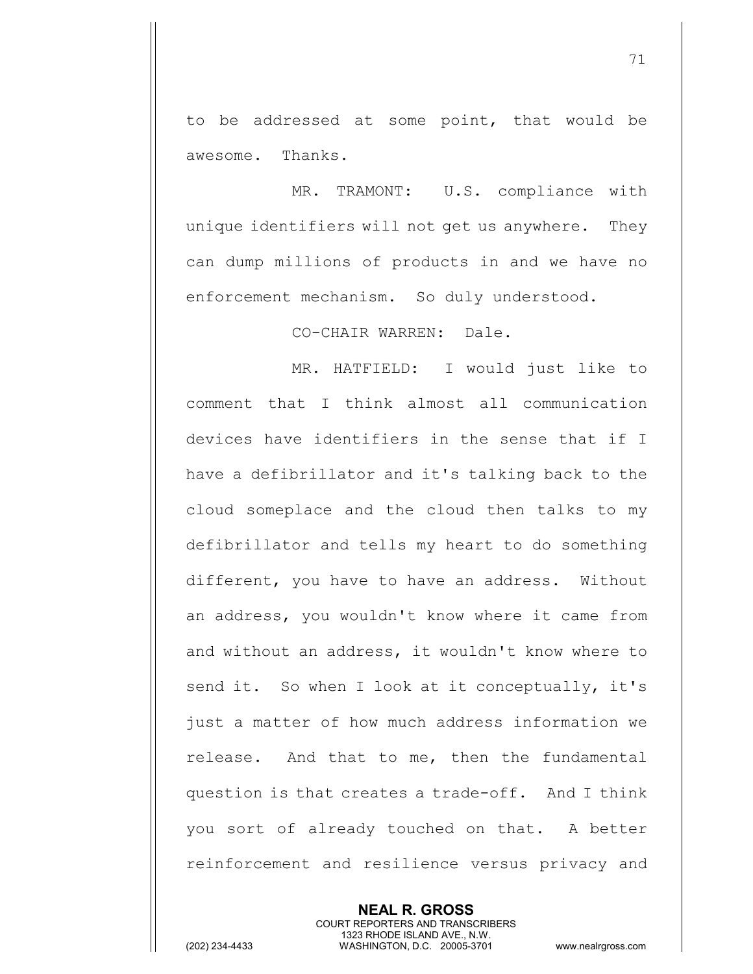to be addressed at some point, that would be awesome. Thanks.

MR. TRAMONT: U.S. compliance with unique identifiers will not get us anywhere. They can dump millions of products in and we have no enforcement mechanism. So duly understood.

CO-CHAIR WARREN: Dale.

MR. HATFIELD: I would just like to comment that I think almost all communication devices have identifiers in the sense that if I have a defibrillator and it's talking back to the cloud someplace and the cloud then talks to my defibrillator and tells my heart to do something different, you have to have an address. Without an address, you wouldn't know where it came from and without an address, it wouldn't know where to send it. So when I look at it conceptually, it's just a matter of how much address information we release. And that to me, then the fundamental question is that creates a trade-off. And I think you sort of already touched on that. A better reinforcement and resilience versus privacy and

> **NEAL R. GROSS** COURT REPORTERS AND TRANSCRIBERS 1323 RHODE ISLAND AVE., N.W.

(202) 234-4433 WASHINGTON, D.C. 20005-3701 www.nealrgross.com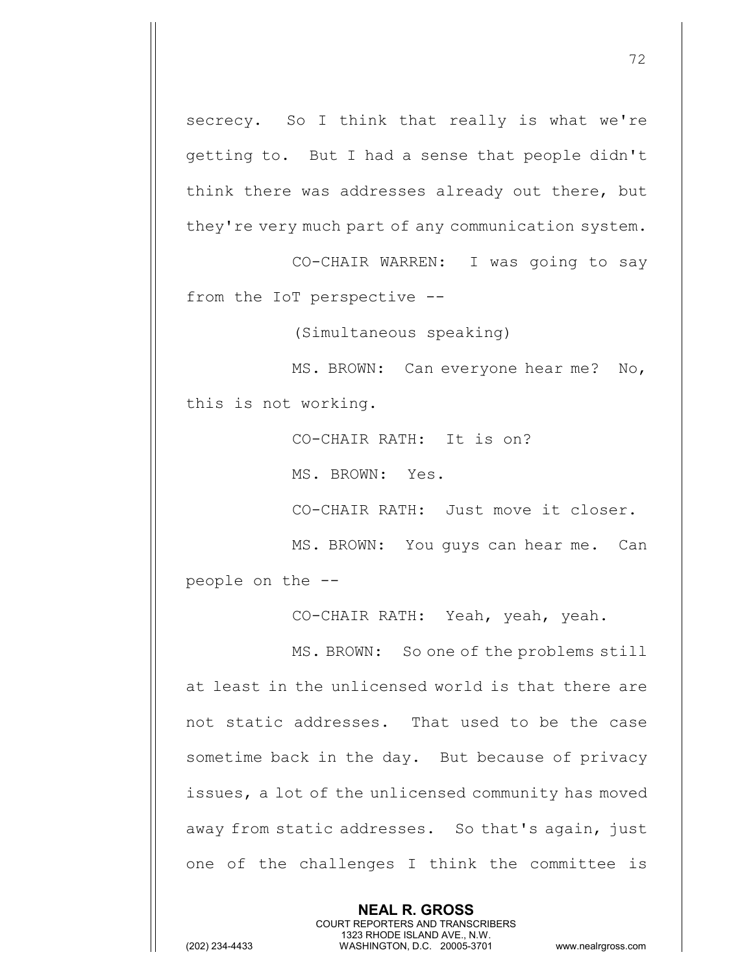secrecy. So I think that really is what we're getting to. But I had a sense that people didn't think there was addresses already out there, but they're very much part of any communication system.

CO-CHAIR WARREN: I was going to say from the IoT perspective --

(Simultaneous speaking)

MS. BROWN: Can everyone hear me? No, this is not working.

CO-CHAIR RATH: It is on?

MS. BROWN: Yes.

CO-CHAIR RATH: Just move it closer.

MS. BROWN: You guys can hear me. Can people on the --

CO-CHAIR RATH: Yeah, yeah, yeah.

MS. BROWN: So one of the problems still at least in the unlicensed world is that there are not static addresses. That used to be the case sometime back in the day. But because of privacy issues, a lot of the unlicensed community has moved away from static addresses. So that's again, just one of the challenges I think the committee is

> **NEAL R. GROSS** COURT REPORTERS AND TRANSCRIBERS 1323 RHODE ISLAND AVE., N.W.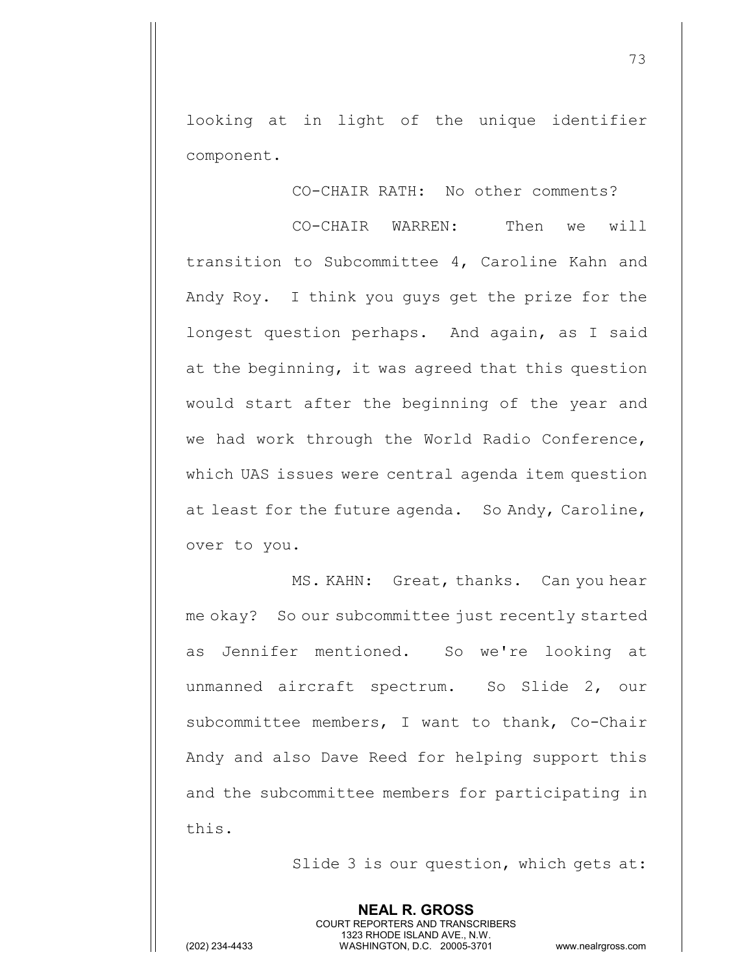looking at in light of the unique identifier component.

CO-CHAIR RATH: No other comments?

73

CO-CHAIR WARREN: Then we will transition to Subcommittee 4, Caroline Kahn and Andy Roy. I think you guys get the prize for the longest question perhaps. And again, as I said at the beginning, it was agreed that this question would start after the beginning of the year and we had work through the World Radio Conference, which UAS issues were central agenda item question at least for the future agenda. So Andy, Caroline, over to you.

MS. KAHN: Great, thanks. Can you hear me okay? So our subcommittee just recently started as Jennifer mentioned. So we're looking at unmanned aircraft spectrum. So Slide 2, our subcommittee members, I want to thank, Co-Chair Andy and also Dave Reed for helping support this and the subcommittee members for participating in this.

Slide 3 is our question, which gets at: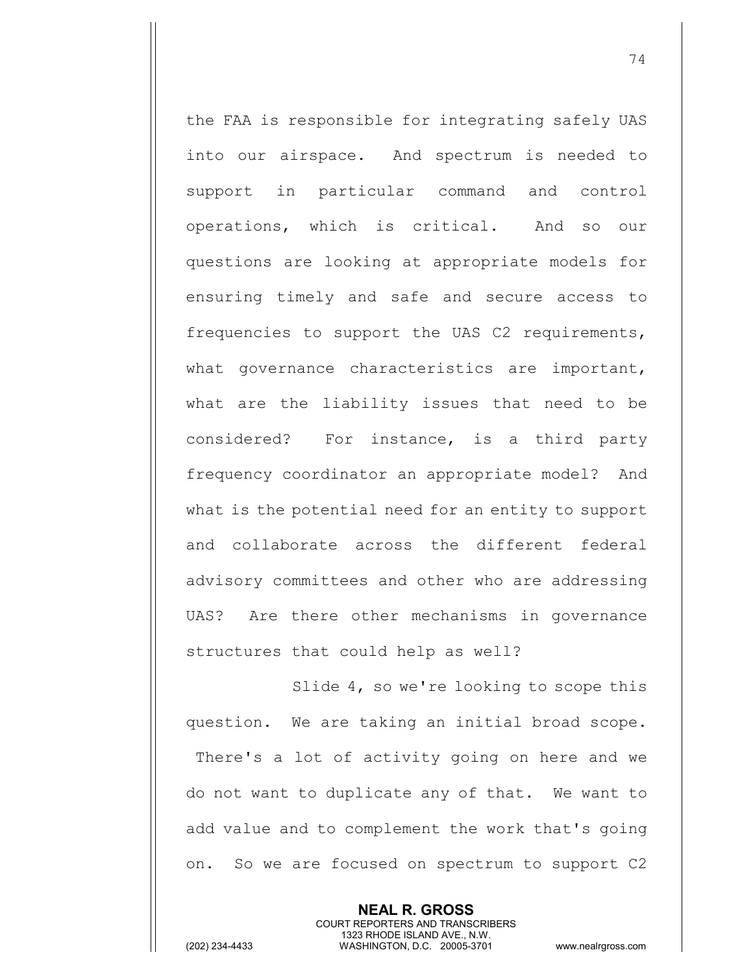the FAA is responsible for integrating safely UAS into our airspace. And spectrum is needed to support in particular command and control operations, which is critical. And so our questions are looking at appropriate models for ensuring timely and safe and secure access to frequencies to support the UAS C2 requirements, what governance characteristics are important, what are the liability issues that need to be considered? For instance, is a third party frequency coordinator an appropriate model? And what is the potential need for an entity to support and collaborate across the different federal advisory committees and other who are addressing UAS? Are there other mechanisms in governance structures that could help as well?

Slide 4, so we're looking to scope this question. We are taking an initial broad scope. There's a lot of activity going on here and we do not want to duplicate any of that. We want to add value and to complement the work that's going on. So we are focused on spectrum to support C2

> **NEAL R. GROSS** COURT REPORTERS AND TRANSCRIBERS 1323 RHODE ISLAND AVE., N.W.

(202) 234-4433 WASHINGTON, D.C. 20005-3701 www.nealrgross.com

74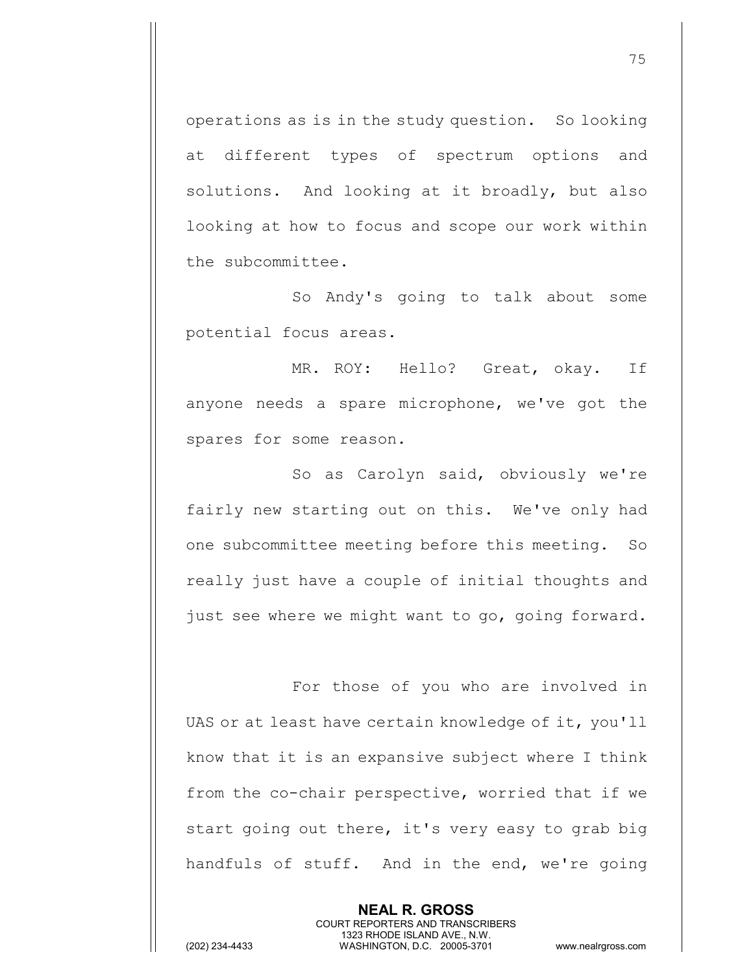operations as is in the study question. So looking at different types of spectrum options and solutions. And looking at it broadly, but also looking at how to focus and scope our work within the subcommittee.

So Andy's going to talk about some potential focus areas.

MR. ROY: Hello? Great, okay. If anyone needs a spare microphone, we've got the spares for some reason.

So as Carolyn said, obviously we're fairly new starting out on this. We've only had one subcommittee meeting before this meeting. So really just have a couple of initial thoughts and just see where we might want to go, going forward.

For those of you who are involved in UAS or at least have certain knowledge of it, you'll know that it is an expansive subject where I think from the co-chair perspective, worried that if we start going out there, it's very easy to grab big handfuls of stuff. And in the end, we're going

> **NEAL R. GROSS** COURT REPORTERS AND TRANSCRIBERS 1323 RHODE ISLAND AVE., N.W.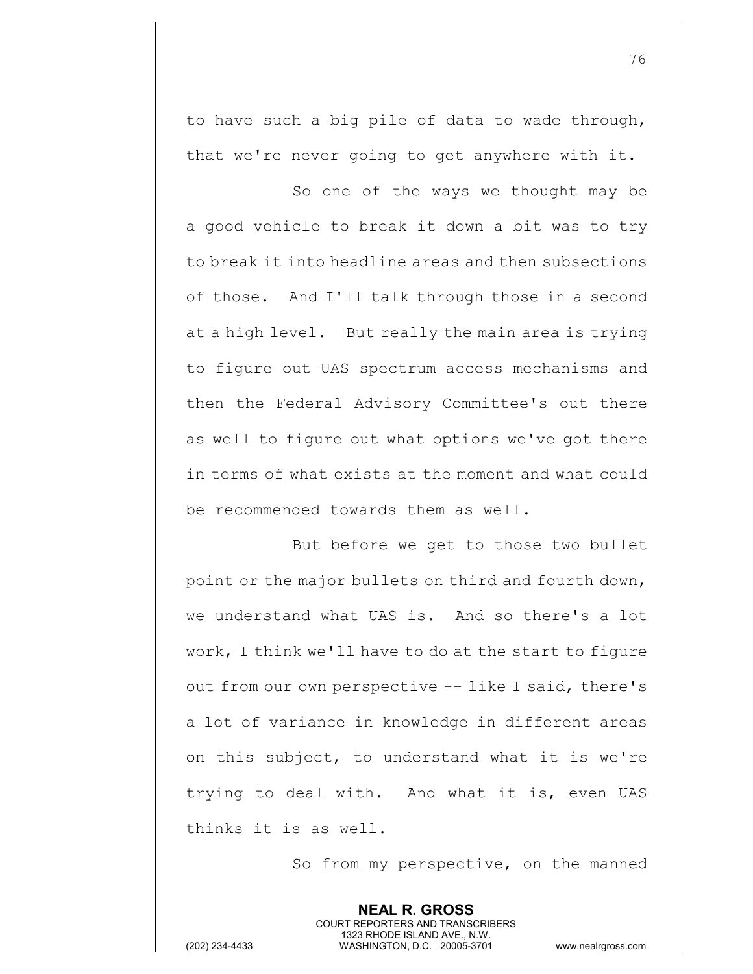to have such a big pile of data to wade through, that we're never going to get anywhere with it.

So one of the ways we thought may be a good vehicle to break it down a bit was to try to break it into headline areas and then subsections of those. And I'll talk through those in a second at a high level. But really the main area is trying to figure out UAS spectrum access mechanisms and then the Federal Advisory Committee's out there as well to figure out what options we've got there in terms of what exists at the moment and what could be recommended towards them as well.

But before we get to those two bullet point or the major bullets on third and fourth down, we understand what UAS is. And so there's a lot work, I think we'll have to do at the start to figure out from our own perspective -- like I said, there's a lot of variance in knowledge in different areas on this subject, to understand what it is we're trying to deal with. And what it is, even UAS thinks it is as well.

So from my perspective, on the manned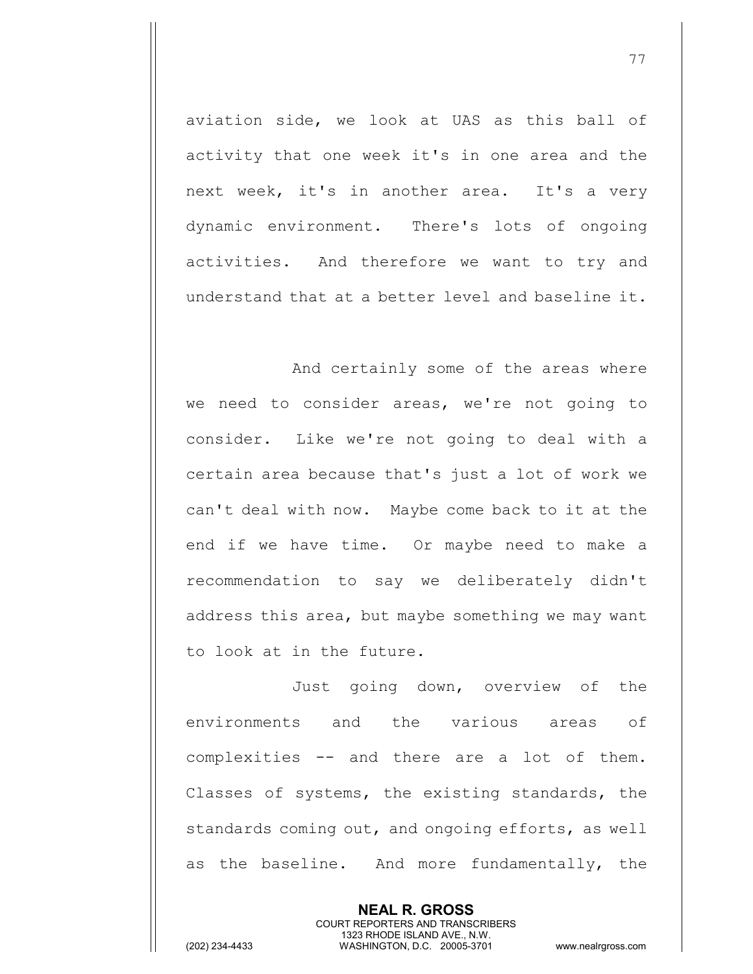aviation side, we look at UAS as this ball of activity that one week it's in one area and the next week, it's in another area. It's a very dynamic environment. There's lots of ongoing activities. And therefore we want to try and understand that at a better level and baseline it.

And certainly some of the areas where we need to consider areas, we're not going to consider. Like we're not going to deal with a certain area because that's just a lot of work we can't deal with now. Maybe come back to it at the end if we have time. Or maybe need to make a recommendation to say we deliberately didn't address this area, but maybe something we may want to look at in the future.

Just going down, overview of the environments and the various areas of complexities -- and there are a lot of them. Classes of systems, the existing standards, the standards coming out, and ongoing efforts, as well as the baseline. And more fundamentally, the

> **NEAL R. GROSS** COURT REPORTERS AND TRANSCRIBERS 1323 RHODE ISLAND AVE., N.W.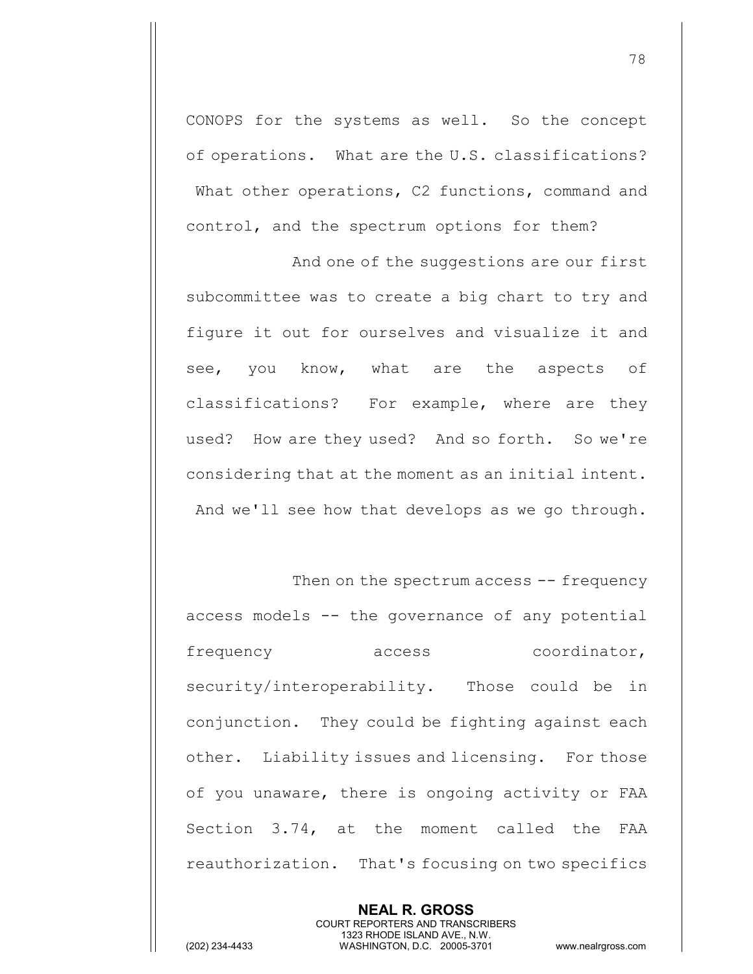CONOPS for the systems as well. So the concept of operations. What are the U.S. classifications? What other operations, C2 functions, command and control, and the spectrum options for them?

And one of the suggestions are our first subcommittee was to create a big chart to try and figure it out for ourselves and visualize it and see, you know, what are the aspects of classifications? For example, where are they used? How are they used? And so forth. So we're considering that at the moment as an initial intent. And we'll see how that develops as we go through.

Then on the spectrum access -- frequency access models -- the governance of any potential frequency access coordinator, security/interoperability. Those could be in conjunction. They could be fighting against each other. Liability issues and licensing. For those of you unaware, there is ongoing activity or FAA Section 3.74, at the moment called the FAA reauthorization. That's focusing on two specifics

> **NEAL R. GROSS** COURT REPORTERS AND TRANSCRIBERS 1323 RHODE ISLAND AVE., N.W.

(202) 234-4433 WASHINGTON, D.C. 20005-3701 www.nealrgross.com

78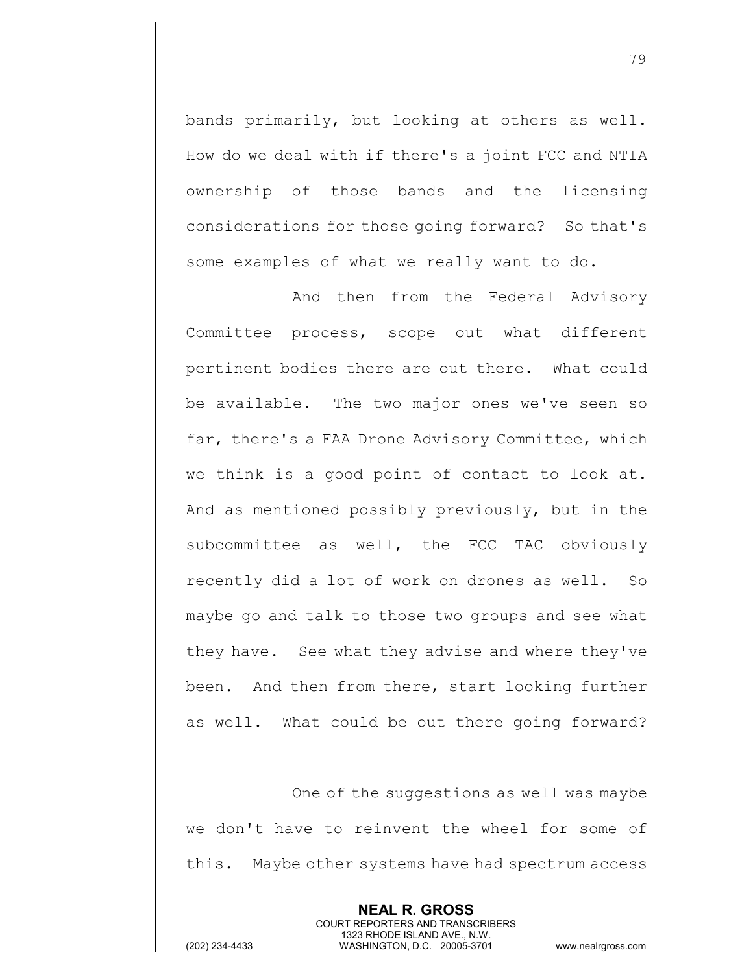bands primarily, but looking at others as well. How do we deal with if there's a joint FCC and NTIA ownership of those bands and the licensing considerations for those going forward? So that's some examples of what we really want to do.

And then from the Federal Advisory Committee process, scope out what different pertinent bodies there are out there. What could be available. The two major ones we've seen so far, there's a FAA Drone Advisory Committee, which we think is a good point of contact to look at. And as mentioned possibly previously, but in the subcommittee as well, the FCC TAC obviously recently did a lot of work on drones as well. So maybe go and talk to those two groups and see what they have. See what they advise and where they've been. And then from there, start looking further as well. What could be out there going forward?

One of the suggestions as well was maybe we don't have to reinvent the wheel for some of this. Maybe other systems have had spectrum access

> **NEAL R. GROSS** COURT REPORTERS AND TRANSCRIBERS 1323 RHODE ISLAND AVE., N.W.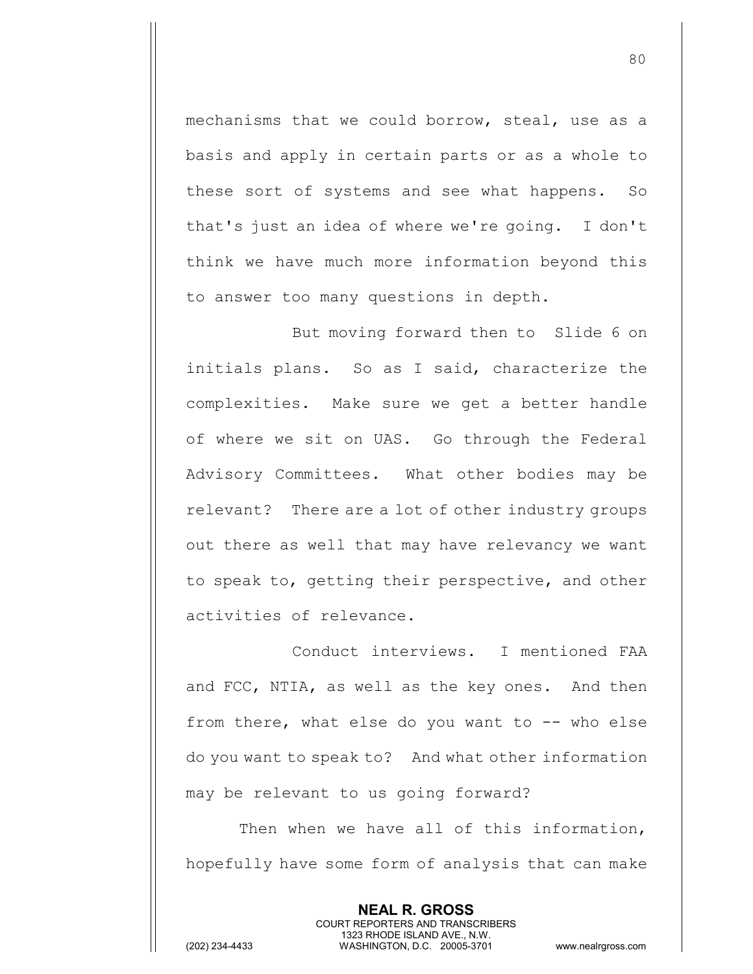mechanisms that we could borrow, steal, use as a basis and apply in certain parts or as a whole to these sort of systems and see what happens. So that's just an idea of where we're going. I don't think we have much more information beyond this to answer too many questions in depth.

But moving forward then to Slide 6 on initials plans. So as I said, characterize the complexities. Make sure we get a better handle of where we sit on UAS. Go through the Federal Advisory Committees. What other bodies may be relevant? There are a lot of other industry groups out there as well that may have relevancy we want to speak to, getting their perspective, and other activities of relevance.

Conduct interviews. I mentioned FAA and FCC, NTIA, as well as the key ones. And then from there, what else do you want to  $-$ - who else do you want to speak to? And what other information may be relevant to us going forward?

Then when we have all of this information, hopefully have some form of analysis that can make

> **NEAL R. GROSS** COURT REPORTERS AND TRANSCRIBERS 1323 RHODE ISLAND AVE., N.W.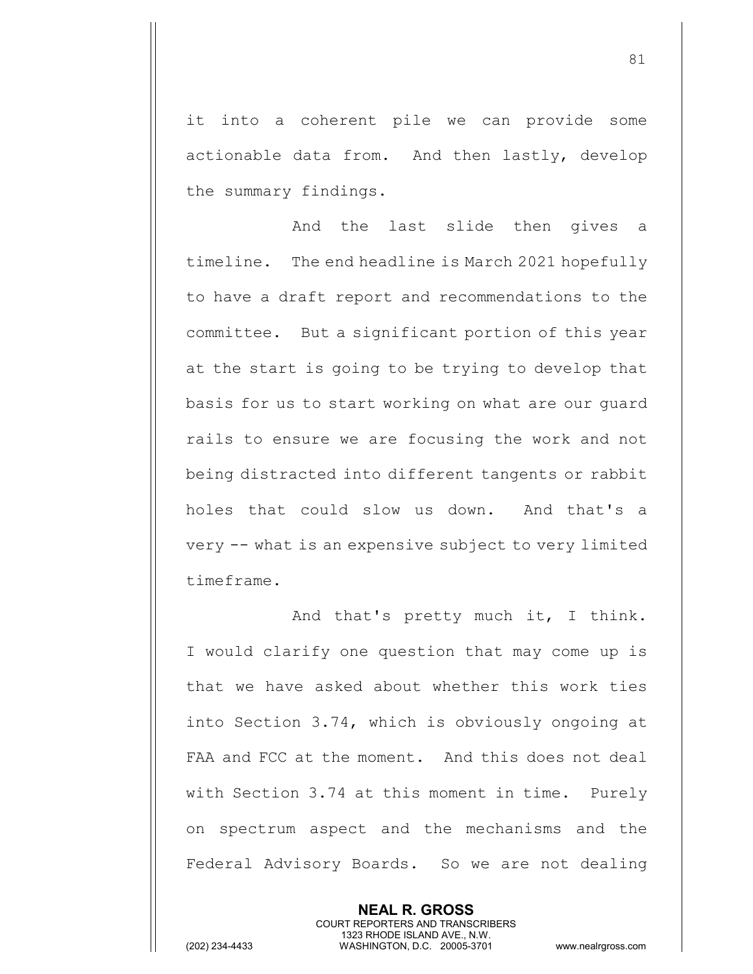it into a coherent pile we can provide some actionable data from. And then lastly, develop the summary findings.

And the last slide then gives a timeline. The end headline is March 2021 hopefully to have a draft report and recommendations to the committee. But a significant portion of this year at the start is going to be trying to develop that basis for us to start working on what are our guard rails to ensure we are focusing the work and not being distracted into different tangents or rabbit holes that could slow us down. And that's a very -- what is an expensive subject to very limited timeframe.

And that's pretty much it, I think. I would clarify one question that may come up is that we have asked about whether this work ties into Section 3.74, which is obviously ongoing at FAA and FCC at the moment. And this does not deal with Section 3.74 at this moment in time. Purely on spectrum aspect and the mechanisms and the Federal Advisory Boards. So we are not dealing

> **NEAL R. GROSS** COURT REPORTERS AND TRANSCRIBERS 1323 RHODE ISLAND AVE., N.W.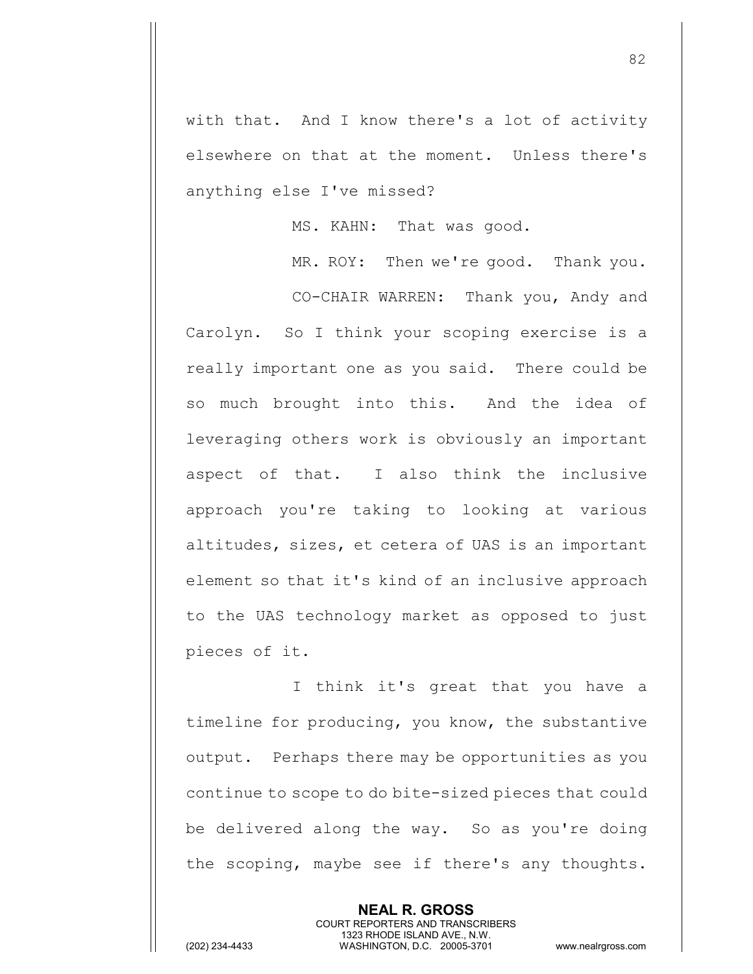with that. And I know there's a lot of activity elsewhere on that at the moment. Unless there's anything else I've missed?

MS. KAHN: That was good.

MR. ROY: Then we're good. Thank you. CO-CHAIR WARREN: Thank you, Andy and Carolyn. So I think your scoping exercise is a really important one as you said. There could be so much brought into this. And the idea of leveraging others work is obviously an important aspect of that. I also think the inclusive approach you're taking to looking at various altitudes, sizes, et cetera of UAS is an important element so that it's kind of an inclusive approach to the UAS technology market as opposed to just pieces of it.

I think it's great that you have a timeline for producing, you know, the substantive output. Perhaps there may be opportunities as you continue to scope to do bite-sized pieces that could be delivered along the way. So as you're doing the scoping, maybe see if there's any thoughts.

> **NEAL R. GROSS** COURT REPORTERS AND TRANSCRIBERS 1323 RHODE ISLAND AVE., N.W.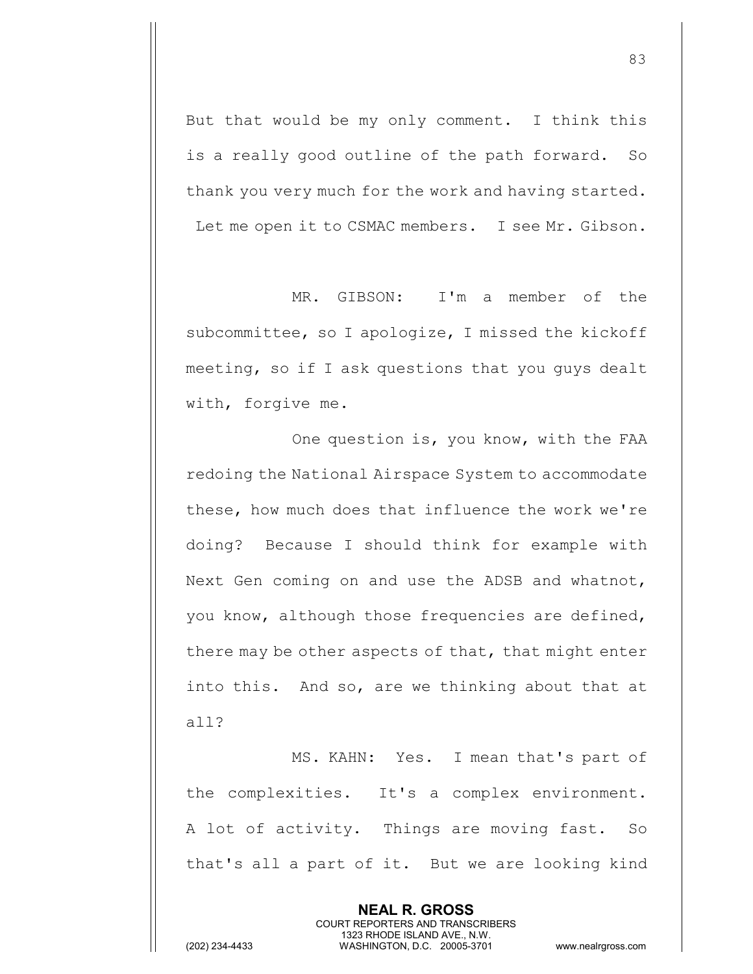But that would be my only comment. I think this is a really good outline of the path forward. So thank you very much for the work and having started. Let me open it to CSMAC members. I see Mr. Gibson.

MR. GIBSON: I'm a member of the subcommittee, so I apologize, I missed the kickoff meeting, so if I ask questions that you guys dealt with, forgive me.

One question is, you know, with the FAA redoing the National Airspace System to accommodate these, how much does that influence the work we're doing? Because I should think for example with Next Gen coming on and use the ADSB and whatnot, you know, although those frequencies are defined, there may be other aspects of that, that might enter into this. And so, are we thinking about that at all?

MS. KAHN: Yes. I mean that's part of the complexities. It's a complex environment. A lot of activity. Things are moving fast. So that's all a part of it. But we are looking kind

> **NEAL R. GROSS** COURT REPORTERS AND TRANSCRIBERS 1323 RHODE ISLAND AVE., N.W.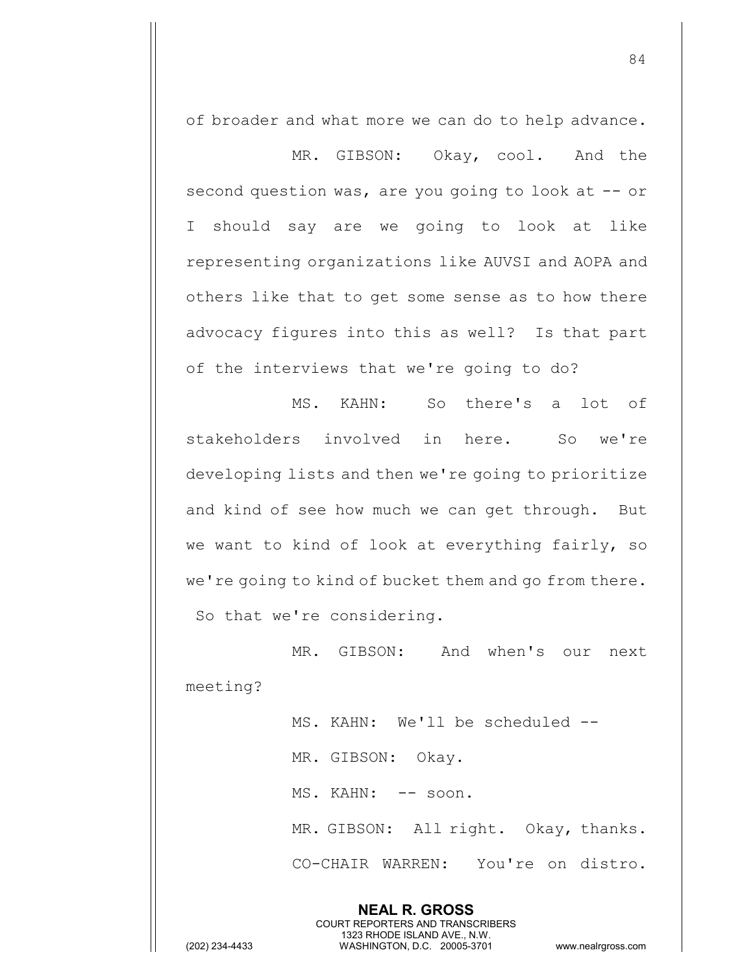of broader and what more we can do to help advance.

MR. GIBSON: Okay, cool. And the second question was, are you going to look at -- or I should say are we going to look at like representing organizations like AUVSI and AOPA and others like that to get some sense as to how there advocacy figures into this as well? Is that part of the interviews that we're going to do?

MS. KAHN: So there's a lot of stakeholders involved in here. So we're developing lists and then we're going to prioritize and kind of see how much we can get through. But we want to kind of look at everything fairly, so we're going to kind of bucket them and go from there. So that we're considering.

MR. GIBSON: And when's our next meeting?

> **NEAL R. GROSS** COURT REPORTERS AND TRANSCRIBERS 1323 RHODE ISLAND AVE., N.W.

MS. KAHN: We'll be scheduled --MR. GIBSON: Okay. MS. KAHN: -- soon. MR. GIBSON: All right. Okay, thanks. CO-CHAIR WARREN: You're on distro.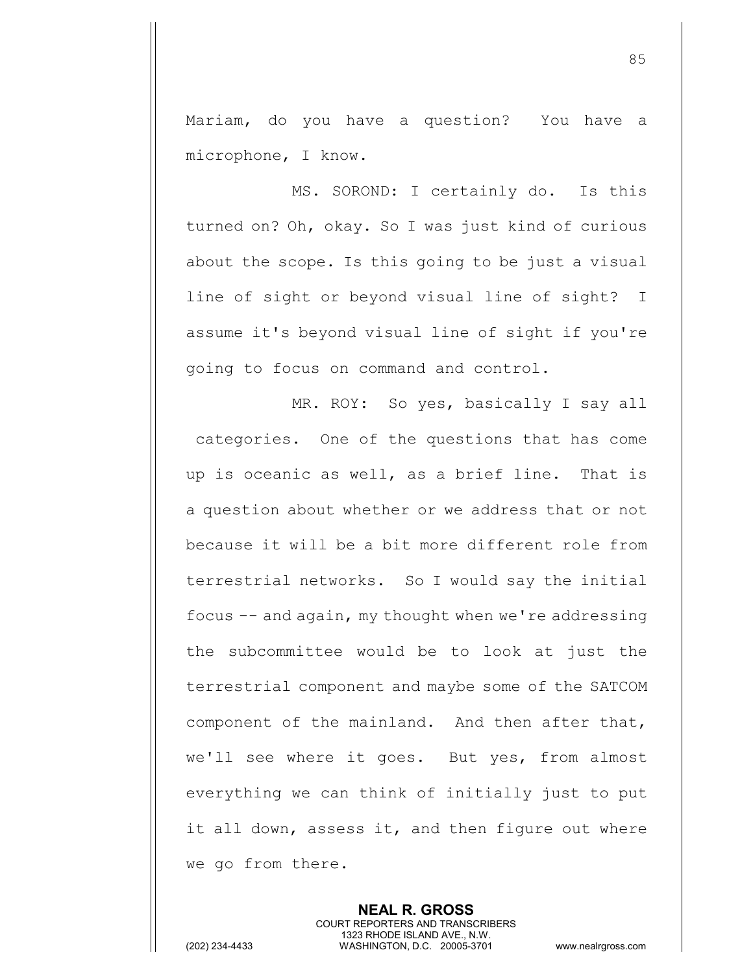Mariam, do you have a question? You have a microphone, I know.

MS. SOROND: I certainly do. Is this turned on? Oh, okay. So I was just kind of curious about the scope. Is this going to be just a visual line of sight or beyond visual line of sight? I assume it's beyond visual line of sight if you're going to focus on command and control.

MR. ROY: So yes, basically I say all categories. One of the questions that has come up is oceanic as well, as a brief line. That is a question about whether or we address that or not because it will be a bit more different role from terrestrial networks. So I would say the initial focus -- and again, my thought when we're addressing the subcommittee would be to look at just the terrestrial component and maybe some of the SATCOM component of the mainland. And then after that, we'll see where it goes. But yes, from almost everything we can think of initially just to put it all down, assess it, and then figure out where we go from there.

> **NEAL R. GROSS** COURT REPORTERS AND TRANSCRIBERS 1323 RHODE ISLAND AVE., N.W.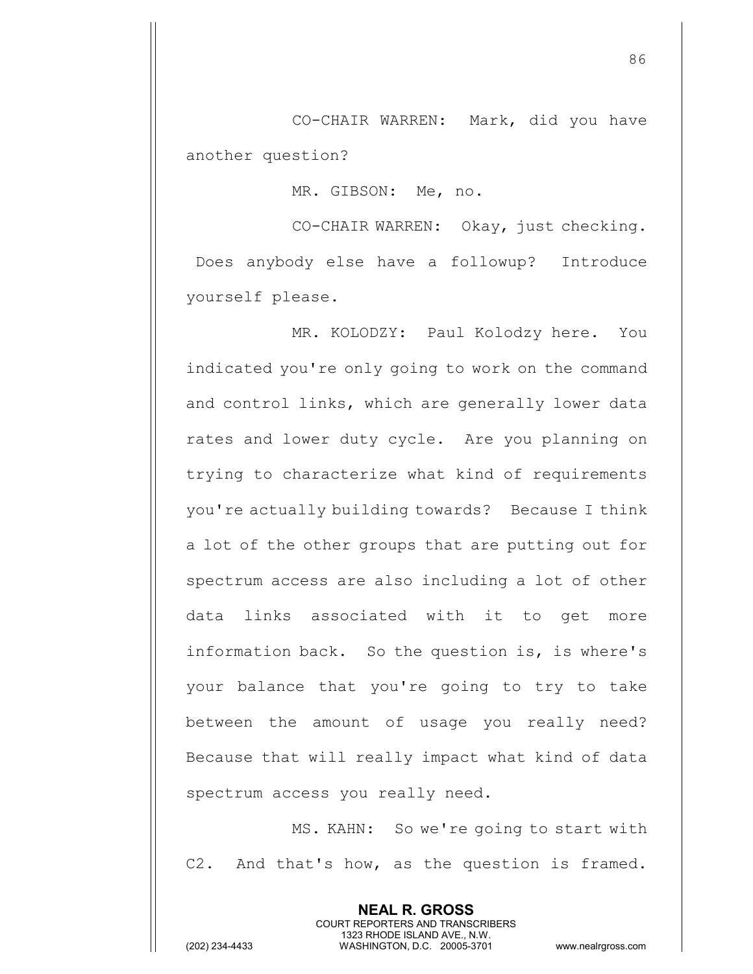CO-CHAIR WARREN: Mark, did you have another question?

MR. GIBSON: Me, no.

CO-CHAIR WARREN: Okay, just checking. Does anybody else have a followup? Introduce yourself please.

MR. KOLODZY: Paul Kolodzy here. You indicated you're only going to work on the command and control links, which are generally lower data rates and lower duty cycle. Are you planning on trying to characterize what kind of requirements you're actually building towards? Because I think a lot of the other groups that are putting out for spectrum access are also including a lot of other data links associated with it to get more information back. So the question is, is where's your balance that you're going to try to take between the amount of usage you really need? Because that will really impact what kind of data spectrum access you really need.

MS. KAHN: So we're going to start with C2. And that's how, as the question is framed.

> **NEAL R. GROSS** COURT REPORTERS AND TRANSCRIBERS 1323 RHODE ISLAND AVE., N.W.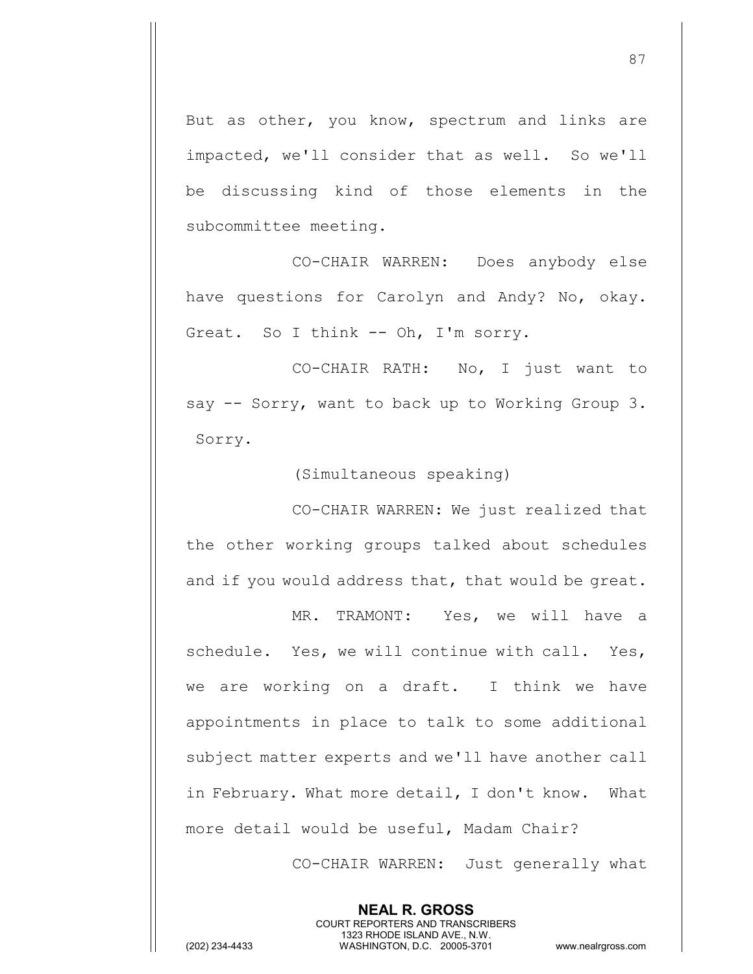But as other, you know, spectrum and links are impacted, we'll consider that as well. So we'll be discussing kind of those elements in the subcommittee meeting.

CO-CHAIR WARREN: Does anybody else have questions for Carolyn and Andy? No, okay. Great. So I think -- Oh, I'm sorry.

CO-CHAIR RATH: No, I just want to say -- Sorry, want to back up to Working Group 3. Sorry.

(Simultaneous speaking)

CO-CHAIR WARREN: We just realized that the other working groups talked about schedules and if you would address that, that would be great.

MR. TRAMONT: Yes, we will have a schedule. Yes, we will continue with call. Yes, we are working on a draft. I think we have appointments in place to talk to some additional subject matter experts and we'll have another call in February. What more detail, I don't know. What more detail would be useful, Madam Chair?

> **NEAL R. GROSS** COURT REPORTERS AND TRANSCRIBERS 1323 RHODE ISLAND AVE., N.W.

CO-CHAIR WARREN: Just generally what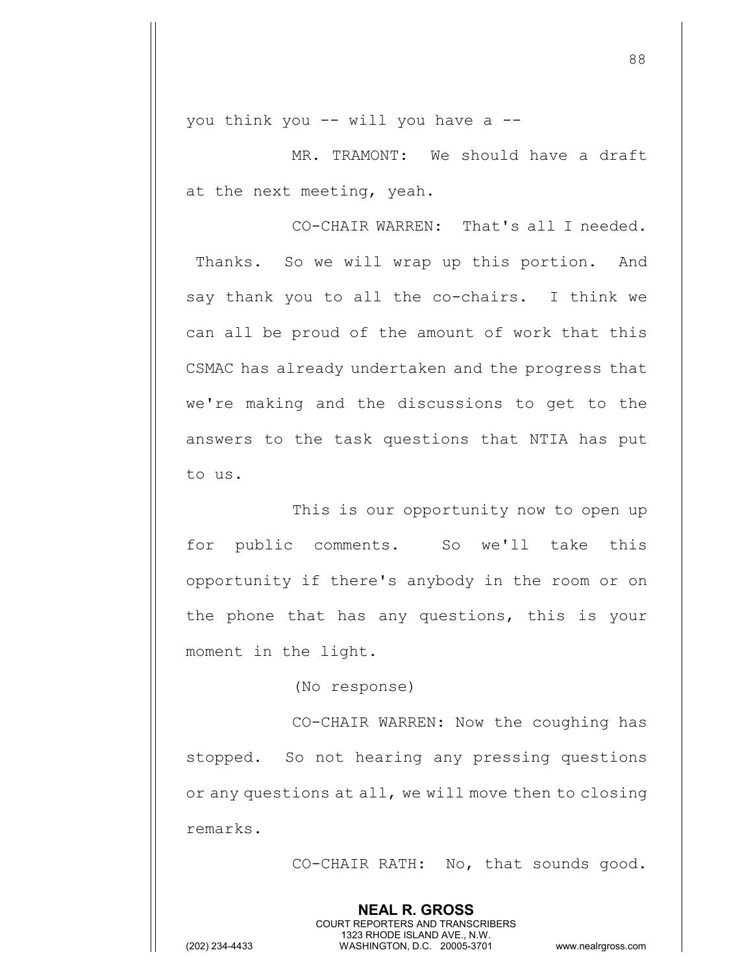you think you -- will you have a --

MR. TRAMONT: We should have a draft at the next meeting, yeah.

CO-CHAIR WARREN: That's all I needed. Thanks. So we will wrap up this portion. And say thank you to all the co-chairs. I think we can all be proud of the amount of work that this CSMAC has already undertaken and the progress that we're making and the discussions to get to the answers to the task questions that NTIA has put to us.

This is our opportunity now to open up for public comments. So we'll take this opportunity if there's anybody in the room or on the phone that has any questions, this is your moment in the light.

(No response)

CO-CHAIR WARREN: Now the coughing has stopped. So not hearing any pressing questions or any questions at all, we will move then to closing remarks.

> **NEAL R. GROSS** COURT REPORTERS AND TRANSCRIBERS 1323 RHODE ISLAND AVE., N.W.

CO-CHAIR RATH: No, that sounds good.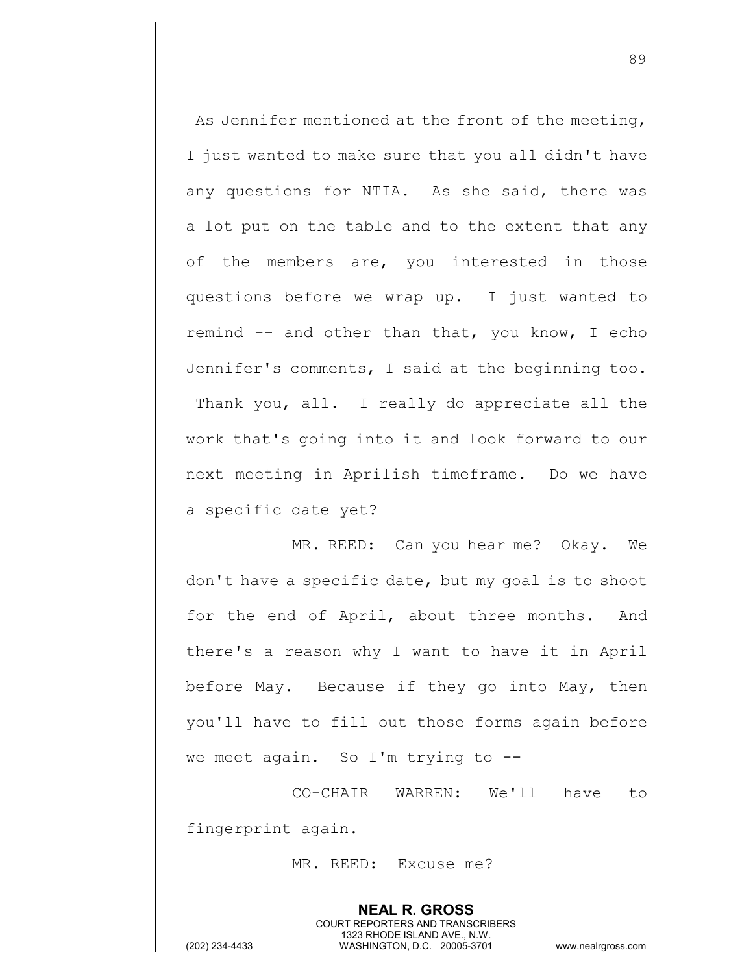As Jennifer mentioned at the front of the meeting, I just wanted to make sure that you all didn't have any questions for NTIA. As she said, there was a lot put on the table and to the extent that any of the members are, you interested in those questions before we wrap up. I just wanted to remind -- and other than that, you know, I echo Jennifer's comments, I said at the beginning too. Thank you, all. I really do appreciate all the work that's going into it and look forward to our next meeting in Aprilish timeframe. Do we have a specific date yet?

MR. REED: Can you hear me? Okay. We don't have a specific date, but my goal is to shoot for the end of April, about three months. And there's a reason why I want to have it in April before May. Because if they go into May, then you'll have to fill out those forms again before we meet again. So I'm trying to --

CO-CHAIR WARREN: We'll have to fingerprint again.

MR. REED: Excuse me?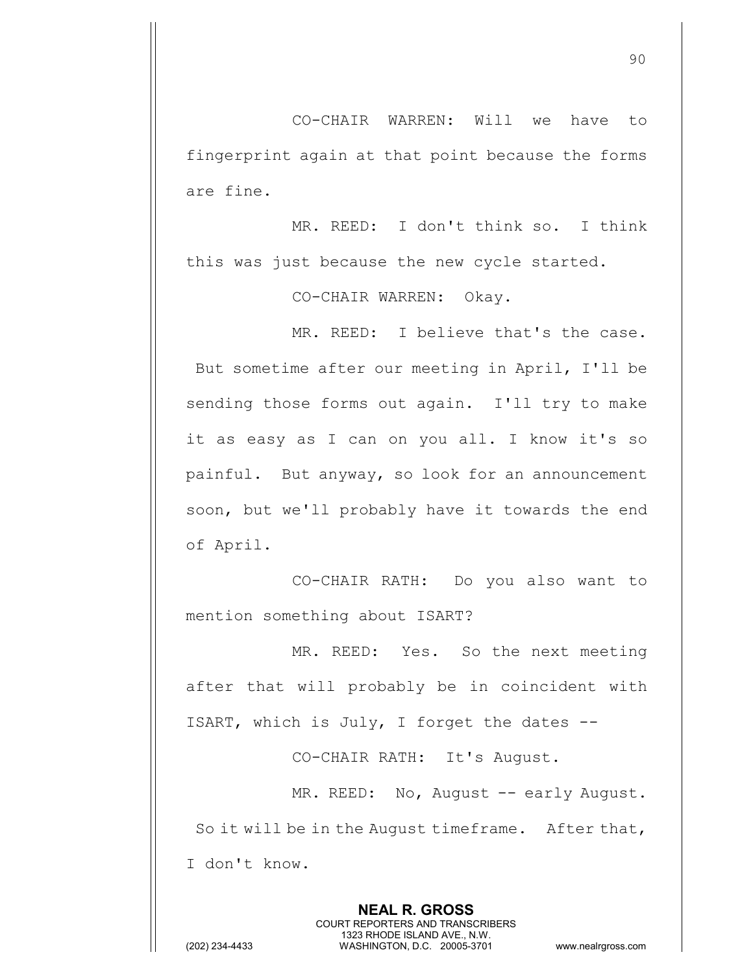CO-CHAIR WARREN: Will we have to fingerprint again at that point because the forms are fine.

MR. REED: I don't think so. I think this was just because the new cycle started.

CO-CHAIR WARREN: Okay.

MR. REED: I believe that's the case. But sometime after our meeting in April, I'll be sending those forms out again. I'll try to make it as easy as I can on you all. I know it's so painful. But anyway, so look for an announcement soon, but we'll probably have it towards the end of April.

CO-CHAIR RATH: Do you also want to mention something about ISART?

MR. REED: Yes. So the next meeting after that will probably be in coincident with ISART, which is July, I forget the dates --

CO-CHAIR RATH: It's August.

MR. REED: No, August -- early August. So it will be in the August timeframe. After that, I don't know.

> **NEAL R. GROSS** COURT REPORTERS AND TRANSCRIBERS 1323 RHODE ISLAND AVE., N.W.